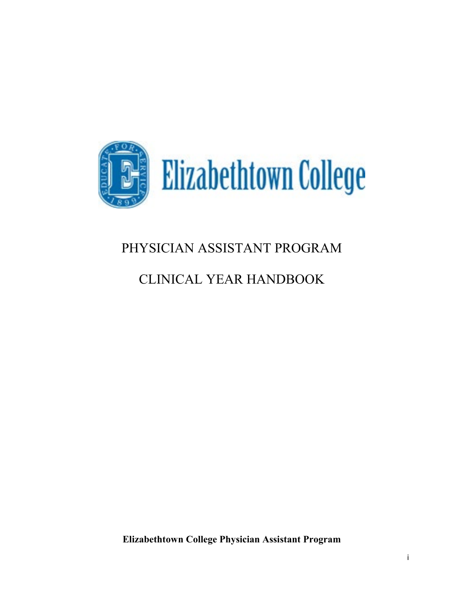

# PHYSICIAN ASSISTANT PROGRAM

# CLINICAL YEAR HANDBOOK

**Elizabethtown College Physician Assistant Program**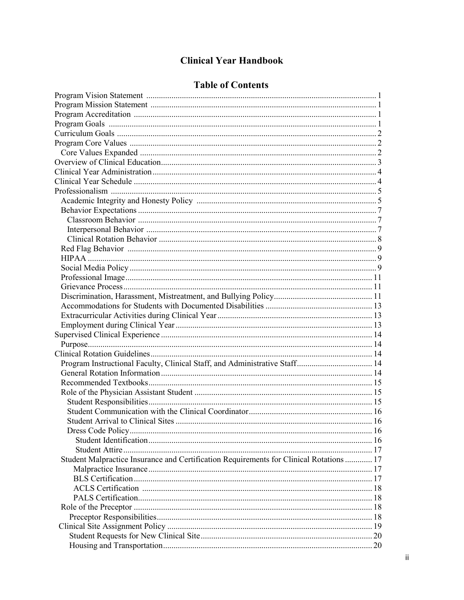## **Clinical Year Handbook**

## **Table of Contents**

| Program Instructional Faculty, Clinical Staff, and Administrative Staff 14              |  |
|-----------------------------------------------------------------------------------------|--|
|                                                                                         |  |
|                                                                                         |  |
|                                                                                         |  |
|                                                                                         |  |
|                                                                                         |  |
|                                                                                         |  |
|                                                                                         |  |
|                                                                                         |  |
|                                                                                         |  |
| Student Malpractice Insurance and Certification Requirements for Clinical Rotations  17 |  |
|                                                                                         |  |
|                                                                                         |  |
|                                                                                         |  |
|                                                                                         |  |
|                                                                                         |  |
|                                                                                         |  |
|                                                                                         |  |
|                                                                                         |  |
|                                                                                         |  |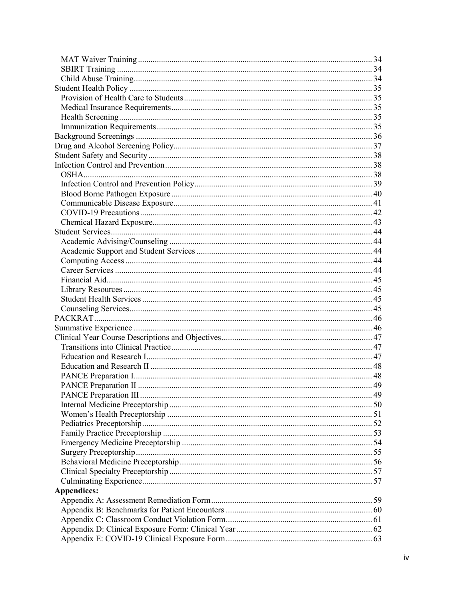| <b>Appendices:</b> |  |
|--------------------|--|
|                    |  |
|                    |  |
|                    |  |
|                    |  |
|                    |  |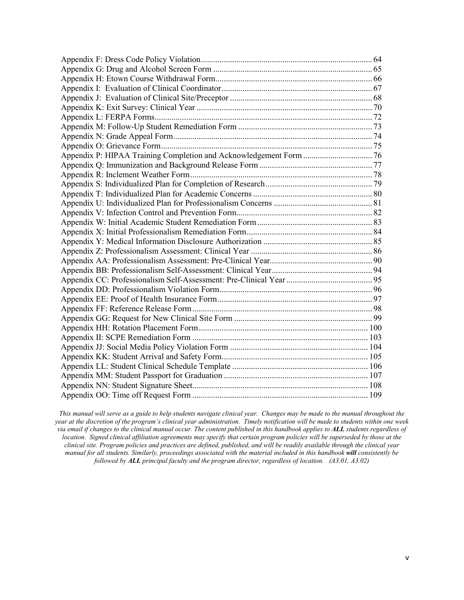*This manual will serve as a guide to help students navigate clinical year. Changes may be made to the manual throughout the year at the discretion of the program's clinical year administration. Timely notification will be made to students within one week via email if changes to the clinical manual occur. The content published in this handbook applies to ALL students regardless of location. Signed clinical affiliation agreements may specify that certain program policies will be superseded by those at the clinical site. Program policies and practices are defined, published, and will be readily available through the clinical year manual for all students. Similarly, proceedings associated with the material included in this handbook will consistently be followed by ALL principal faculty and the program director, regardless of location. (A3.01, A3.02)*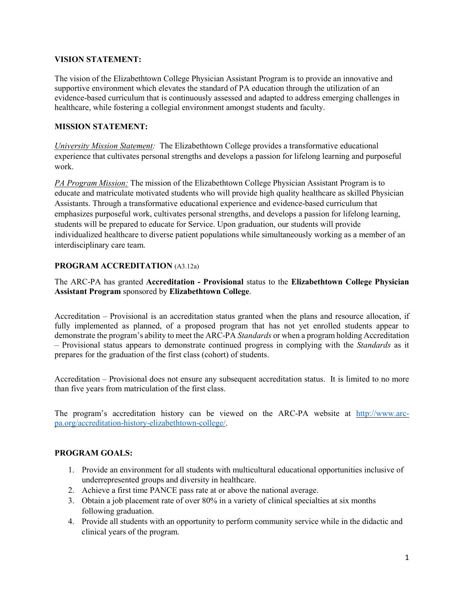## **VISION STATEMENT:**

The vision of the Elizabethtown College Physician Assistant Program is to provide an innovative and supportive environment which elevates the standard of PA education through the utilization of an evidence-based curriculum that is continuously assessed and adapted to address emerging challenges in healthcare, while fostering a collegial environment amongst students and faculty.

## **MISSION STATEMENT:**

*University Mission Statement:* The Elizabethtown College provides a transformative educational experience that cultivates personal strengths and develops a passion for lifelong learning and purposeful work.

*PA Program Mission:* The mission of the Elizabethtown College Physician Assistant Program is to educate and matriculate motivated students who will provide high quality healthcare as skilled Physician Assistants. Through a transformative educational experience and evidence-based curriculum that emphasizes purposeful work, cultivates personal strengths, and develops a passion for lifelong learning, students will be prepared to educate for Service. Upon graduation, our students will provide individualized healthcare to diverse patient populations while simultaneously working as a member of an interdisciplinary care team.

## **PROGRAM ACCREDITATION** (A3.12a)

## The ARC-PA has granted **Accreditation - Provisional** status to the **Elizabethtown College Physician Assistant Program** sponsored by **Elizabethtown College**.

Accreditation – Provisional is an accreditation status granted when the plans and resource allocation, if fully implemented as planned, of a proposed program that has not yet enrolled students appear to demonstrate the program's ability to meet the ARC-PA *Standards* or when a program holding Accreditation – Provisional status appears to demonstrate continued progress in complying with the *Standards* as it prepares for the graduation of the first class (cohort) of students.

Accreditation – Provisional does not ensure any subsequent accreditation status. It is limited to no more than five years from matriculation of the first class.

The program's accreditation history can be viewed on the ARC-PA website at [http://www.arc](http://www.arc-pa.org/accreditation-history-elizabethtown-college/)[pa.org/accreditation-history-elizabethtown-college/.](http://www.arc-pa.org/accreditation-history-elizabethtown-college/)

## **PROGRAM GOALS:**

- 1. Provide an environment for all students with multicultural educational opportunities inclusive of underrepresented groups and diversity in healthcare.
- 2. Achieve a first time PANCE pass rate at or above the national average.
- 3. Obtain a job placement rate of over 80% in a variety of clinical specialties at six months following graduation.
- 4. Provide all students with an opportunity to perform community service while in the didactic and clinical years of the program.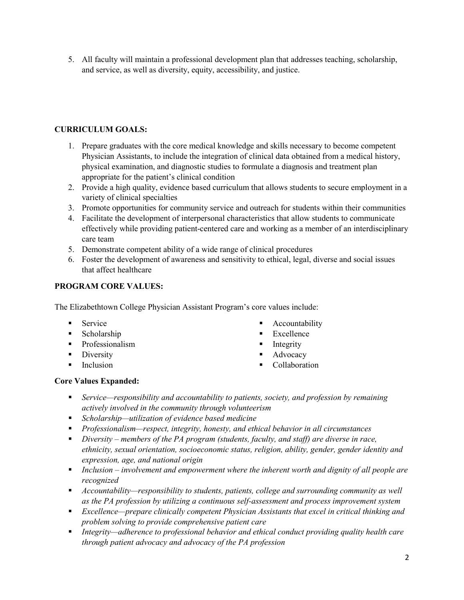5. All faculty will maintain a professional development plan that addresses teaching, scholarship, and service, as well as diversity, equity, accessibility, and justice.

## **CURRICULUM GOALS:**

- 1. Prepare graduates with the core medical knowledge and skills necessary to become competent Physician Assistants, to include the integration of clinical data obtained from a medical history, physical examination, and diagnostic studies to formulate a diagnosis and treatment plan appropriate for the patient's clinical condition
- 2. Provide a high quality, evidence based curriculum that allows students to secure employment in a variety of clinical specialties
- 3. Promote opportunities for community service and outreach for students within their communities
- 4. Facilitate the development of interpersonal characteristics that allow students to communicate effectively while providing patient-centered care and working as a member of an interdisciplinary care team
- 5. Demonstrate competent ability of a wide range of clinical procedures
- 6. Foster the development of awareness and sensitivity to ethical, legal, diverse and social issues that affect healthcare

## **PROGRAM CORE VALUES:**

The Elizabethtown College Physician Assistant Program's core values include:

- **Service**
- **Scholarship**
- **Professionalism**
- Diversity
- $\blacksquare$  Inclusion
- Accountability
- **Excellence**
- Integrity
- Advocacy
- Collaboration

## **Core Values Expanded:**

- *Service—responsibility and accountability to patients, society, and profession by remaining actively involved in the community through volunteerism*
- *Scholarship—utilization of evidence based medicine*
- *Professionalism—respect, integrity, honesty, and ethical behavior in all circumstances*
- *Diversity – members of the PA program (students, faculty, and staff) are diverse in race, ethnicity, sexual orientation, socioeconomic status, religion, ability, gender, gender identity and expression, age, and national origin*
- *Inclusion – involvement and empowerment where the inherent worth and dignity of all people are recognized*
- *Accountability—responsibility to students, patients, college and surrounding community as well as the PA profession by utilizing a continuous self-assessment and process improvement system*
- *Excellence—prepare clinically competent Physician Assistants that excel in critical thinking and problem solving to provide comprehensive patient care*
- *Integrity—adherence to professional behavior and ethical conduct providing quality health care through patient advocacy and advocacy of the PA profession*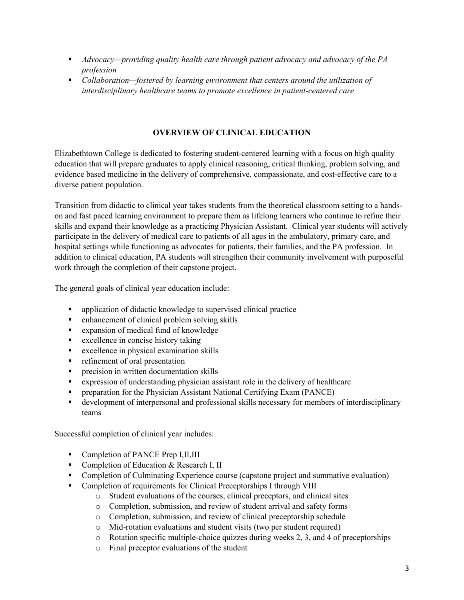- *Advocacy—providing quality health care through patient advocacy and advocacy of the PA profession*
- *Collaboration—fostered by learning environment that centers around the utilization of interdisciplinary healthcare teams to promote excellence in patient-centered care*

## **OVERVIEW OF CLINICAL EDUCATION**

Elizabethtown College is dedicated to fostering student-centered learning with a focus on high quality education that will prepare graduates to apply clinical reasoning, critical thinking, problem solving, and evidence based medicine in the delivery of comprehensive, compassionate, and cost-effective care to a diverse patient population.

Transition from didactic to clinical year takes students from the theoretical classroom setting to a handson and fast paced learning environment to prepare them as lifelong learners who continue to refine their skills and expand their knowledge as a practicing Physician Assistant. Clinical year students will actively participate in the delivery of medical care to patients of all ages in the ambulatory, primary care, and hospital settings while functioning as advocates for patients, their families, and the PA profession. In addition to clinical education, PA students will strengthen their community involvement with purposeful work through the completion of their capstone project.

The general goals of clinical year education include:

- application of didactic knowledge to supervised clinical practice
- **Exercise 1** enhancement of clinical problem solving skills
- expansion of medical fund of knowledge
- **Excellence in concise history taking**
- excellence in physical examination skills
- **F** refinement of oral presentation
- **•** precision in written documentation skills
- expression of understanding physician assistant role in the delivery of healthcare
- **•** preparation for the Physician Assistant National Certifying Exam (PANCE)
- development of interpersonal and professional skills necessary for members of interdisciplinary teams

Successful completion of clinical year includes:

- Completion of PANCE Prep I,II,III
- **Completion of Education & Research I, II**
- Completion of Culminating Experience course (capstone project and summative evaluation)
- Completion of requirements for Clinical Preceptorships I through VIII
	- o Student evaluations of the courses, clinical preceptors, and clinical sites
	- o Completion, submission, and review of student arrival and safety forms
	- o Completion, submission, and review of clinical preceptorship schedule
	- o Mid-rotation evaluations and student visits (two per student required)
	- o Rotation specific multiple-choice quizzes during weeks 2, 3, and 4 of preceptorships
	- o Final preceptor evaluations of the student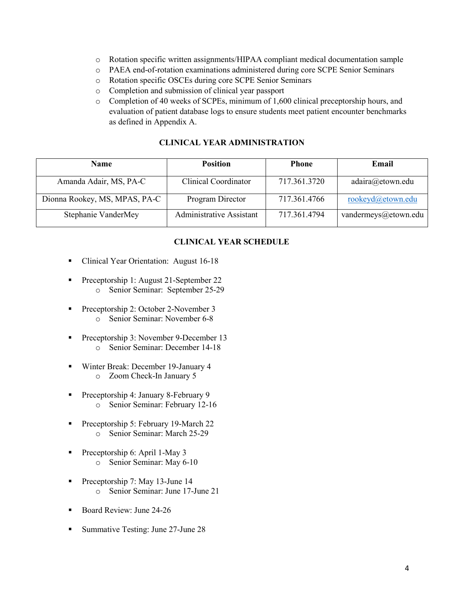- o Rotation specific written assignments/HIPAA compliant medical documentation sample
- o PAEA end-of-rotation examinations administered during core SCPE Senior Seminars
- o Rotation specific OSCEs during core SCPE Senior Seminars
- o Completion and submission of clinical year passport
- o Completion of 40 weeks of SCPEs, minimum of 1,600 clinical preceptorship hours, and evaluation of patient database logs to ensure students meet patient encounter benchmarks as defined in Appendix A.

## **CLINICAL YEAR ADMINISTRATION**

| <b>Name</b>                   | <b>Position</b>          | <b>Phone</b> | Email                |
|-------------------------------|--------------------------|--------------|----------------------|
| Amanda Adair, MS, PA-C        | Clinical Coordinator     | 717.361.3720 | adaira@etown.edu     |
| Dionna Rookey, MS, MPAS, PA-C | Program Director         | 717.361.4766 | rookeyd@etown.edu    |
| Stephanie VanderMey           | Administrative Assistant | 717.361.4794 | vandermeys@etown.edu |

## **CLINICAL YEAR SCHEDULE**

- Clinical Year Orientation: August 16-18
- Preceptorship 1: August 21-September 22 o Senior Seminar: September 25-29
- Preceptorship 2: October 2-November 3 o Senior Seminar: November 6-8
- Preceptorship 3: November 9-December 13 o Senior Seminar: December 14-18
- Winter Break: December 19-January 4 o Zoom Check-In January 5
- Preceptorship 4: January 8-February 9 o Senior Seminar: February 12-16
- Preceptorship 5: February 19-March 22 o Senior Seminar: March 25-29
- Preceptorship 6: April 1-May 3 o Senior Seminar: May 6-10
- Preceptorship 7: May 13-June 14 o Senior Seminar: June 17-June 21
- Board Review: June 24-26
- Summative Testing: June 27-June 28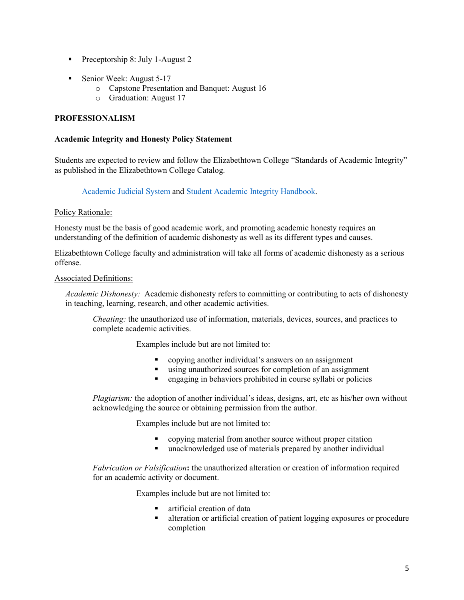- Preceptorship 8: July 1-August 2
- Senior Week: August 5-17
	- o Capstone Presentation and Banquet: August 16
	- o Graduation: August 17

## **PROFESSIONALISM**

#### **Academic Integrity and Honesty Policy Statement**

Students are expected to review and follow the Elizabethtown College "Standards of Academic Integrity" as published in the Elizabethtown College Catalog.

## [Academic Judicial System](http://catalog.etown.edu/content.php?catoid=12&navoid=610%23Academic_Judicial_System) and [Student Academic Integrity Handbook.](https://www.etown.edu/offices/dean-ofstudents/files/academic-integrity-handbook.pdf)

## Policy Rationale:

Honesty must be the basis of good academic work, and promoting academic honesty requires an understanding of the definition of academic dishonesty as well as its different types and causes.

Elizabethtown College faculty and administration will take all forms of academic dishonesty as a serious offense.

#### Associated Definitions:

*Academic Dishonesty:* Academic dishonesty refers to committing or contributing to acts of dishonesty in teaching, learning, research, and other academic activities.

*Cheating:* the unauthorized use of information, materials, devices, sources, and practices to complete academic activities.

Examples include but are not limited to:

- copying another individual's answers on an assignment
- using unauthorized sources for completion of an assignment
- engaging in behaviors prohibited in course syllabi or policies

*Plagiarism:* the adoption of another individual's ideas, designs, art, etc as his/her own without acknowledging the source or obtaining permission from the author.

Examples include but are not limited to:

- copying material from another source without proper citation
- unacknowledged use of materials prepared by another individual

*Fabrication or Falsification***:** the unauthorized alteration or creation of information required for an academic activity or document.

Examples include but are not limited to:

- artificial creation of data
- alteration or artificial creation of patient logging exposures or procedure completion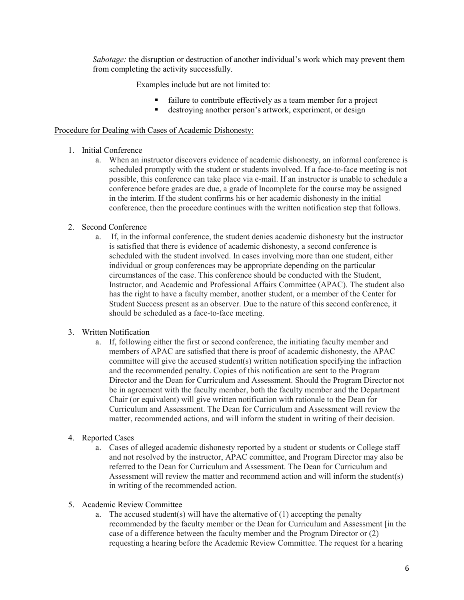*Sabotage:* the disruption or destruction of another individual's work which may prevent them from completing the activity successfully.

Examples include but are not limited to:

- failure to contribute effectively as a team member for a project<br>destroying another person's artwork experiment or design
- destroying another person's artwork, experiment, or design

## Procedure for Dealing with Cases of Academic Dishonesty:

## 1. Initial Conference

a. When an instructor discovers evidence of academic dishonesty, an informal conference is scheduled promptly with the student or students involved. If a face-to-face meeting is not possible, this conference can take place via e-mail. If an instructor is unable to schedule a conference before grades are due, a grade of Incomplete for the course may be assigned in the interim. If the student confirms his or her academic dishonesty in the initial conference, then the procedure continues with the written notification step that follows.

## 2. Second Conference

a. If, in the informal conference, the student denies academic dishonesty but the instructor is satisfied that there is evidence of academic dishonesty, a second conference is scheduled with the student involved. In cases involving more than one student, either individual or group conferences may be appropriate depending on the particular circumstances of the case. This conference should be conducted with the Student, Instructor, and Academic and Professional Affairs Committee (APAC). The student also has the right to have a faculty member, another student, or a member of the Center for Student Success present as an observer. Due to the nature of this second conference, it should be scheduled as a face-to-face meeting.

## 3. Written Notification

a. If, following either the first or second conference, the initiating faculty member and members of APAC are satisfied that there is proof of academic dishonesty, the APAC committee will give the accused student(s) written notification specifying the infraction and the recommended penalty. Copies of this notification are sent to the Program Director and the Dean for Curriculum and Assessment. Should the Program Director not be in agreement with the faculty member, both the faculty member and the Department Chair (or equivalent) will give written notification with rationale to the Dean for Curriculum and Assessment. The Dean for Curriculum and Assessment will review the matter, recommended actions, and will inform the student in writing of their decision.

## 4. Reported Cases

- a. Cases of alleged academic dishonesty reported by a student or students or College staff and not resolved by the instructor, APAC committee, and Program Director may also be referred to the Dean for Curriculum and Assessment. The Dean for Curriculum and Assessment will review the matter and recommend action and will inform the student(s) in writing of the recommended action.
- 5. Academic Review Committee
	- a. The accused student(s) will have the alternative of  $(1)$  accepting the penalty recommended by the faculty member or the Dean for Curriculum and Assessment [in the case of a difference between the faculty member and the Program Director or (2) requesting a hearing before the Academic Review Committee. The request for a hearing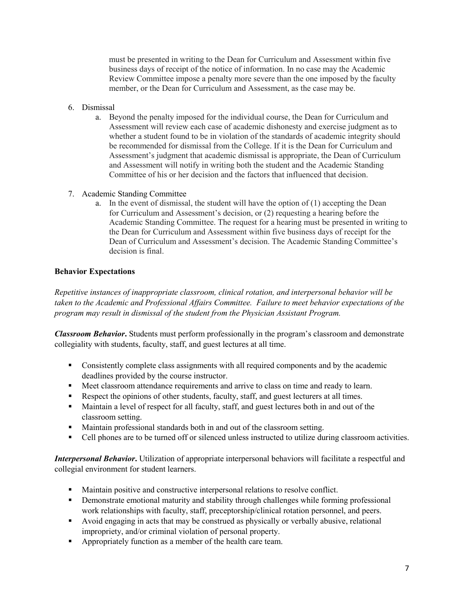must be presented in writing to the Dean for Curriculum and Assessment within five business days of receipt of the notice of information. In no case may the Academic Review Committee impose a penalty more severe than the one imposed by the faculty member, or the Dean for Curriculum and Assessment, as the case may be.

- 6. Dismissal
	- a. Beyond the penalty imposed for the individual course, the Dean for Curriculum and Assessment will review each case of academic dishonesty and exercise judgment as to whether a student found to be in violation of the standards of academic integrity should be recommended for dismissal from the College. If it is the Dean for Curriculum and Assessment's judgment that academic dismissal is appropriate, the Dean of Curriculum and Assessment will notify in writing both the student and the Academic Standing Committee of his or her decision and the factors that influenced that decision.
- 7. Academic Standing Committee
	- a. In the event of dismissal, the student will have the option of (1) accepting the Dean for Curriculum and Assessment's decision, or (2) requesting a hearing before the Academic Standing Committee. The request for a hearing must be presented in writing to the Dean for Curriculum and Assessment within five business days of receipt for the Dean of Curriculum and Assessment's decision. The Academic Standing Committee's decision is final.

## **Behavior Expectations**

*Repetitive instances of inappropriate classroom, clinical rotation, and interpersonal behavior will be taken to the Academic and Professional Affairs Committee. Failure to meet behavior expectations of the program may result in dismissal of the student from the Physician Assistant Program.* 

*Classroom Behavior***.** Students must perform professionally in the program's classroom and demonstrate collegiality with students, faculty, staff, and guest lectures at all time.

- Consistently complete class assignments with all required components and by the academic deadlines provided by the course instructor.
- Meet classroom attendance requirements and arrive to class on time and ready to learn.
- Respect the opinions of other students, faculty, staff, and guest lecturers at all times.
- Maintain a level of respect for all faculty, staff, and guest lectures both in and out of the classroom setting.
- Maintain professional standards both in and out of the classroom setting.
- Cell phones are to be turned off or silenced unless instructed to utilize during classroom activities.

*Interpersonal Behavior***.** Utilization of appropriate interpersonal behaviors will facilitate a respectful and collegial environment for student learners.

- Maintain positive and constructive interpersonal relations to resolve conflict.
- **•** Demonstrate emotional maturity and stability through challenges while forming professional work relationships with faculty, staff, preceptorship/clinical rotation personnel, and peers.
- Avoid engaging in acts that may be construed as physically or verbally abusive, relational impropriety, and/or criminal violation of personal property.
- Appropriately function as a member of the health care team.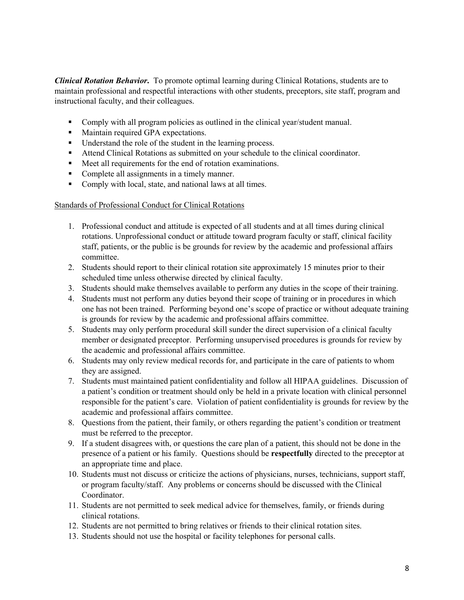*Clinical Rotation Behavior***.** To promote optimal learning during Clinical Rotations, students are to maintain professional and respectful interactions with other students, preceptors, site staff, program and instructional faculty, and their colleagues.

- Comply with all program policies as outlined in the clinical year/student manual.
- Maintain required GPA expectations.
- Understand the role of the student in the learning process.
- Attend Clinical Rotations as submitted on your schedule to the clinical coordinator.
- Meet all requirements for the end of rotation examinations.
- Complete all assignments in a timely manner.
- Comply with local, state, and national laws at all times.

#### Standards of Professional Conduct for Clinical Rotations

- 1. Professional conduct and attitude is expected of all students and at all times during clinical rotations. Unprofessional conduct or attitude toward program faculty or staff, clinical facility staff, patients, or the public is be grounds for review by the academic and professional affairs committee.
- 2. Students should report to their clinical rotation site approximately 15 minutes prior to their scheduled time unless otherwise directed by clinical faculty.
- 3. Students should make themselves available to perform any duties in the scope of their training.
- 4. Students must not perform any duties beyond their scope of training or in procedures in which one has not been trained. Performing beyond one's scope of practice or without adequate training is grounds for review by the academic and professional affairs committee.
- 5. Students may only perform procedural skill sunder the direct supervision of a clinical faculty member or designated preceptor. Performing unsupervised procedures is grounds for review by the academic and professional affairs committee.
- 6. Students may only review medical records for, and participate in the care of patients to whom they are assigned.
- 7. Students must maintained patient confidentiality and follow all HIPAA guidelines. Discussion of a patient's condition or treatment should only be held in a private location with clinical personnel responsible for the patient's care. Violation of patient confidentiality is grounds for review by the academic and professional affairs committee.
- 8. Questions from the patient, their family, or others regarding the patient's condition or treatment must be referred to the preceptor.
- 9. If a student disagrees with, or questions the care plan of a patient, this should not be done in the presence of a patient or his family. Questions should be **respectfully** directed to the preceptor at an appropriate time and place.
- 10. Students must not discuss or criticize the actions of physicians, nurses, technicians, support staff, or program faculty/staff. Any problems or concerns should be discussed with the Clinical Coordinator.
- 11. Students are not permitted to seek medical advice for themselves, family, or friends during clinical rotations.
- 12. Students are not permitted to bring relatives or friends to their clinical rotation sites.
- 13. Students should not use the hospital or facility telephones for personal calls.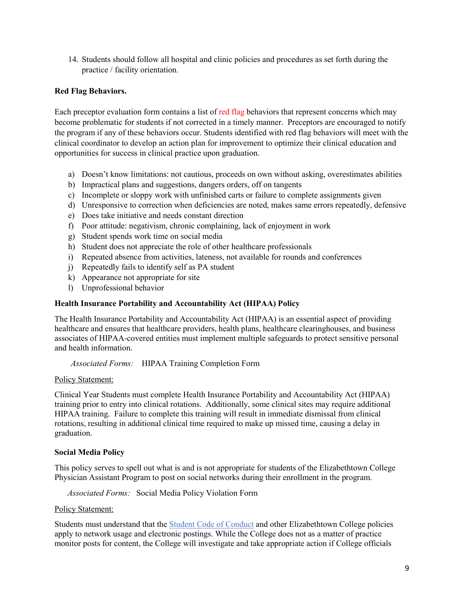14. Students should follow all hospital and clinic policies and procedures as set forth during the practice / facility orientation.

## **Red Flag Behaviors.**

Each preceptor evaluation form contains a list of red flag behaviors that represent concerns which may become problematic for students if not corrected in a timely manner. Preceptors are encouraged to notify the program if any of these behaviors occur. Students identified with red flag behaviors will meet with the clinical coordinator to develop an action plan for improvement to optimize their clinical education and opportunities for success in clinical practice upon graduation.

- a) Doesn't know limitations: not cautious, proceeds on own without asking, overestimates abilities
- b) Impractical plans and suggestions, dangers orders, off on tangents
- c) Incomplete or sloppy work with unfinished carts or failure to complete assignments given
- d) Unresponsive to correction when deficiencies are noted, makes same errors repeatedly, defensive
- e) Does take initiative and needs constant direction
- f) Poor attitude: negativism, chronic complaining, lack of enjoyment in work
- g) Student spends work time on social media
- h) Student does not appreciate the role of other healthcare professionals
- i) Repeated absence from activities, lateness, not available for rounds and conferences
- j) Repeatedly fails to identify self as PA student
- k) Appearance not appropriate for site
- l) Unprofessional behavior

## **Health Insurance Portability and Accountability Act (HIPAA) Policy**

The Health Insurance Portability and Accountability Act (HIPAA) is an essential aspect of providing healthcare and ensures that healthcare providers, health plans, healthcare clearinghouses, and business associates of HIPAA-covered entities must implement multiple safeguards to protect sensitive personal and health information.

*Associated Forms:* HIPAA Training Completion Form

## Policy Statement:

Clinical Year Students must complete Health Insurance Portability and Accountability Act (HIPAA) training prior to entry into clinical rotations. Additionally, some clinical sites may require additional HIPAA training. Failure to complete this training will result in immediate dismissal from clinical rotations, resulting in additional clinical time required to make up missed time, causing a delay in graduation.

## **Social Media Policy**

This policy serves to spell out what is and is not appropriate for students of the Elizabethtown College Physician Assistant Program to post on social networks during their enrollment in the program.

*Associated Forms:* Social Media Policy Violation Form

## Policy Statement:

Students must understand that the [Student Code of Conduct](https://catalog.etown.edu/content.php?catoid=22&navoid=1086) and other Elizabethtown College policies apply to network usage and electronic postings. While the College does not as a matter of practice monitor posts for content, the College will investigate and take appropriate action if College officials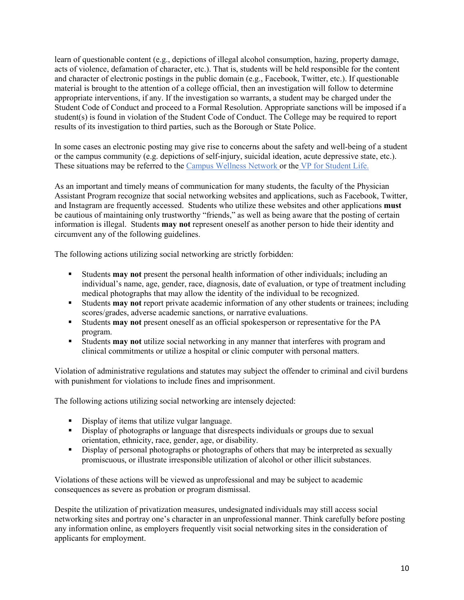learn of questionable content (e.g., depictions of illegal alcohol consumption, hazing, property damage, acts of violence, defamation of character, etc.). That is, students will be held responsible for the content and character of electronic postings in the public domain (e.g., Facebook, Twitter, etc.). If questionable material is brought to the attention of a college official, then an investigation will follow to determine appropriate interventions, if any. If the investigation so warrants, a student may be charged under the Student Code of Conduct and proceed to a Formal Resolution. Appropriate sanctions will be imposed if a student(s) is found in violation of the Student Code of Conduct. The College may be required to report results of its investigation to third parties, such as the Borough or State Police.

In some cases an electronic posting may give rise to concerns about the safety and well-being of a student or the campus community (e.g. depictions of self-injury, suicidal ideation, acute depressive state, etc.). These situations may be referred to the [Campus Wellness Network](https://www.etown.edu/offices/student-success/campus-wellness-network.aspx) or the [VP for Student Life.](https://www.etown.edu/offices/vp-student-life/about.aspx)

As an important and timely means of communication for many students, the faculty of the Physician Assistant Program recognize that social networking websites and applications, such as Facebook, Twitter, and Instagram are frequently accessed. Students who utilize these websites and other applications **must** be cautious of maintaining only trustworthy "friends," as well as being aware that the posting of certain information is illegal. Students **may not** represent oneself as another person to hide their identity and circumvent any of the following guidelines.

The following actions utilizing social networking are strictly forbidden:

- Students **may not** present the personal health information of other individuals; including an individual's name, age, gender, race, diagnosis, date of evaluation, or type of treatment including medical photographs that may allow the identity of the individual to be recognized.
- Students **may not** report private academic information of any other students or trainees; including scores/grades, adverse academic sanctions, or narrative evaluations.
- Students **may not** present oneself as an official spokesperson or representative for the PA program.
- Students **may not** utilize social networking in any manner that interferes with program and clinical commitments or utilize a hospital or clinic computer with personal matters.

Violation of administrative regulations and statutes may subject the offender to criminal and civil burdens with punishment for violations to include fines and imprisonment.

The following actions utilizing social networking are intensely dejected:

- Display of items that utilize vulgar language.
- Display of photographs or language that disrespects individuals or groups due to sexual orientation, ethnicity, race, gender, age, or disability.
- Display of personal photographs or photographs of others that may be interpreted as sexually promiscuous, or illustrate irresponsible utilization of alcohol or other illicit substances.

Violations of these actions will be viewed as unprofessional and may be subject to academic consequences as severe as probation or program dismissal.

Despite the utilization of privatization measures, undesignated individuals may still access social networking sites and portray one's character in an unprofessional manner. Think carefully before posting any information online, as employers frequently visit social networking sites in the consideration of applicants for employment.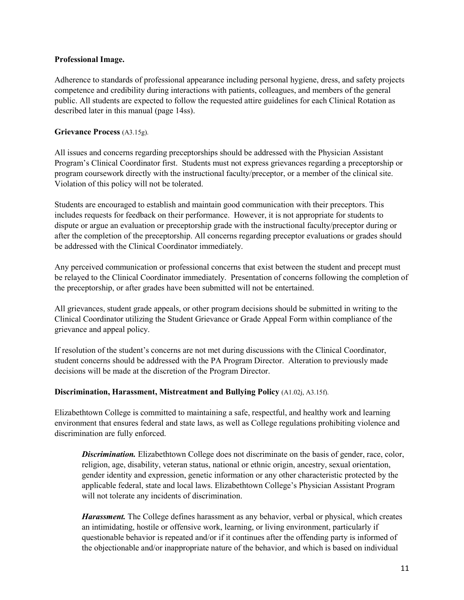## **Professional Image.**

Adherence to standards of professional appearance including personal hygiene, dress, and safety projects competence and credibility during interactions with patients, colleagues, and members of the general public. All students are expected to follow the requested attire guidelines for each Clinical Rotation as described later in this manual (page 14ss).

## **Grievance Process** (A3.15g).

All issues and concerns regarding preceptorships should be addressed with the Physician Assistant Program's Clinical Coordinator first. Students must not express grievances regarding a preceptorship or program coursework directly with the instructional faculty/preceptor, or a member of the clinical site. Violation of this policy will not be tolerated.

Students are encouraged to establish and maintain good communication with their preceptors. This includes requests for feedback on their performance. However, it is not appropriate for students to dispute or argue an evaluation or preceptorship grade with the instructional faculty/preceptor during or after the completion of the preceptorship. All concerns regarding preceptor evaluations or grades should be addressed with the Clinical Coordinator immediately.

Any perceived communication or professional concerns that exist between the student and precept must be relayed to the Clinical Coordinator immediately. Presentation of concerns following the completion of the preceptorship, or after grades have been submitted will not be entertained.

All grievances, student grade appeals, or other program decisions should be submitted in writing to the Clinical Coordinator utilizing the Student Grievance or Grade Appeal Form within compliance of the grievance and appeal policy.

If resolution of the student's concerns are not met during discussions with the Clinical Coordinator, student concerns should be addressed with the PA Program Director. Alteration to previously made decisions will be made at the discretion of the Program Director.

## **Discrimination, Harassment, Mistreatment and Bullying Policy** (A1.02j, A3.15f).

Elizabethtown College is committed to maintaining a safe, respectful, and healthy work and learning environment that ensures federal and state laws, as well as College regulations prohibiting violence and discrimination are fully enforced.

*Discrimination.* Elizabethtown College does not discriminate on the basis of gender, race, color, religion, age, disability, veteran status, national or ethnic origin, ancestry, sexual orientation, gender identity and expression, genetic information or any other characteristic protected by the applicable federal, state and local laws. Elizabethtown College's Physician Assistant Program will not tolerate any incidents of discrimination.

*Harassment.* The College defines harassment as any behavior, verbal or physical, which creates an intimidating, hostile or offensive work, learning, or living environment, particularly if questionable behavior is repeated and/or if it continues after the offending party is informed of the objectionable and/or inappropriate nature of the behavior, and which is based on individual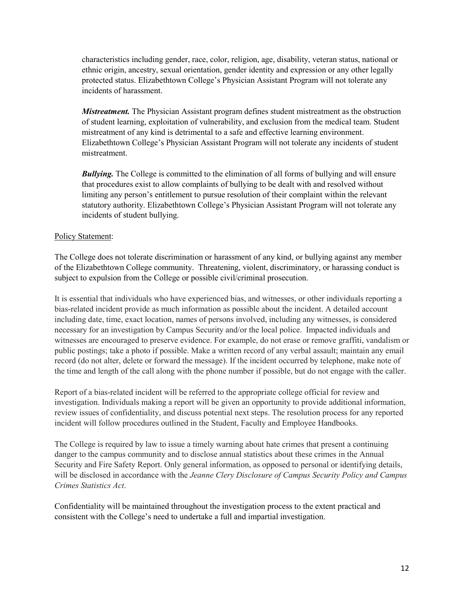characteristics including gender, race, color, religion, age, disability, veteran status, national or ethnic origin, ancestry, sexual orientation, gender identity and expression or any other legally protected status. Elizabethtown College's Physician Assistant Program will not tolerate any incidents of harassment.

*Mistreatment.* The Physician Assistant program defines student mistreatment as the obstruction of student learning, exploitation of vulnerability, and exclusion from the medical team. Student mistreatment of any kind is detrimental to a safe and effective learning environment. Elizabethtown College's Physician Assistant Program will not tolerate any incidents of student mistreatment.

*Bullying.* The College is committed to the elimination of all forms of bullying and will ensure that procedures exist to allow complaints of bullying to be dealt with and resolved without limiting any person's entitlement to pursue resolution of their complaint within the relevant statutory authority. Elizabethtown College's Physician Assistant Program will not tolerate any incidents of student bullying.

## Policy Statement:

The College does not tolerate discrimination or harassment of any kind, or bullying against any member of the Elizabethtown College community. Threatening, violent, discriminatory, or harassing conduct is subject to expulsion from the College or possible civil/criminal prosecution.

It is essential that individuals who have experienced bias, and witnesses, or other individuals reporting a bias-related incident provide as much information as possible about the incident. A detailed account including date, time, exact location, names of persons involved, including any witnesses, is considered necessary for an investigation by Campus Security and/or the local police. Impacted individuals and witnesses are encouraged to preserve evidence. For example, do not erase or remove graffiti, vandalism or public postings; take a photo if possible. Make a written record of any verbal assault; maintain any email record (do not alter, delete or forward the message). If the incident occurred by telephone, make note of the time and length of the call along with the phone number if possible, but do not engage with the caller.

Report of a bias-related incident will be referred to the appropriate college official for review and investigation. Individuals making a report will be given an opportunity to provide additional information, review issues of confidentiality, and discuss potential next steps. The resolution process for any reported incident will follow procedures outlined in the Student, Faculty and Employee Handbooks.

The College is required by law to issue a timely warning about hate crimes that present a continuing danger to the campus community and to disclose annual statistics about these crimes in the Annual Security and Fire Safety Report. Only general information, as opposed to personal or identifying details, will be disclosed in accordance with the *Jeanne Clery Disclosure of Campus Security Policy and Campus Crimes Statistics Act*.

Confidentiality will be maintained throughout the investigation process to the extent practical and consistent with the College's need to undertake a full and impartial investigation.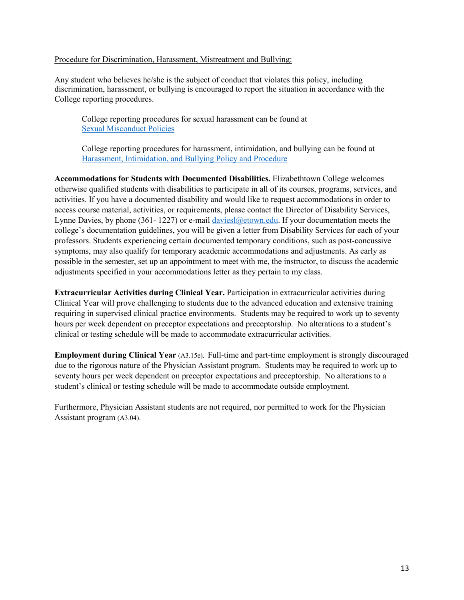#### Procedure for Discrimination, Harassment, Mistreatment and Bullying:

Any student who believes he/she is the subject of conduct that violates this policy, including discrimination, harassment, or bullying is encouraged to report the situation in accordance with the College reporting procedures.

College reporting procedures for sexual harassment can be found at [Sexual Misconduct Policies](https://catalog.etown.edu/content.php?catoid=9&navoid=468) 

College reporting procedures for harassment, intimidation, and bullying can be found at [Harassment, Intimidation, and Bullying Policy and Procedure](https://catalog.etown.edu/content.php?catoid=9&navoid=459#policy-regarding-harassment,-intimidation,-and-bullying) 

**Accommodations for Students with Documented Disabilities.** Elizabethtown College welcomes otherwise qualified students with disabilities to participate in all of its courses, programs, services, and activities. If you have a documented disability and would like to request accommodations in order to access course material, activities, or requirements, please contact the Director of Disability Services, Lynne Davies, by phone (361-1227) or e-mail davies  $\alpha$  etown.edu. If your documentation meets the college's documentation guidelines, you will be given a letter from Disability Services for each of your professors. Students experiencing certain documented temporary conditions, such as post-concussive symptoms, may also qualify for temporary academic accommodations and adjustments. As early as possible in the semester, set up an appointment to meet with me, the instructor, to discuss the academic adjustments specified in your accommodations letter as they pertain to my class.

**Extracurricular Activities during Clinical Year.** Participation in extracurricular activities during Clinical Year will prove challenging to students due to the advanced education and extensive training requiring in supervised clinical practice environments. Students may be required to work up to seventy hours per week dependent on preceptor expectations and preceptorship. No alterations to a student's clinical or testing schedule will be made to accommodate extracurricular activities.

**Employment during Clinical Year** (A3.15e). Full-time and part-time employment is strongly discouraged due to the rigorous nature of the Physician Assistant program. Students may be required to work up to seventy hours per week dependent on preceptor expectations and preceptorship. No alterations to a student's clinical or testing schedule will be made to accommodate outside employment.

Furthermore, Physician Assistant students are not required, nor permitted to work for the Physician Assistant program (A3.04).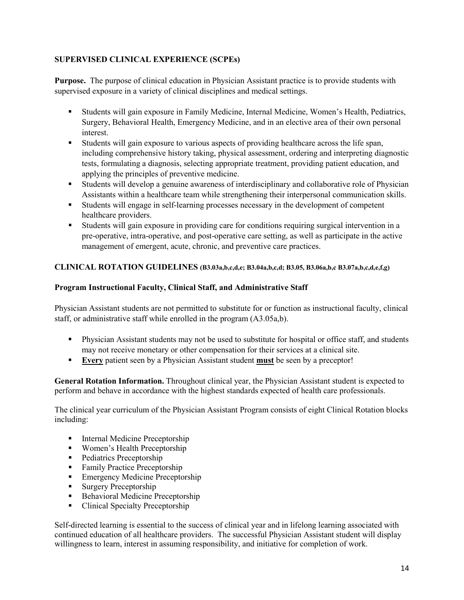## **SUPERVISED CLINICAL EXPERIENCE (SCPEs)**

**Purpose.** The purpose of clinical education in Physician Assistant practice is to provide students with supervised exposure in a variety of clinical disciplines and medical settings.

- Students will gain exposure in Family Medicine, Internal Medicine, Women's Health, Pediatrics, Surgery, Behavioral Health, Emergency Medicine, and in an elective area of their own personal interest.
- Students will gain exposure to various aspects of providing healthcare across the life span, including comprehensive history taking, physical assessment, ordering and interpreting diagnostic tests, formulating a diagnosis, selecting appropriate treatment, providing patient education, and applying the principles of preventive medicine.
- Students will develop a genuine awareness of interdisciplinary and collaborative role of Physician Assistants within a healthcare team while strengthening their interpersonal communication skills.
- Students will engage in self-learning processes necessary in the development of competent healthcare providers.
- Students will gain exposure in providing care for conditions requiring surgical intervention in a pre-operative, intra-operative, and post-operative care setting, as well as participate in the active management of emergent, acute, chronic, and preventive care practices.

## **CLINICAL ROTATION GUIDELINES (B3.03a,b,c,d,e; B3.04a,b,c,d; B3.05, B3.06a,b,c B3.07a,b,c,d,e,f,g)**

## **Program Instructional Faculty, Clinical Staff, and Administrative Staff**

Physician Assistant students are not permitted to substitute for or function as instructional faculty, clinical staff, or administrative staff while enrolled in the program (A3.05a,b).

- Physician Assistant students may not be used to substitute for hospital or office staff, and students may not receive monetary or other compensation for their services at a clinical site.
- **Every** patient seen by a Physician Assistant student **must** be seen by a preceptor!

**General Rotation Information.** Throughout clinical year, the Physician Assistant student is expected to perform and behave in accordance with the highest standards expected of health care professionals.

The clinical year curriculum of the Physician Assistant Program consists of eight Clinical Rotation blocks including:

- **Internal Medicine Preceptorship**
- Women's Health Preceptorship
- Pediatrics Preceptorship
- **Family Practice Preceptorship**
- **Emergency Medicine Preceptorship**
- **Surgery Preceptorship**
- Behavioral Medicine Preceptorship
- Clinical Specialty Preceptorship

Self-directed learning is essential to the success of clinical year and in lifelong learning associated with continued education of all healthcare providers. The successful Physician Assistant student will display willingness to learn, interest in assuming responsibility, and initiative for completion of work.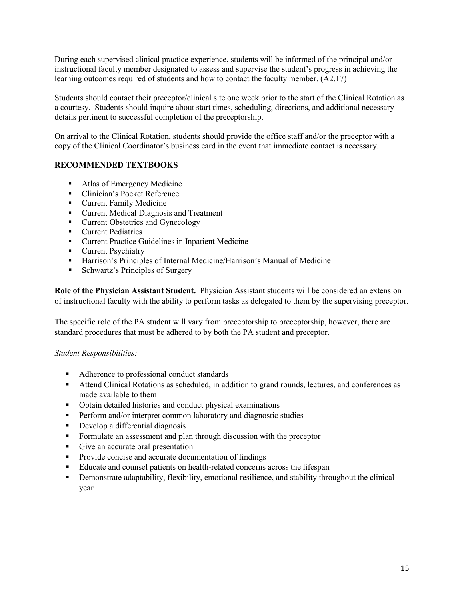During each supervised clinical practice experience, students will be informed of the principal and/or instructional faculty member designated to assess and supervise the student's progress in achieving the learning outcomes required of students and how to contact the faculty member. (A2.17)

Students should contact their preceptor/clinical site one week prior to the start of the Clinical Rotation as a courtesy. Students should inquire about start times, scheduling, directions, and additional necessary details pertinent to successful completion of the preceptorship.

On arrival to the Clinical Rotation, students should provide the office staff and/or the preceptor with a copy of the Clinical Coordinator's business card in the event that immediate contact is necessary.

## **RECOMMENDED TEXTBOOKS**

- Atlas of Emergency Medicine
- Clinician's Pocket Reference
- **Current Family Medicine**
- **Current Medical Diagnosis and Treatment**
- **Current Obstetrics and Gynecology**
- **Current Pediatrics**
- Current Practice Guidelines in Inpatient Medicine
- **Current Psychiatry**
- Harrison's Principles of Internal Medicine/Harrison's Manual of Medicine
- **Schwartz's Principles of Surgery**

**Role of the Physician Assistant Student.** Physician Assistant students will be considered an extension of instructional faculty with the ability to perform tasks as delegated to them by the supervising preceptor.

The specific role of the PA student will vary from preceptorship to preceptorship, however, there are standard procedures that must be adhered to by both the PA student and preceptor.

## *Student Responsibilities:*

- Adherence to professional conduct standards
- Attend Clinical Rotations as scheduled, in addition to grand rounds, lectures, and conferences as made available to them
- Obtain detailed histories and conduct physical examinations
- Perform and/or interpret common laboratory and diagnostic studies
- Develop a differential diagnosis
- Formulate an assessment and plan through discussion with the preceptor
- Give an accurate oral presentation
- Provide concise and accurate documentation of findings
- Educate and counsel patients on health-related concerns across the lifespan
- Demonstrate adaptability, flexibility, emotional resilience, and stability throughout the clinical year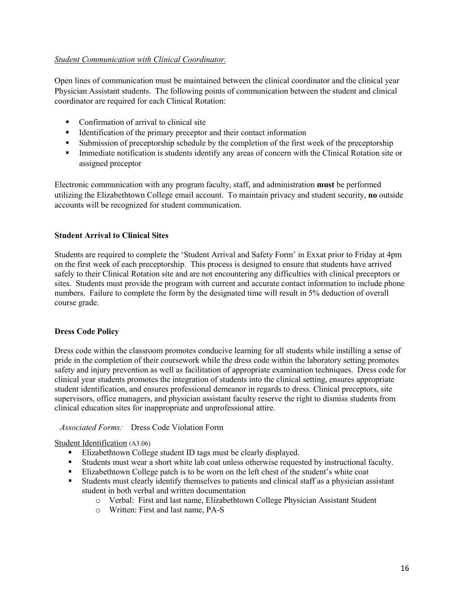## *Student Communication with Clinical Coordinator.*

Open lines of communication must be maintained between the clinical coordinator and the clinical year Physician Assistant students. The following points of communication between the student and clinical coordinator are required for each Clinical Rotation:

- Confirmation of arrival to clinical site
- Identification of the primary preceptor and their contact information
- Submission of preceptorship schedule by the completion of the first week of the preceptorship
- **Immediate notification is students identify any areas of concern with the Clinical Rotation site or** assigned preceptor

Electronic communication with any program faculty, staff, and administration **must** be performed utilizing the Elizabethtown College email account. To maintain privacy and student security, **no** outside accounts will be recognized for student communication.

## **Student Arrival to Clinical Sites**

Students are required to complete the 'Student Arrival and Safety Form' in Exxat prior to Friday at 4pm on the first week of each preceptorship. This process is designed to ensure that students have arrived safely to their Clinical Rotation site and are not encountering any difficulties with clinical preceptors or sites. Students must provide the program with current and accurate contact information to include phone numbers. Failure to complete the form by the designated time will result in 5% deduction of overall course grade.

## **Dress Code Policy**

Dress code within the classroom promotes conducive learning for all students while instilling a sense of pride in the completion of their coursework while the dress code within the laboratory setting promotes safety and injury prevention as well as facilitation of appropriate examination techniques. Dress code for clinical year students promotes the integration of students into the clinical setting, ensures appropriate student identification, and ensures professional demeanor in regards to dress. Clinical preceptors, site supervisors, office managers, and physician assistant faculty reserve the right to dismiss students from clinical education sites for inappropriate and unprofessional attire.

## *Associated Forms:* Dress Code Violation Form

## Student Identification (A3.06)

- Elizabethtown College student ID tags must be clearly displayed.
- Students must wear a short white lab coat unless otherwise requested by instructional faculty.
- Elizabethtown College patch is to be worn on the left chest of the student's white coat
- Students must clearly identify themselves to patients and clinical staff as a physician assistant student in both verbal and written documentation
	- o Verbal: First and last name, Elizabethtown College Physician Assistant Student
	- o Written: First and last name, PA-S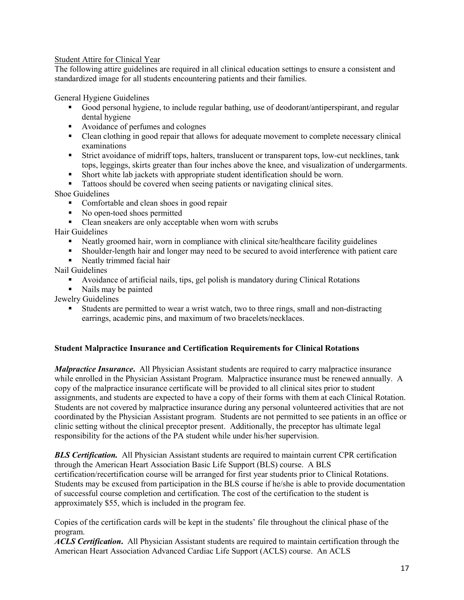## Student Attire for Clinical Year

The following attire guidelines are required in all clinical education settings to ensure a consistent and standardized image for all students encountering patients and their families.

General Hygiene Guidelines

- Good personal hygiene, to include regular bathing, use of deodorant/antiperspirant, and regular dental hygiene
- Avoidance of perfumes and colognes
- Clean clothing in good repair that allows for adequate movement to complete necessary clinical examinations
- Strict avoidance of midriff tops, halters, translucent or transparent tops, low-cut necklines, tank tops, leggings, skirts greater than four inches above the knee, and visualization of undergarments.
- Short white lab jackets with appropriate student identification should be worn.
- Tattoos should be covered when seeing patients or navigating clinical sites.

Shoe Guidelines

- Comfortable and clean shoes in good repair
- No open-toed shoes permitted
- Clean sneakers are only acceptable when worn with scrubs

Hair Guidelines

- Neatly groomed hair, worn in compliance with clinical site/healthcare facility guidelines
- Shoulder-length hair and longer may need to be secured to avoid interference with patient care
- Neatly trimmed facial hair

Nail Guidelines

- Avoidance of artificial nails, tips, gel polish is mandatory during Clinical Rotations
- Nails may be painted

Jewelry Guidelines

 Students are permitted to wear a wrist watch, two to three rings, small and non-distracting earrings, academic pins, and maximum of two bracelets/necklaces.

## **Student Malpractice Insurance and Certification Requirements for Clinical Rotations**

*Malpractice Insurance***.** All Physician Assistant students are required to carry malpractice insurance while enrolled in the Physician Assistant Program. Malpractice insurance must be renewed annually. A copy of the malpractice insurance certificate will be provided to all clinical sites prior to student assignments, and students are expected to have a copy of their forms with them at each Clinical Rotation. Students are not covered by malpractice insurance during any personal volunteered activities that are not coordinated by the Physician Assistant program. Students are not permitted to see patients in an office or clinic setting without the clinical preceptor present. Additionally, the preceptor has ultimate legal responsibility for the actions of the PA student while under his/her supervision.

*BLS Certification.*All Physician Assistant students are required to maintain current CPR certification through the American Heart Association Basic Life Support (BLS) course. A BLS certification/recertification course will be arranged for first year students prior to Clinical Rotations. Students may be excused from participation in the BLS course if he/she is able to provide documentation of successful course completion and certification. The cost of the certification to the student is approximately \$55, which is included in the program fee.

Copies of the certification cards will be kept in the students' file throughout the clinical phase of the program.

*ACLS Certification***.** All Physician Assistant students are required to maintain certification through the American Heart Association Advanced Cardiac Life Support (ACLS) course. An ACLS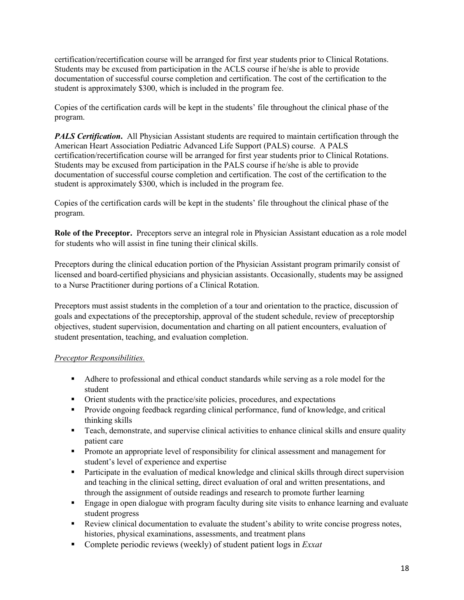certification/recertification course will be arranged for first year students prior to Clinical Rotations. Students may be excused from participation in the ACLS course if he/she is able to provide documentation of successful course completion and certification. The cost of the certification to the student is approximately \$300, which is included in the program fee.

Copies of the certification cards will be kept in the students' file throughout the clinical phase of the program.

*PALS Certification.* All Physician Assistant students are required to maintain certification through the American Heart Association Pediatric Advanced Life Support (PALS) course. A PALS certification/recertification course will be arranged for first year students prior to Clinical Rotations. Students may be excused from participation in the PALS course if he/she is able to provide documentation of successful course completion and certification. The cost of the certification to the student is approximately \$300, which is included in the program fee.

Copies of the certification cards will be kept in the students' file throughout the clinical phase of the program.

**Role of the Preceptor.** Preceptors serve an integral role in Physician Assistant education as a role model for students who will assist in fine tuning their clinical skills.

Preceptors during the clinical education portion of the Physician Assistant program primarily consist of licensed and board-certified physicians and physician assistants. Occasionally, students may be assigned to a Nurse Practitioner during portions of a Clinical Rotation.

Preceptors must assist students in the completion of a tour and orientation to the practice, discussion of goals and expectations of the preceptorship, approval of the student schedule, review of preceptorship objectives, student supervision, documentation and charting on all patient encounters, evaluation of student presentation, teaching, and evaluation completion.

## *Preceptor Responsibilities.*

- Adhere to professional and ethical conduct standards while serving as a role model for the student
- Orient students with the practice/site policies, procedures, and expectations
- **Provide ongoing feedback regarding clinical performance, fund of knowledge, and critical** thinking skills
- **Teach, demonstrate, and supervise clinical activities to enhance clinical skills and ensure quality** patient care
- Promote an appropriate level of responsibility for clinical assessment and management for student's level of experience and expertise
- **Participate in the evaluation of medical knowledge and clinical skills through direct supervision** and teaching in the clinical setting, direct evaluation of oral and written presentations, and through the assignment of outside readings and research to promote further learning
- **Engage in open dialogue with program faculty during site visits to enhance learning and evaluate** student progress
- Review clinical documentation to evaluate the student's ability to write concise progress notes, histories, physical examinations, assessments, and treatment plans
- Complete periodic reviews (weekly) of student patient logs in *Exxat*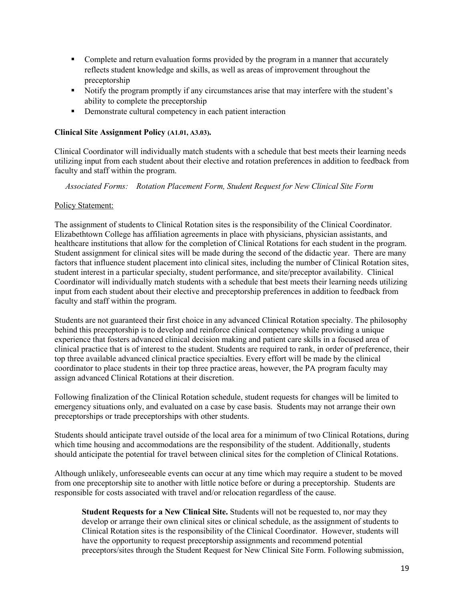- Complete and return evaluation forms provided by the program in a manner that accurately reflects student knowledge and skills, as well as areas of improvement throughout the preceptorship
- Notify the program promptly if any circumstances arise that may interfere with the student's ability to complete the preceptorship
- Demonstrate cultural competency in each patient interaction

## **Clinical Site Assignment Policy (A1.01, A3.03).**

Clinical Coordinator will individually match students with a schedule that best meets their learning needs utilizing input from each student about their elective and rotation preferences in addition to feedback from faculty and staff within the program.

*Associated Forms: Rotation Placement Form, Student Request for New Clinical Site Form* 

## Policy Statement:

The assignment of students to Clinical Rotation sites is the responsibility of the Clinical Coordinator. Elizabethtown College has affiliation agreements in place with physicians, physician assistants, and healthcare institutions that allow for the completion of Clinical Rotations for each student in the program. Student assignment for clinical sites will be made during the second of the didactic year. There are many factors that influence student placement into clinical sites, including the number of Clinical Rotation sites, student interest in a particular specialty, student performance, and site/preceptor availability. Clinical Coordinator will individually match students with a schedule that best meets their learning needs utilizing input from each student about their elective and preceptorship preferences in addition to feedback from faculty and staff within the program.

Students are not guaranteed their first choice in any advanced Clinical Rotation specialty. The philosophy behind this preceptorship is to develop and reinforce clinical competency while providing a unique experience that fosters advanced clinical decision making and patient care skills in a focused area of clinical practice that is of interest to the student. Students are required to rank, in order of preference, their top three available advanced clinical practice specialties. Every effort will be made by the clinical coordinator to place students in their top three practice areas, however, the PA program faculty may assign advanced Clinical Rotations at their discretion.

Following finalization of the Clinical Rotation schedule, student requests for changes will be limited to emergency situations only, and evaluated on a case by case basis. Students may not arrange their own preceptorships or trade preceptorships with other students.

Students should anticipate travel outside of the local area for a minimum of two Clinical Rotations, during which time housing and accommodations are the responsibility of the student. Additionally, students should anticipate the potential for travel between clinical sites for the completion of Clinical Rotations.

Although unlikely, unforeseeable events can occur at any time which may require a student to be moved from one preceptorship site to another with little notice before or during a preceptorship. Students are responsible for costs associated with travel and/or relocation regardless of the cause.

**Student Requests for a New Clinical Site.** Students will not be requested to, nor may they develop or arrange their own clinical sites or clinical schedule, as the assignment of students to Clinical Rotation sites is the responsibility of the Clinical Coordinator. However, students will have the opportunity to request preceptorship assignments and recommend potential preceptors/sites through the Student Request for New Clinical Site Form. Following submission,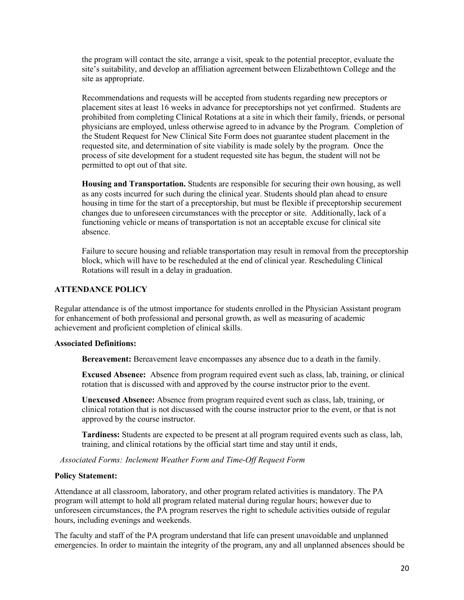the program will contact the site, arrange a visit, speak to the potential preceptor, evaluate the site's suitability, and develop an affiliation agreement between Elizabethtown College and the site as appropriate.

Recommendations and requests will be accepted from students regarding new preceptors or placement sites at least 16 weeks in advance for preceptorships not yet confirmed. Students are prohibited from completing Clinical Rotations at a site in which their family, friends, or personal physicians are employed, unless otherwise agreed to in advance by the Program. Completion of the Student Request for New Clinical Site Form does not guarantee student placement in the requested site, and determination of site viability is made solely by the program. Once the process of site development for a student requested site has begun, the student will not be permitted to opt out of that site.

**Housing and Transportation.** Students are responsible for securing their own housing, as well as any costs incurred for such during the clinical year. Students should plan ahead to ensure housing in time for the start of a preceptorship, but must be flexible if preceptorship securement changes due to unforeseen circumstances with the preceptor or site. Additionally, lack of a functioning vehicle or means of transportation is not an acceptable excuse for clinical site absence.

Failure to secure housing and reliable transportation may result in removal from the preceptorship block, which will have to be rescheduled at the end of clinical year. Rescheduling Clinical Rotations will result in a delay in graduation.

## **ATTENDANCE POLICY**

Regular attendance is of the utmost importance for students enrolled in the Physician Assistant program for enhancement of both professional and personal growth, as well as measuring of academic achievement and proficient completion of clinical skills.

## **Associated Definitions:**

**Bereavement:** Bereavement leave encompasses any absence due to a death in the family.

**Excused Absence:** Absence from program required event such as class, lab, training, or clinical rotation that is discussed with and approved by the course instructor prior to the event.

**Unexcused Absence:** Absence from program required event such as class, lab, training, or clinical rotation that is not discussed with the course instructor prior to the event, or that is not approved by the course instructor.

**Tardiness:** Students are expected to be present at all program required events such as class, lab, training, and clinical rotations by the official start time and stay until it ends,

*Associated Forms: Inclement Weather Form and Time-Off Request Form*

#### **Policy Statement:**

Attendance at all classroom, laboratory, and other program related activities is mandatory. The PA program will attempt to hold all program related material during regular hours; however due to unforeseen circumstances, the PA program reserves the right to schedule activities outside of regular hours, including evenings and weekends.

The faculty and staff of the PA program understand that life can present unavoidable and unplanned emergencies. In order to maintain the integrity of the program, any and all unplanned absences should be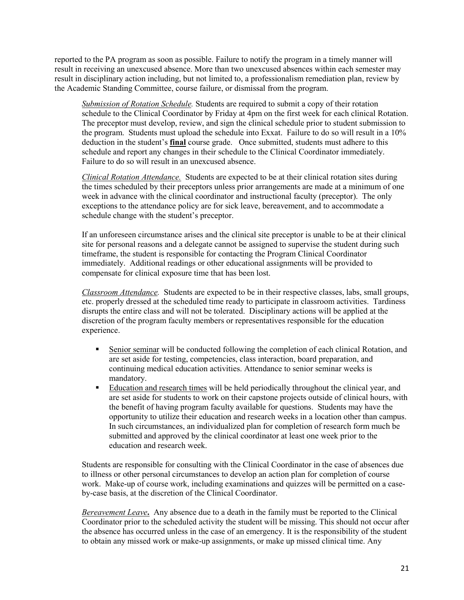reported to the PA program as soon as possible. Failure to notify the program in a timely manner will result in receiving an unexcused absence. More than two unexcused absences within each semester may result in disciplinary action including, but not limited to, a professionalism remediation plan, review by the Academic Standing Committee, course failure, or dismissal from the program.

*Submission of Rotation Schedule.* Students are required to submit a copy of their rotation schedule to the Clinical Coordinator by Friday at 4pm on the first week for each clinical Rotation. The preceptor must develop, review, and sign the clinical schedule prior to student submission to the program. Students must upload the schedule into Exxat. Failure to do so will result in a 10% deduction in the student's **final** course grade. Once submitted, students must adhere to this schedule and report any changes in their schedule to the Clinical Coordinator immediately. Failure to do so will result in an unexcused absence.

*Clinical Rotation Attendance.* Students are expected to be at their clinical rotation sites during the times scheduled by their preceptors unless prior arrangements are made at a minimum of one week in advance with the clinical coordinator and instructional faculty (preceptor). The only exceptions to the attendance policy are for sick leave, bereavement, and to accommodate a schedule change with the student's preceptor.

If an unforeseen circumstance arises and the clinical site preceptor is unable to be at their clinical site for personal reasons and a delegate cannot be assigned to supervise the student during such timeframe, the student is responsible for contacting the Program Clinical Coordinator immediately. Additional readings or other educational assignments will be provided to compensate for clinical exposure time that has been lost.

*Classroom Attendance.* Students are expected to be in their respective classes, labs, small groups, etc. properly dressed at the scheduled time ready to participate in classroom activities. Tardiness disrupts the entire class and will not be tolerated. Disciplinary actions will be applied at the discretion of the program faculty members or representatives responsible for the education experience.

- Senior seminar will be conducted following the completion of each clinical Rotation, and are set aside for testing, competencies, class interaction, board preparation, and continuing medical education activities. Attendance to senior seminar weeks is mandatory.
- Education and research times will be held periodically throughout the clinical year, and are set aside for students to work on their capstone projects outside of clinical hours, with the benefit of having program faculty available for questions. Students may have the opportunity to utilize their education and research weeks in a location other than campus. In such circumstances, an individualized plan for completion of research form much be submitted and approved by the clinical coordinator at least one week prior to the education and research week.

Students are responsible for consulting with the Clinical Coordinator in the case of absences due to illness or other personal circumstances to develop an action plan for completion of course work. Make-up of course work, including examinations and quizzes will be permitted on a caseby-case basis, at the discretion of the Clinical Coordinator.

*Bereavement Leave***.** Any absence due to a death in the family must be reported to the Clinical Coordinator prior to the scheduled activity the student will be missing. This should not occur after the absence has occurred unless in the case of an emergency. It is the responsibility of the student to obtain any missed work or make-up assignments, or make up missed clinical time. Any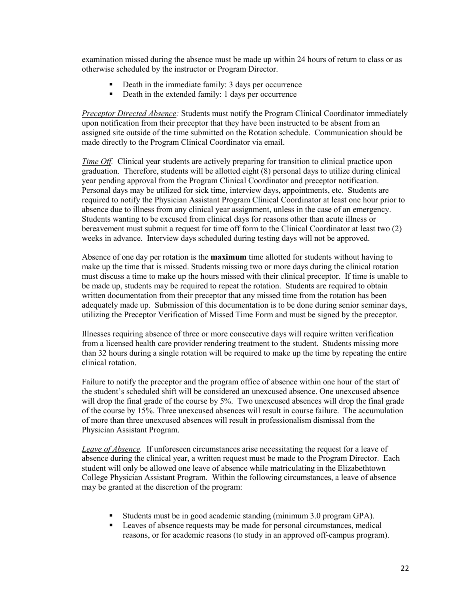examination missed during the absence must be made up within 24 hours of return to class or as otherwise scheduled by the instructor or Program Director.

- Death in the immediate family: 3 days per occurrence
- Death in the extended family: 1 days per occurrence

*Preceptor Directed Absence:* Students must notify the Program Clinical Coordinator immediately upon notification from their preceptor that they have been instructed to be absent from an assigned site outside of the time submitted on the Rotation schedule. Communication should be made directly to the Program Clinical Coordinator via email.

*Time Off.* Clinical year students are actively preparing for transition to clinical practice upon graduation. Therefore, students will be allotted eight (8) personal days to utilize during clinical year pending approval from the Program Clinical Coordinator and preceptor notification. Personal days may be utilized for sick time, interview days, appointments, etc. Students are required to notify the Physician Assistant Program Clinical Coordinator at least one hour prior to absence due to illness from any clinical year assignment, unless in the case of an emergency. Students wanting to be excused from clinical days for reasons other than acute illness or bereavement must submit a request for time off form to the Clinical Coordinator at least two (2) weeks in advance. Interview days scheduled during testing days will not be approved.

Absence of one day per rotation is the **maximum** time allotted for students without having to make up the time that is missed. Students missing two or more days during the clinical rotation must discuss a time to make up the hours missed with their clinical preceptor. If time is unable to be made up, students may be required to repeat the rotation. Students are required to obtain written documentation from their preceptor that any missed time from the rotation has been adequately made up. Submission of this documentation is to be done during senior seminar days, utilizing the Preceptor Verification of Missed Time Form and must be signed by the preceptor.

Illnesses requiring absence of three or more consecutive days will require written verification from a licensed health care provider rendering treatment to the student. Students missing more than 32 hours during a single rotation will be required to make up the time by repeating the entire clinical rotation.

Failure to notify the preceptor and the program office of absence within one hour of the start of the student's scheduled shift will be considered an unexcused absence. One unexcused absence will drop the final grade of the course by 5%. Two unexcused absences will drop the final grade of the course by 15%. Three unexcused absences will result in course failure. The accumulation of more than three unexcused absences will result in professionalism dismissal from the Physician Assistant Program.

*Leave of Absence.* If unforeseen circumstances arise necessitating the request for a leave of absence during the clinical year, a written request must be made to the Program Director. Each student will only be allowed one leave of absence while matriculating in the Elizabethtown College Physician Assistant Program. Within the following circumstances, a leave of absence may be granted at the discretion of the program:

- Students must be in good academic standing (minimum 3.0 program GPA).
- **Leaves of absence requests may be made for personal circumstances, medical** reasons, or for academic reasons (to study in an approved off-campus program).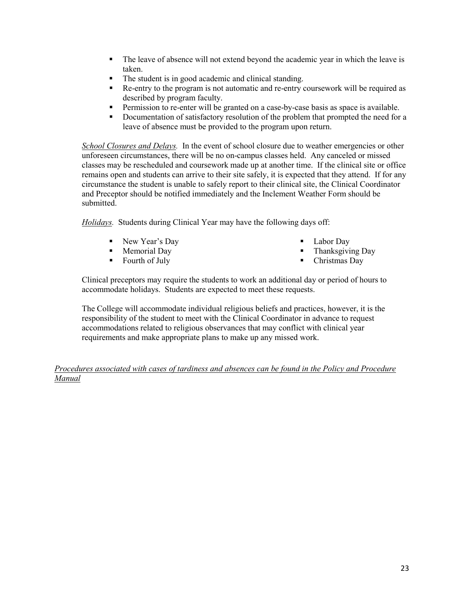- The leave of absence will not extend beyond the academic year in which the leave is taken.
- The student is in good academic and clinical standing.
- Re-entry to the program is not automatic and re-entry coursework will be required as described by program faculty.
- Permission to re-enter will be granted on a case-by-case basis as space is available.
- Documentation of satisfactory resolution of the problem that prompted the need for a leave of absence must be provided to the program upon return.

*School Closures and Delays.* In the event of school closure due to weather emergencies or other unforeseen circumstances, there will be no on-campus classes held. Any canceled or missed classes may be rescheduled and coursework made up at another time. If the clinical site or office remains open and students can arrive to their site safely, it is expected that they attend. If for any circumstance the student is unable to safely report to their clinical site, the Clinical Coordinator and Preceptor should be notified immediately and the Inclement Weather Form should be submitted.

*Holidays.*Students during Clinical Year may have the following days off:

- New Year's Day
- Memorial Day
- Fourth of July
- Labor Day
- **Thanksgiving Day**
- Christmas Day

Clinical preceptors may require the students to work an additional day or period of hours to accommodate holidays. Students are expected to meet these requests.

The College will accommodate individual religious beliefs and practices, however, it is the responsibility of the student to meet with the Clinical Coordinator in advance to request accommodations related to religious observances that may conflict with clinical year requirements and make appropriate plans to make up any missed work.

*Procedures associated with cases of tardiness and absences can be found in the Policy and Procedure Manual*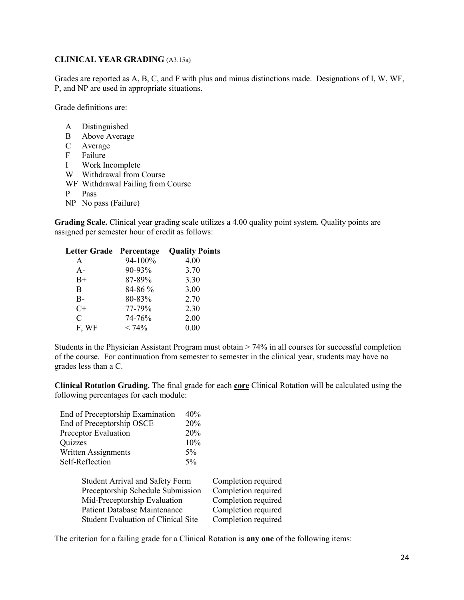#### **CLINICAL YEAR GRADING** (A3.15a)

Grades are reported as A, B, C, and F with plus and minus distinctions made. Designations of I, W, WF, P, and NP are used in appropriate situations.

Grade definitions are:

- A Distinguished
- B Above Average
- C Average
- F Failure
- I Work Incomplete
- W Withdrawal from Course
- WF Withdrawal Failing from Course
- P Pass
- NP No pass (Failure)

**Grading Scale.** Clinical year grading scale utilizes a 4.00 quality point system. Quality points are assigned per semester hour of credit as follows:

| Letter Grade Percentage |         | <b>Quality Points</b> |
|-------------------------|---------|-----------------------|
| A                       | 94-100% | 4.00                  |
| $A -$                   | 90-93%  | 3.70                  |
| $B+$                    | 87-89%  | 3.30                  |
| B                       | 84-86 % | 3.00                  |
| $B-$                    | 80-83%  | 2.70                  |
| $C+$                    | 77-79%  | 2.30                  |
| C                       | 74-76%  | 2.00                  |
| F, WF                   | < 74%   | 0.00                  |
|                         |         |                       |

Students in the Physician Assistant Program must obtain > 74% in all courses for successful completion of the course. For continuation from semester to semester in the clinical year, students may have no grades less than a C.

**Clinical Rotation Grading.** The final grade for each **core** Clinical Rotation will be calculated using the following percentages for each module:

|                                   | End of Preceptorship Examination           | 40%                 |                     |
|-----------------------------------|--------------------------------------------|---------------------|---------------------|
|                                   | End of Preceptorship OSCE                  | 20%                 |                     |
|                                   | Preceptor Evaluation                       | 20%                 |                     |
|                                   | Quizzes                                    | 10%                 |                     |
|                                   | Written Assignments                        | $5\%$               |                     |
|                                   | Self-Reflection                            | $5\%$               |                     |
|                                   |                                            |                     |                     |
|                                   | <b>Student Arrival and Safety Form</b>     |                     | Completion required |
| Preceptorship Schedule Submission |                                            | Completion required |                     |
| Mid-Preceptorship Evaluation      |                                            | Completion required |                     |
|                                   | <b>Patient Database Maintenance</b>        |                     | Completion required |
|                                   | <b>Student Evaluation of Clinical Site</b> |                     | Completion required |
|                                   |                                            |                     |                     |

The criterion for a failing grade for a Clinical Rotation is **any one** of the following items: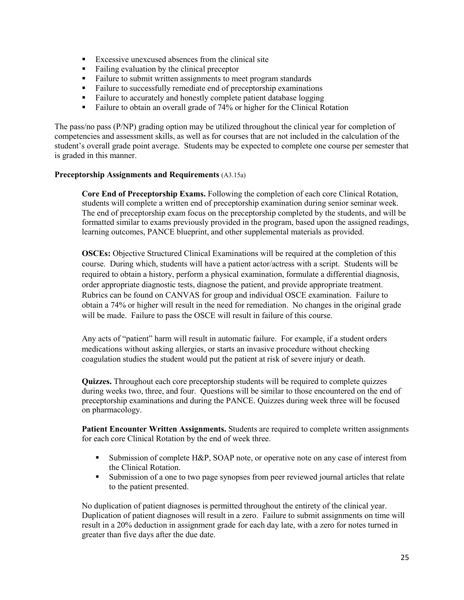- **Excessive unexcused absences from the clinical site**
- Failing evaluation by the clinical preceptor
- Failure to submit written assignments to meet program standards
- Failure to successfully remediate end of preceptorship examinations
- Failure to accurately and honestly complete patient database logging
- Failure to obtain an overall grade of 74% or higher for the Clinical Rotation

The pass/no pass (P/NP) grading option may be utilized throughout the clinical year for completion of competencies and assessment skills, as well as for courses that are not included in the calculation of the student's overall grade point average. Students may be expected to complete one course per semester that is graded in this manner.

## **Preceptorship Assignments and Requirements** (A3.15a)

**Core End of Preceptorship Exams.** Following the completion of each core Clinical Rotation, students will complete a written end of preceptorship examination during senior seminar week. The end of preceptorship exam focus on the preceptorship completed by the students, and will be formatted similar to exams previously provided in the program, based upon the assigned readings, learning outcomes, PANCE blueprint, and other supplemental materials as provided.

**OSCEs:** Objective Structured Clinical Examinations will be required at the completion of this course. During which, students will have a patient actor/actress with a script. Students will be required to obtain a history, perform a physical examination, formulate a differential diagnosis, order appropriate diagnostic tests, diagnose the patient, and provide appropriate treatment. Rubrics can be found on CANVAS for group and individual OSCE examination. Failure to obtain a 74% or higher will result in the need for remediation. No changes in the original grade will be made. Failure to pass the OSCE will result in failure of this course.

Any acts of "patient" harm will result in automatic failure. For example, if a student orders medications without asking allergies, or starts an invasive procedure without checking coagulation studies the student would put the patient at risk of severe injury or death.

**Quizzes.** Throughout each core preceptorship students will be required to complete quizzes during weeks two, three, and four. Questions will be similar to those encountered on the end of preceptorship examinations and during the PANCE. Quizzes during week three will be focused on pharmacology.

Patient Encounter Written Assignments. Students are required to complete written assignments for each core Clinical Rotation by the end of week three.

- Submission of complete H&P, SOAP note, or operative note on any case of interest from the Clinical Rotation.
- Submission of a one to two page synopses from peer reviewed journal articles that relate to the patient presented.

No duplication of patient diagnoses is permitted throughout the entirety of the clinical year. Duplication of patient diagnoses will result in a zero. Failure to submit assignments on time will result in a 20% deduction in assignment grade for each day late, with a zero for notes turned in greater than five days after the due date.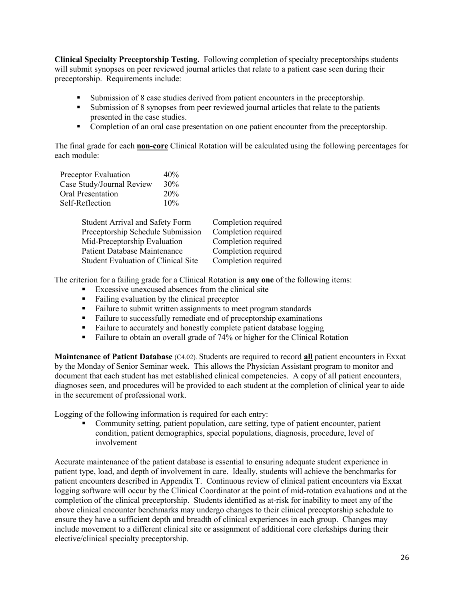**Clinical Specialty Preceptorship Testing.** Following completion of specialty preceptorships students will submit synopses on peer reviewed journal articles that relate to a patient case seen during their preceptorship. Requirements include:

- Submission of 8 case studies derived from patient encounters in the preceptorship.
- Submission of 8 synopses from peer reviewed journal articles that relate to the patients presented in the case studies.
- **Completion of an oral case presentation on one patient encounter from the preceptorship.**

The final grade for each **non-core** Clinical Rotation will be calculated using the following percentages for each module:

| Preceptor Evaluation      | 40% |
|---------------------------|-----|
| Case Study/Journal Review | 30% |
| <b>Oral Presentation</b>  | 20% |
| Self-Reflection           | 10% |

| <b>Student Arrival and Safety Form</b>     | Completion required |
|--------------------------------------------|---------------------|
| Preceptorship Schedule Submission          | Completion required |
| Mid-Preceptorship Evaluation               | Completion required |
| <b>Patient Database Maintenance</b>        | Completion required |
| <b>Student Evaluation of Clinical Site</b> | Completion required |

The criterion for a failing grade for a Clinical Rotation is **any one** of the following items:

- **Excessive unexcused absences from the clinical site**
- Failing evaluation by the clinical preceptor
- Failure to submit written assignments to meet program standards
- Failure to successfully remediate end of preceptorship examinations
- Failure to accurately and honestly complete patient database logging
- Failure to obtain an overall grade of 74% or higher for the Clinical Rotation

**Maintenance of Patient Database** (C4.02). Students are required to record **all** patient encounters in Exxat by the Monday of Senior Seminar week. This allows the Physician Assistant program to monitor and document that each student has met established clinical competencies. A copy of all patient encounters, diagnoses seen, and procedures will be provided to each student at the completion of clinical year to aide in the securement of professional work.

Logging of the following information is required for each entry:

 Community setting, patient population, care setting, type of patient encounter, patient condition, patient demographics, special populations, diagnosis, procedure, level of involvement

Accurate maintenance of the patient database is essential to ensuring adequate student experience in patient type, load, and depth of involvement in care. Ideally, students will achieve the benchmarks for patient encounters described in Appendix T. Continuous review of clinical patient encounters via Exxat logging software will occur by the Clinical Coordinator at the point of mid-rotation evaluations and at the completion of the clinical preceptorship. Students identified as at-risk for inability to meet any of the above clinical encounter benchmarks may undergo changes to their clinical preceptorship schedule to ensure they have a sufficient depth and breadth of clinical experiences in each group. Changes may include movement to a different clinical site or assignment of additional core clerkships during their elective/clinical specialty preceptorship.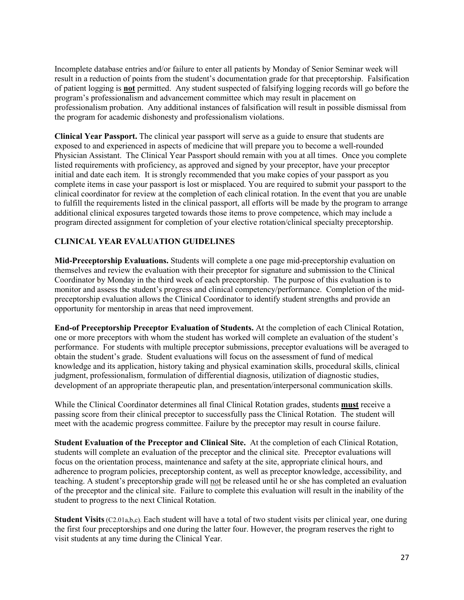Incomplete database entries and/or failure to enter all patients by Monday of Senior Seminar week will result in a reduction of points from the student's documentation grade for that preceptorship. Falsification of patient logging is **not** permitted. Any student suspected of falsifying logging records will go before the program's professionalism and advancement committee which may result in placement on professionalism probation. Any additional instances of falsification will result in possible dismissal from the program for academic dishonesty and professionalism violations.

**Clinical Year Passport.** The clinical year passport will serve as a guide to ensure that students are exposed to and experienced in aspects of medicine that will prepare you to become a well-rounded Physician Assistant. The Clinical Year Passport should remain with you at all times. Once you complete listed requirements with proficiency, as approved and signed by your preceptor, have your preceptor initial and date each item. It is strongly recommended that you make copies of your passport as you complete items in case your passport is lost or misplaced. You are required to submit your passport to the clinical coordinator for review at the completion of each clinical rotation. In the event that you are unable to fulfill the requirements listed in the clinical passport, all efforts will be made by the program to arrange additional clinical exposures targeted towards those items to prove competence, which may include a program directed assignment for completion of your elective rotation/clinical specialty preceptorship.

## **CLINICAL YEAR EVALUATION GUIDELINES**

**Mid-Preceptorship Evaluations.** Students will complete a one page mid-preceptorship evaluation on themselves and review the evaluation with their preceptor for signature and submission to the Clinical Coordinator by Monday in the third week of each preceptorship. The purpose of this evaluation is to monitor and assess the student's progress and clinical competency/performance. Completion of the midpreceptorship evaluation allows the Clinical Coordinator to identify student strengths and provide an opportunity for mentorship in areas that need improvement.

**End-of Preceptorship Preceptor Evaluation of Students.** At the completion of each Clinical Rotation, one or more preceptors with whom the student has worked will complete an evaluation of the student's performance. For students with multiple preceptor submissions, preceptor evaluations will be averaged to obtain the student's grade. Student evaluations will focus on the assessment of fund of medical knowledge and its application, history taking and physical examination skills, procedural skills, clinical judgment, professionalism, formulation of differential diagnosis, utilization of diagnostic studies, development of an appropriate therapeutic plan, and presentation/interpersonal communication skills.

While the Clinical Coordinator determines all final Clinical Rotation grades, students **must** receive a passing score from their clinical preceptor to successfully pass the Clinical Rotation. The student will meet with the academic progress committee. Failure by the preceptor may result in course failure.

**Student Evaluation of the Preceptor and Clinical Site.** At the completion of each Clinical Rotation, students will complete an evaluation of the preceptor and the clinical site. Preceptor evaluations will focus on the orientation process, maintenance and safety at the site, appropriate clinical hours, and adherence to program policies, preceptorship content, as well as preceptor knowledge, accessibility, and teaching. A student's preceptorship grade will not be released until he or she has completed an evaluation of the preceptor and the clinical site. Failure to complete this evaluation will result in the inability of the student to progress to the next Clinical Rotation.

**Student Visits** (C2.01a,b,c). Each student will have a total of two student visits per clinical year, one during the first four preceptorships and one during the latter four. However, the program reserves the right to visit students at any time during the Clinical Year.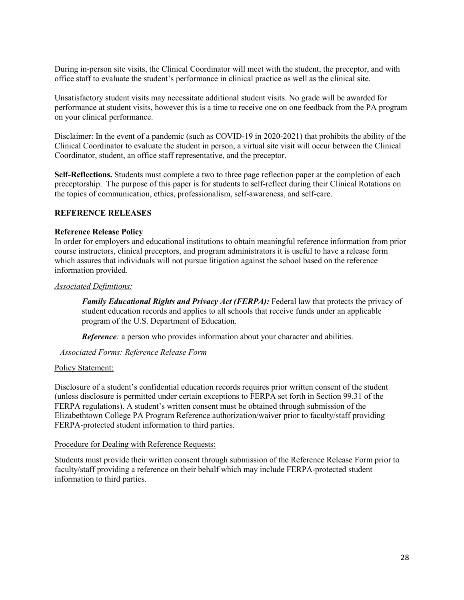During in-person site visits, the Clinical Coordinator will meet with the student, the preceptor, and with office staff to evaluate the student's performance in clinical practice as well as the clinical site.

Unsatisfactory student visits may necessitate additional student visits. No grade will be awarded for performance at student visits, however this is a time to receive one on one feedback from the PA program on your clinical performance.

Disclaimer: In the event of a pandemic (such as COVID-19 in 2020-2021) that prohibits the ability of the Clinical Coordinator to evaluate the student in person, a virtual site visit will occur between the Clinical Coordinator, student, an office staff representative, and the preceptor.

**Self-Reflections.** Students must complete a two to three page reflection paper at the completion of each preceptorship. The purpose of this paper is for students to self-reflect during their Clinical Rotations on the topics of communication, ethics, professionalism, self-awareness, and self-care.

## **REFERENCE RELEASES**

#### **Reference Release Policy**

In order for employers and educational institutions to obtain meaningful reference information from prior course instructors, clinical preceptors, and program administrators it is useful to have a release form which assures that individuals will not pursue litigation against the school based on the reference information provided.

#### *Associated Definitions:*

*Family Educational Rights and Privacy Act (FERPA):* Federal law that protects the privacy of student education records and applies to all schools that receive funds under an applicable program of the U.S. Department of Education.

*Reference*: a person who provides information about your character and abilities.

## *Associated Forms: Reference Release Form*

#### Policy Statement:

Disclosure of a student's confidential education records requires prior written consent of the student (unless disclosure is permitted under certain exceptions to FERPA set forth in Section 99.31 of the FERPA regulations). A student's written consent must be obtained through submission of the Elizabethtown College PA Program Reference authorization/waiver prior to faculty/staff providing FERPA-protected student information to third parties.

#### Procedure for Dealing with Reference Requests:

Students must provide their written consent through submission of the Reference Release Form prior to faculty/staff providing a reference on their behalf which may include FERPA-protected student information to third parties.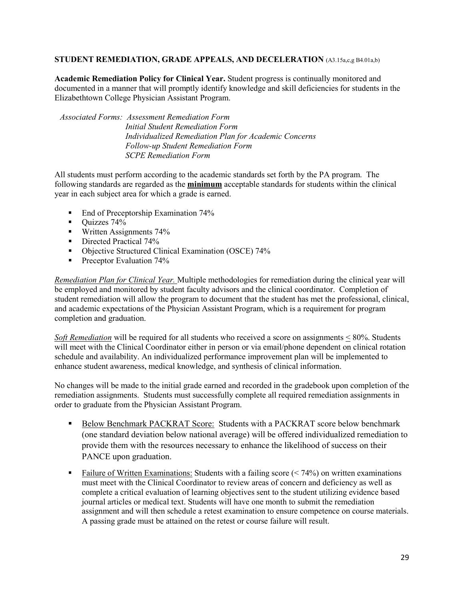## **STUDENT REMEDIATION, GRADE APPEALS, AND DECELERATION** (A3.15a,c,g B4.01a,b)

**Academic Remediation Policy for Clinical Year.** Student progress is continually monitored and documented in a manner that will promptly identify knowledge and skill deficiencies for students in the Elizabethtown College Physician Assistant Program.

*Associated Forms: Assessment Remediation Form Initial Student Remediation Form Individualized Remediation Plan for Academic Concerns Follow-up Student Remediation Form SCPE Remediation Form*

All students must perform according to the academic standards set forth by the PA program. The following standards are regarded as the **minimum** acceptable standards for students within the clinical year in each subject area for which a grade is earned.

- End of Preceptorship Examination 74%
- $\blacksquare$  Ouizzes 74%
- **Written Assignments 74%**
- Directed Practical 74%
- Objective Structured Clinical Examination (OSCE) 74%
- Preceptor Evaluation  $74\%$

*Remediation Plan for Clinical Year.* Multiple methodologies for remediation during the clinical year will be employed and monitored by student faculty advisors and the clinical coordinator. Completion of student remediation will allow the program to document that the student has met the professional, clinical, and academic expectations of the Physician Assistant Program, which is a requirement for program completion and graduation.

*Soft Remediation* will be required for all students who received a score on assignments < 80%. Students will meet with the Clinical Coordinator either in person or via email/phone dependent on clinical rotation schedule and availability. An individualized performance improvement plan will be implemented to enhance student awareness, medical knowledge, and synthesis of clinical information.

No changes will be made to the initial grade earned and recorded in the gradebook upon completion of the remediation assignments. Students must successfully complete all required remediation assignments in order to graduate from the Physician Assistant Program.

- Below Benchmark PACKRAT Score: Students with a PACKRAT score below benchmark (one standard deviation below national average) will be offered individualized remediation to provide them with the resources necessary to enhance the likelihood of success on their PANCE upon graduation.
- **Failure of Written Examinations:** Students with a failing score  $($  <math>74\%</math>) on written examinations must meet with the Clinical Coordinator to review areas of concern and deficiency as well as complete a critical evaluation of learning objectives sent to the student utilizing evidence based journal articles or medical text. Students will have one month to submit the remediation assignment and will then schedule a retest examination to ensure competence on course materials. A passing grade must be attained on the retest or course failure will result.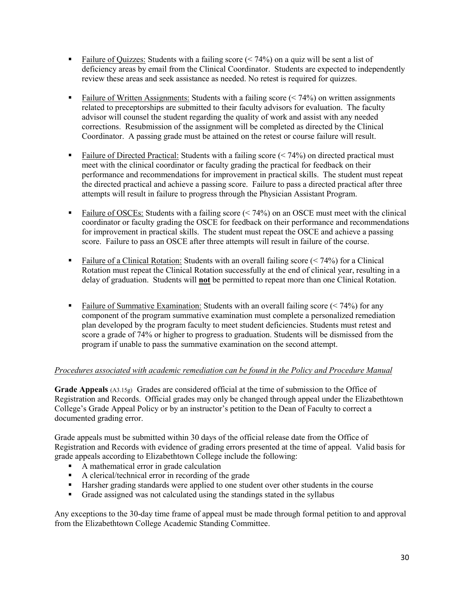- Failure of Quizzes: Students with a failing score  $(< 74\%)$  on a quiz will be sent a list of deficiency areas by email from the Clinical Coordinator. Students are expected to independently review these areas and seek assistance as needed. No retest is required for quizzes.
- **Failure of Written Assignments: Students with a failing score (** $\leq$  **74%) on written assignments** related to preceptorships are submitted to their faculty advisors for evaluation. The faculty advisor will counsel the student regarding the quality of work and assist with any needed corrections. Resubmission of the assignment will be completed as directed by the Clinical Coordinator. A passing grade must be attained on the retest or course failure will result.
- Failure of Directed Practical: Students with a failing score  $( $74\%$ )$  on directed practical must meet with the clinical coordinator or faculty grading the practical for feedback on their performance and recommendations for improvement in practical skills. The student must repeat the directed practical and achieve a passing score. Failure to pass a directed practical after three attempts will result in failure to progress through the Physician Assistant Program.
- Failure of OSCEs: Students with a failing score  $($   $\leq$  74% $)$  on an OSCE must meet with the clinical coordinator or faculty grading the OSCE for feedback on their performance and recommendations for improvement in practical skills. The student must repeat the OSCE and achieve a passing score. Failure to pass an OSCE after three attempts will result in failure of the course.
- Failure of a Clinical Rotation: Students with an overall failing score  $( $74\%$ )$  for a Clinical Rotation must repeat the Clinical Rotation successfully at the end of clinical year, resulting in a delay of graduation. Students will **not** be permitted to repeat more than one Clinical Rotation.
- **Failure of Summative Examination: Students with an overall failing score (** $\leq$  **74%) for any** component of the program summative examination must complete a personalized remediation plan developed by the program faculty to meet student deficiencies. Students must retest and score a grade of 74% or higher to progress to graduation. Students will be dismissed from the program if unable to pass the summative examination on the second attempt.

## *Procedures associated with academic remediation can be found in the Policy and Procedure Manual*

**Grade Appeals** (A3.15g)Grades are considered official at the time of submission to the Office of Registration and Records. Official grades may only be changed through appeal under the Elizabethtown College's Grade Appeal Policy or by an instructor's petition to the Dean of Faculty to correct a documented grading error.

Grade appeals must be submitted within 30 days of the official release date from the Office of Registration and Records with evidence of grading errors presented at the time of appeal. Valid basis for grade appeals according to Elizabethtown College include the following:

- A mathematical error in grade calculation
- A clerical/technical error in recording of the grade
- Harsher grading standards were applied to one student over other students in the course
- Grade assigned was not calculated using the standings stated in the syllabus

Any exceptions to the 30-day time frame of appeal must be made through formal petition to and approval from the Elizabethtown College Academic Standing Committee.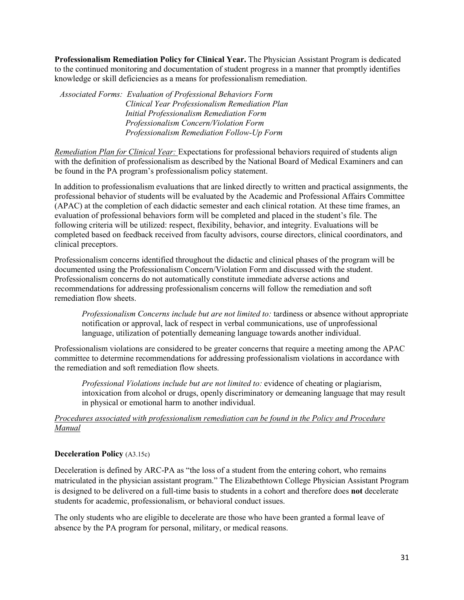**Professionalism Remediation Policy for Clinical Year.** The Physician Assistant Program is dedicated to the continued monitoring and documentation of student progress in a manner that promptly identifies knowledge or skill deficiencies as a means for professionalism remediation.

*Associated Forms: Evaluation of Professional Behaviors Form Clinical Year Professionalism Remediation Plan Initial Professionalism Remediation Form Professionalism Concern/Violation Form Professionalism Remediation Follow-Up Form*

*Remediation Plan for Clinical Year:* Expectations for professional behaviors required of students align with the definition of professionalism as described by the National Board of Medical Examiners and can be found in the PA program's professionalism policy statement.

In addition to professionalism evaluations that are linked directly to written and practical assignments, the professional behavior of students will be evaluated by the Academic and Professional Affairs Committee (APAC) at the completion of each didactic semester and each clinical rotation. At these time frames, an evaluation of professional behaviors form will be completed and placed in the student's file. The following criteria will be utilized: respect, flexibility, behavior, and integrity. Evaluations will be completed based on feedback received from faculty advisors, course directors, clinical coordinators, and clinical preceptors.

Professionalism concerns identified throughout the didactic and clinical phases of the program will be documented using the Professionalism Concern/Violation Form and discussed with the student. Professionalism concerns do not automatically constitute immediate adverse actions and recommendations for addressing professionalism concerns will follow the remediation and soft remediation flow sheets.

*Professionalism Concerns include but are not limited to:* tardiness or absence without appropriate notification or approval, lack of respect in verbal communications, use of unprofessional language, utilization of potentially demeaning language towards another individual.

Professionalism violations are considered to be greater concerns that require a meeting among the APAC committee to determine recommendations for addressing professionalism violations in accordance with the remediation and soft remediation flow sheets.

*Professional Violations include but are not limited to:* evidence of cheating or plagiarism, intoxication from alcohol or drugs, openly discriminatory or demeaning language that may result in physical or emotional harm to another individual.

## *Procedures associated with professionalism remediation can be found in the Policy and Procedure Manual*

## **Deceleration Policy** (A3.15c)

Deceleration is defined by ARC-PA as "the loss of a student from the entering cohort, who remains matriculated in the physician assistant program." The Elizabethtown College Physician Assistant Program is designed to be delivered on a full-time basis to students in a cohort and therefore does **not** decelerate students for academic, professionalism, or behavioral conduct issues.

The only students who are eligible to decelerate are those who have been granted a formal leave of absence by the PA program for personal, military, or medical reasons.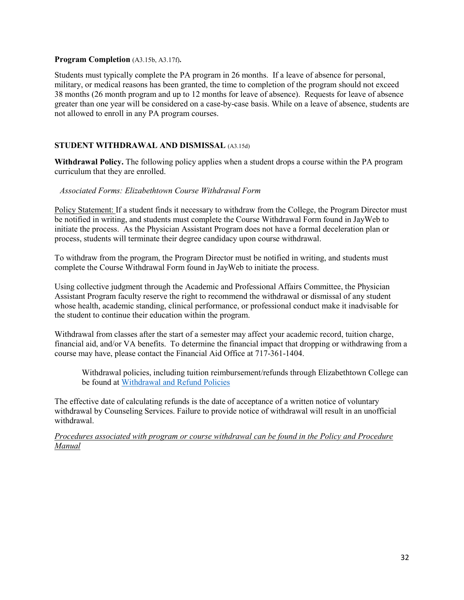#### **Program Completion** (A3.15b, A3.17f)**.**

Students must typically complete the PA program in 26 months. If a leave of absence for personal, military, or medical reasons has been granted, the time to completion of the program should not exceed 38 months (26 month program and up to 12 months for leave of absence). Requests for leave of absence greater than one year will be considered on a case-by-case basis. While on a leave of absence, students are not allowed to enroll in any PA program courses.

# **STUDENT WITHDRAWAL AND DISMISSAL** (A3.15d)

**Withdrawal Policy.** The following policy applies when a student drops a course within the PA program curriculum that they are enrolled.

#### *Associated Forms: Elizabethtown Course Withdrawal Form*

Policy Statement: If a student finds it necessary to withdraw from the College, the Program Director must be notified in writing, and students must complete the Course Withdrawal Form found in JayWeb to initiate the process. As the Physician Assistant Program does not have a formal deceleration plan or process, students will terminate their degree candidacy upon course withdrawal.

To withdraw from the program, the Program Director must be notified in writing, and students must complete the Course Withdrawal Form found in JayWeb to initiate the process.

Using collective judgment through the Academic and Professional Affairs Committee, the Physician Assistant Program faculty reserve the right to recommend the withdrawal or dismissal of any student whose health, academic standing, clinical performance, or professional conduct make it inadvisable for the student to continue their education within the program.

Withdrawal from classes after the start of a semester may affect your academic record, tuition charge, financial aid, and/or VA benefits. To determine the financial impact that dropping or withdrawing from a course may have, please contact the Financial Aid Office at 717-361-1404.

Withdrawal policies, including tuition reimbursement/refunds through Elizabethtown College can be found at [Withdrawal and Refund Policies](https://www.etown.edu/offices/business-office/payment/withdrawal.aspx) 

The effective date of calculating refunds is the date of acceptance of a written notice of voluntary withdrawal by Counseling Services. Failure to provide notice of withdrawal will result in an unofficial withdrawal.

*Procedures associated with program or course withdrawal can be found in the Policy and Procedure Manual*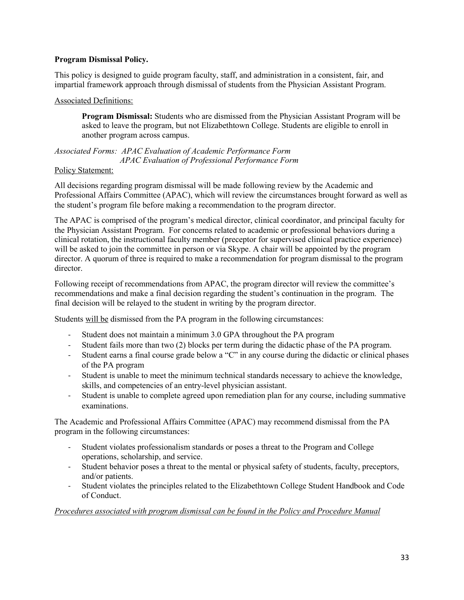### **Program Dismissal Policy.**

This policy is designed to guide program faculty, staff, and administration in a consistent, fair, and impartial framework approach through dismissal of students from the Physician Assistant Program.

#### Associated Definitions:

**Program Dismissal:** Students who are dismissed from the Physician Assistant Program will be asked to leave the program, but not Elizabethtown College. Students are eligible to enroll in another program across campus.

*Associated Forms: APAC Evaluation of Academic Performance Form APAC Evaluation of Professional Performance Form*

### Policy Statement:

All decisions regarding program dismissal will be made following review by the Academic and Professional Affairs Committee (APAC), which will review the circumstances brought forward as well as the student's program file before making a recommendation to the program director.

The APAC is comprised of the program's medical director, clinical coordinator, and principal faculty for the Physician Assistant Program. For concerns related to academic or professional behaviors during a clinical rotation, the instructional faculty member (preceptor for supervised clinical practice experience) will be asked to join the committee in person or via Skype. A chair will be appointed by the program director. A quorum of three is required to make a recommendation for program dismissal to the program director.

Following receipt of recommendations from APAC, the program director will review the committee's recommendations and make a final decision regarding the student's continuation in the program. The final decision will be relayed to the student in writing by the program director.

Students will be dismissed from the PA program in the following circumstances:

- Student does not maintain a minimum 3.0 GPA throughout the PA program
- Student fails more than two (2) blocks per term during the didactic phase of the PA program.
- Student earns a final course grade below a "C" in any course during the didactic or clinical phases of the PA program
- Student is unable to meet the minimum technical standards necessary to achieve the knowledge, skills, and competencies of an entry-level physician assistant.
- Student is unable to complete agreed upon remediation plan for any course, including summative examinations.

The Academic and Professional Affairs Committee (APAC) may recommend dismissal from the PA program in the following circumstances:

- Student violates professionalism standards or poses a threat to the Program and College operations, scholarship, and service.
- Student behavior poses a threat to the mental or physical safety of students, faculty, preceptors, and/or patients.
- Student violates the principles related to the Elizabethtown College Student Handbook and Code of Conduct.

# *Procedures associated with program dismissal can be found in the Policy and Procedure Manual*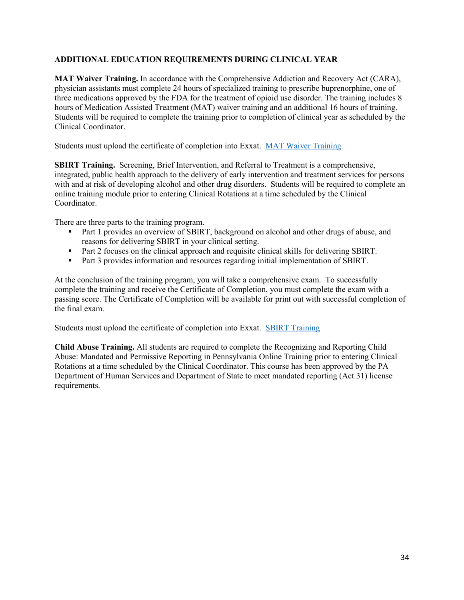# **ADDITIONAL EDUCATION REQUIREMENTS DURING CLINICAL YEAR**

**MAT Waiver Training.** In accordance with the Comprehensive Addiction and Recovery Act (CARA), physician assistants must complete 24 hours of specialized training to prescribe buprenorphine, one of three medications approved by the FDA for the treatment of opioid use disorder. The training includes 8 hours of Medication Assisted Treatment (MAT) waiver training and an additional 16 hours of training. Students will be required to complete the training prior to completion of clinical year as scheduled by the Clinical Coordinator.

Students must upload the certificate of completion into Exxat. [MAT Waiver Training](https://pcssnow.org/medication-assisted-treatment/waiver-training-for-pas/)

**SBIRT Training.** Screening, Brief Intervention, and Referral to Treatment is a comprehensive, integrated, public health approach to the delivery of early intervention and treatment services for persons with and at risk of developing alcohol and other drug disorders. Students will be required to complete an online training module prior to entering Clinical Rotations at a time scheduled by the Clinical Coordinator.

There are three parts to the training program.

- Part 1 provides an overview of SBIRT, background on alcohol and other drugs of abuse, and reasons for delivering SBIRT in your clinical setting.
- Part 2 focuses on the clinical approach and requisite clinical skills for delivering SBIRT.
- Part 3 provides information and resources regarding initial implementation of SBIRT.

At the conclusion of the training program, you will take a comprehensive exam. To successfully complete the training and receive the Certificate of Completion, you must complete the exam with a passing score. The Certificate of Completion will be available for print out with successful completion of the final exam.

Students must upload the certificate of completion into Exxat. [SBIRT Training](https://www.dhs.wisconsin.gov/aoda/sbirt/sbirttrain.htm)

**Child Abuse Training.** All students are required to complete the Recognizing and Reporting Child Abuse: Mandated and Permissive Reporting in Pennsylvania Online Training prior to entering Clinical Rotations at a time scheduled by the Clinical Coordinator. This course has been approved by the PA Department of Human Services and Department of State to meet mandated reporting (Act 31) license requirements.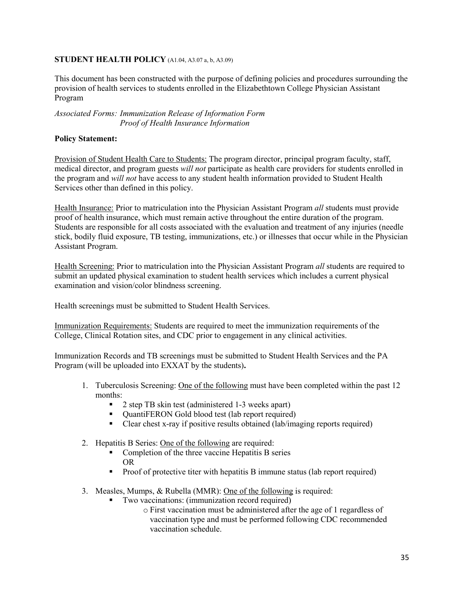#### **STUDENT HEALTH POLICY** (A1.04, A3.07 a, b, A3.09)

This document has been constructed with the purpose of defining policies and procedures surrounding the provision of health services to students enrolled in the Elizabethtown College Physician Assistant Program

#### *Associated Forms: Immunization Release of Information Form Proof of Health Insurance Information*

### **Policy Statement:**

Provision of Student Health Care to Students: The program director, principal program faculty, staff, medical director, and program guests *will not* participate as health care providers for students enrolled in the program and *will not* have access to any student health information provided to Student Health Services other than defined in this policy.

Health Insurance: Prior to matriculation into the Physician Assistant Program *all* students must provide proof of health insurance, which must remain active throughout the entire duration of the program. Students are responsible for all costs associated with the evaluation and treatment of any injuries (needle stick, bodily fluid exposure, TB testing, immunizations, etc.) or illnesses that occur while in the Physician Assistant Program.

Health Screening: Prior to matriculation into the Physician Assistant Program *all* students are required to submit an updated physical examination to student health services which includes a current physical examination and vision/color blindness screening.

Health screenings must be submitted to Student Health Services.

Immunization Requirements: Students are required to meet the immunization requirements of the College, Clinical Rotation sites, and CDC prior to engagement in any clinical activities.

Immunization Records and TB screenings must be submitted to Student Health Services and the PA Program (will be uploaded into EXXAT by the students)**.** 

- 1. Tuberculosis Screening: One of the following must have been completed within the past 12 months:
	- 2 step TB skin test (administered 1-3 weeks apart)
	- QuantiFERON Gold blood test (lab report required)
	- Clear chest x-ray if positive results obtained (lab/imaging reports required)
- 2. Hepatitis B Series: One of the following are required:
	- Completion of the three vaccine Hepatitis B series OR
	- Proof of protective titer with hepatitis B immune status (lab report required)
- 3. Measles, Mumps, & Rubella (MMR): One of the following is required:
	- **Two vaccinations: (immunization record required)** 
		- o First vaccination must be administered after the age of 1 regardless of vaccination type and must be performed following CDC recommended vaccination schedule.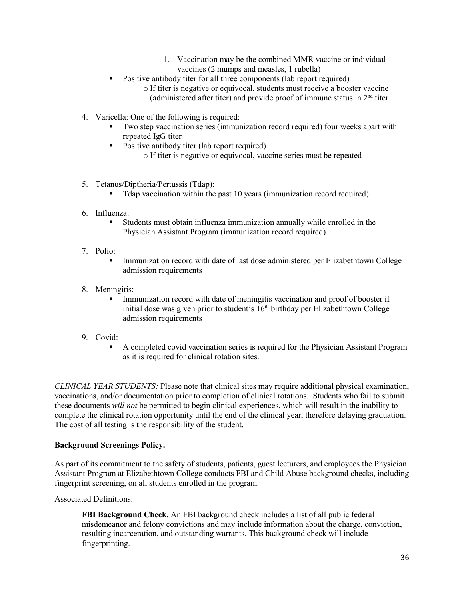- 1. Vaccination may be the combined MMR vaccine or individual vaccines (2 mumps and measles, 1 rubella)
- Positive antibody titer for all three components (lab report required)
	- o If titer is negative or equivocal, students must receive a booster vaccine (administered after titer) and provide proof of immune status in  $2<sup>nd</sup>$  titer
- 4. Varicella: One of the following is required:
	- Two step vaccination series (immunization record required) four weeks apart with repeated IgG titer
	- Positive antibody titer (lab report required) o If titer is negative or equivocal, vaccine series must be repeated
- 5. Tetanus/Diptheria/Pertussis (Tdap):
	- Tdap vaccination within the past 10 years (immunization record required)
- 6. Influenza:
	- Students must obtain influenza immunization annually while enrolled in the Physician Assistant Program (immunization record required)
- 7. Polio:
	- Immunization record with date of last dose administered per Elizabethtown College admission requirements
- 8. Meningitis:
	- **Immunization record with date of meningitis vaccination and proof of booster if** initial dose was given prior to student's 16<sup>th</sup> birthday per Elizabethtown College admission requirements
- 9. Covid:
	- A completed covid vaccination series is required for the Physician Assistant Program as it is required for clinical rotation sites.

*CLINICAL YEAR STUDENTS:* Please note that clinical sites may require additional physical examination, vaccinations, and/or documentation prior to completion of clinical rotations. Students who fail to submit these documents *will not* be permitted to begin clinical experiences, which will result in the inability to complete the clinical rotation opportunity until the end of the clinical year, therefore delaying graduation. The cost of all testing is the responsibility of the student.

# **Background Screenings Policy.**

As part of its commitment to the safety of students, patients, guest lecturers, and employees the Physician Assistant Program at Elizabethtown College conducts FBI and Child Abuse background checks, including fingerprint screening, on all students enrolled in the program.

# Associated Definitions:

**FBI Background Check.** An FBI background check includes a list of all public federal misdemeanor and felony convictions and may include information about the charge, conviction, resulting incarceration, and outstanding warrants. This background check will include fingerprinting.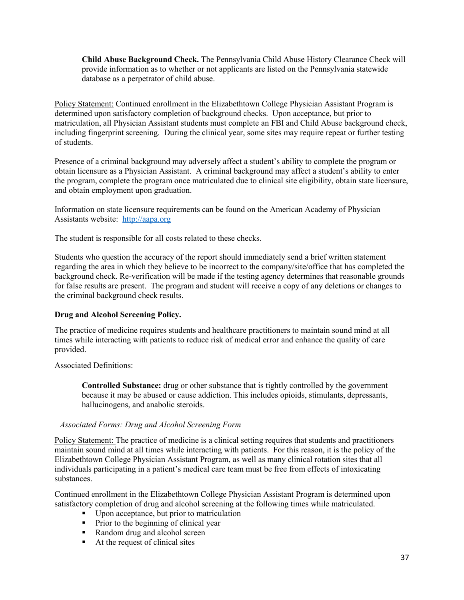**Child Abuse Background Check.** The Pennsylvania Child Abuse History Clearance Check will provide information as to whether or not applicants are listed on the Pennsylvania statewide database as a perpetrator of child abuse.

Policy Statement: Continued enrollment in the Elizabethtown College Physician Assistant Program is determined upon satisfactory completion of background checks. Upon acceptance, but prior to matriculation, all Physician Assistant students must complete an FBI and Child Abuse background check, including fingerprint screening. During the clinical year, some sites may require repeat or further testing of students.

Presence of a criminal background may adversely affect a student's ability to complete the program or obtain licensure as a Physician Assistant. A criminal background may affect a student's ability to enter the program, complete the program once matriculated due to clinical site eligibility, obtain state licensure, and obtain employment upon graduation.

Information on state licensure requirements can be found on the American Academy of Physician Assistants website: [http://aapa.org](http://aapa.org/)

The student is responsible for all costs related to these checks.

Students who question the accuracy of the report should immediately send a brief written statement regarding the area in which they believe to be incorrect to the company/site/office that has completed the background check. Re-verification will be made if the testing agency determines that reasonable grounds for false results are present. The program and student will receive a copy of any deletions or changes to the criminal background check results.

# **Drug and Alcohol Screening Policy.**

The practice of medicine requires students and healthcare practitioners to maintain sound mind at all times while interacting with patients to reduce risk of medical error and enhance the quality of care provided.

#### Associated Definitions:

**Controlled Substance:** drug or other substance that is tightly controlled by the government because it may be abused or cause addiction. This includes opioids, stimulants, depressants, hallucinogens, and anabolic steroids.

#### *Associated Forms: Drug and Alcohol Screening Form*

Policy Statement: The practice of medicine is a clinical setting requires that students and practitioners maintain sound mind at all times while interacting with patients. For this reason, it is the policy of the Elizabethtown College Physician Assistant Program, as well as many clinical rotation sites that all individuals participating in a patient's medical care team must be free from effects of intoxicating substances.

Continued enrollment in the Elizabethtown College Physician Assistant Program is determined upon satisfactory completion of drug and alcohol screening at the following times while matriculated.

- Upon acceptance, but prior to matriculation
- **Prior to the beginning of clinical year**
- Random drug and alcohol screen
- $\blacksquare$  At the request of clinical sites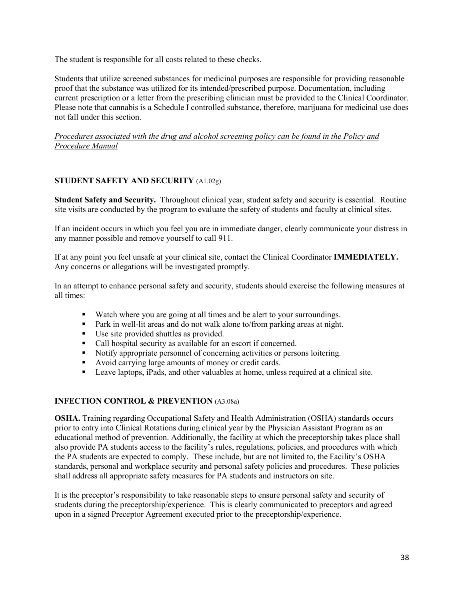The student is responsible for all costs related to these checks.

Students that utilize screened substances for medicinal purposes are responsible for providing reasonable proof that the substance was utilized for its intended/prescribed purpose. Documentation, including current prescription or a letter from the prescribing clinician must be provided to the Clinical Coordinator. Please note that cannabis is a Schedule I controlled substance, therefore, marijuana for medicinal use does not fall under this section.

*Procedures associated with the drug and alcohol screening policy can be found in the Policy and Procedure Manual*

# **STUDENT SAFETY AND SECURITY** (A1.02g)

**Student Safety and Security.** Throughout clinical year, student safety and security is essential. Routine site visits are conducted by the program to evaluate the safety of students and faculty at clinical sites.

If an incident occurs in which you feel you are in immediate danger, clearly communicate your distress in any manner possible and remove yourself to call 911.

If at any point you feel unsafe at your clinical site, contact the Clinical Coordinator **IMMEDIATELY.** Any concerns or allegations will be investigated promptly.

In an attempt to enhance personal safety and security, students should exercise the following measures at all times:

- Watch where you are going at all times and be alert to your surroundings.
- **Park in well-lit areas and do not walk alone to/from parking areas at night.**
- Use site provided shuttles as provided.
- Call hospital security as available for an escort if concerned.
- Notify appropriate personnel of concerning activities or persons loitering.
- Avoid carrying large amounts of money or credit cards.
- Leave laptops, iPads, and other valuables at home, unless required at a clinical site.

# **INFECTION CONTROL & PREVENTION** (A3.08a)

**OSHA.** Training regarding Occupational Safety and Health Administration (OSHA) standards occurs prior to entry into Clinical Rotations during clinical year by the Physician Assistant Program as an educational method of prevention. Additionally, the facility at which the preceptorship takes place shall also provide PA students access to the facility's rules, regulations, policies, and procedures with which the PA students are expected to comply. These include, but are not limited to, the Facility's OSHA standards, personal and workplace security and personal safety policies and procedures. These policies shall address all appropriate safety measures for PA students and instructors on site.

It is the preceptor's responsibility to take reasonable steps to ensure personal safety and security of students during the preceptorship/experience. This is clearly communicated to preceptors and agreed upon in a signed Preceptor Agreement executed prior to the preceptorship/experience.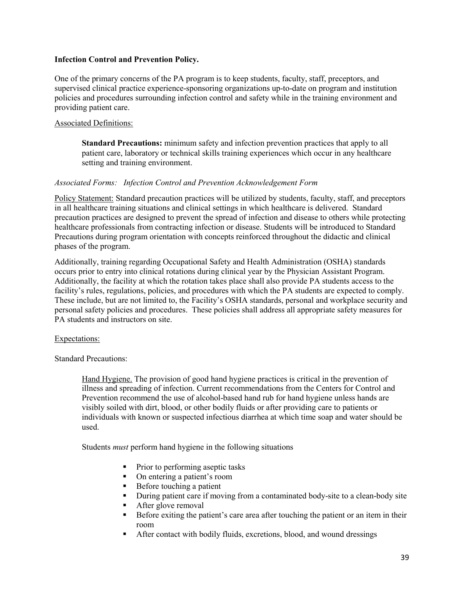#### **Infection Control and Prevention Policy.**

One of the primary concerns of the PA program is to keep students, faculty, staff, preceptors, and supervised clinical practice experience-sponsoring organizations up-to-date on program and institution policies and procedures surrounding infection control and safety while in the training environment and providing patient care.

#### Associated Definitions:

**Standard Precautions:** minimum safety and infection prevention practices that apply to all patient care, laboratory or technical skills training experiences which occur in any healthcare setting and training environment.

### *Associated Forms: Infection Control and Prevention Acknowledgement Form*

Policy Statement: Standard precaution practices will be utilized by students, faculty, staff, and preceptors in all healthcare training situations and clinical settings in which healthcare is delivered. Standard precaution practices are designed to prevent the spread of infection and disease to others while protecting healthcare professionals from contracting infection or disease. Students will be introduced to Standard Precautions during program orientation with concepts reinforced throughout the didactic and clinical phases of the program.

Additionally, training regarding Occupational Safety and Health Administration (OSHA) standards occurs prior to entry into clinical rotations during clinical year by the Physician Assistant Program. Additionally, the facility at which the rotation takes place shall also provide PA students access to the facility's rules, regulations, policies, and procedures with which the PA students are expected to comply. These include, but are not limited to, the Facility's OSHA standards, personal and workplace security and personal safety policies and procedures. These policies shall address all appropriate safety measures for PA students and instructors on site.

#### Expectations:

Standard Precautions:

Hand Hygiene. The provision of good hand hygiene practices is critical in the prevention of illness and spreading of infection. Current recommendations from the Centers for Control and Prevention recommend the use of alcohol-based hand rub for hand hygiene unless hands are visibly soiled with dirt, blood, or other bodily fluids or after providing care to patients or individuals with known or suspected infectious diarrhea at which time soap and water should be used.

Students *must* perform hand hygiene in the following situations

- Prior to performing aseptic tasks
- On entering a patient's room
- Before touching a patient<br>During patient care if mov
- During patient care if moving from a contaminated body-site to a clean-body site
- After glove removal
- Before exiting the patient's care area after touching the patient or an item in their room
- After contact with bodily fluids, excretions, blood, and wound dressings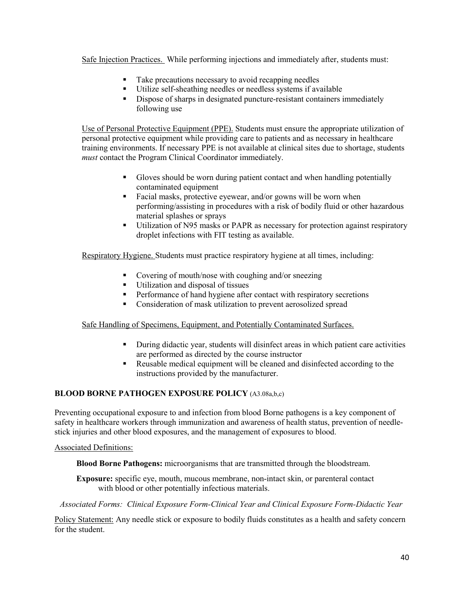Safe Injection Practices. While performing injections and immediately after, students must:

- Take precautions necessary to avoid recapping needles
- Utilize self-sheathing needles or needless systems if available
- Dispose of sharps in designated puncture-resistant containers immediately following use

Use of Personal Protective Equipment (PPE). Students must ensure the appropriate utilization of personal protective equipment while providing care to patients and as necessary in healthcare training environments. If necessary PPE is not available at clinical sites due to shortage, students *must* contact the Program Clinical Coordinator immediately.

- Gloves should be worn during patient contact and when handling potentially contaminated equipment
- Facial masks, protective eyewear, and/or gowns will be worn when performing/assisting in procedures with a risk of bodily fluid or other hazardous material splashes or sprays
- Utilization of N95 masks or PAPR as necessary for protection against respiratory droplet infections with FIT testing as available.

Respiratory Hygiene. Students must practice respiratory hygiene at all times, including:

- Covering of mouth/nose with coughing and/or sneezing
- Utilization and disposal of tissues
- **Performance of hand hygiene after contact with respiratory secretions**
- **Consideration of mask utilization to prevent aerosolized spread**

#### Safe Handling of Specimens, Equipment, and Potentially Contaminated Surfaces.

- During didactic year, students will disinfect areas in which patient care activities are performed as directed by the course instructor
- Reusable medical equipment will be cleaned and disinfected according to the instructions provided by the manufacturer.

#### **BLOOD BORNE PATHOGEN EXPOSURE POLICY** (A3.08a,b,c)

Preventing occupational exposure to and infection from blood Borne pathogens is a key component of safety in healthcare workers through immunization and awareness of health status, prevention of needlestick injuries and other blood exposures, and the management of exposures to blood.

#### Associated Definitions:

**Blood Borne Pathogens:** microorganisms that are transmitted through the bloodstream.

**Exposure:** specific eye, mouth, mucous membrane, non-intact skin, or parenteral contact with blood or other potentially infectious materials.

*Associated Forms: Clinical Exposure Form-Clinical Year and Clinical Exposure Form-Didactic Year*

Policy Statement: Any needle stick or exposure to bodily fluids constitutes as a health and safety concern for the student.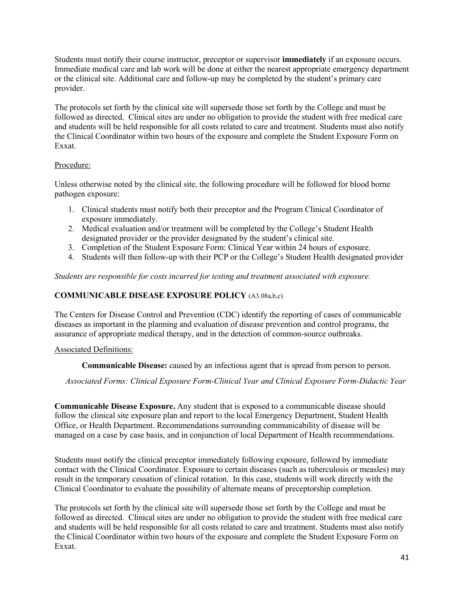Students must notify their course instructor, preceptor or supervisor **immediately** if an exposure occurs. Immediate medical care and lab work will be done at either the nearest appropriate emergency department or the clinical site. Additional care and follow-up may be completed by the student's primary care provider.

The protocols set forth by the clinical site will supersede those set forth by the College and must be followed as directed. Clinical sites are under no obligation to provide the student with free medical care and students will be held responsible for all costs related to care and treatment. Students must also notify the Clinical Coordinator within two hours of the exposure and complete the Student Exposure Form on Exxat.

### Procedure:

Unless otherwise noted by the clinical site, the following procedure will be followed for blood borne pathogen exposure:

- 1. Clinical students must notify both their preceptor and the Program Clinical Coordinator of exposure immediately.
- 2. Medical evaluation and/or treatment will be completed by the College's Student Health designated provider or the provider designated by the student's clinical site.
- 3. Completion of the Student Exposure Form: Clinical Year within 24 hours of exposure.
- 4. Students will then follow-up with their PCP or the College's Student Health designated provider

*Students are responsible for costs incurred for testing and treatment associated with exposure.*

### **COMMUNICABLE DISEASE EXPOSURE POLICY** (A3.08a,b,c)

The Centers for Disease Control and Prevention (CDC) identify the reporting of cases of communicable diseases as important in the planning and evaluation of disease prevention and control programs, the assurance of appropriate medical therapy, and in the detection of common-source outbreaks.

#### Associated Definitions:

**Communicable Disease:** caused by an infectious agent that is spread from person to person.

*Associated Forms: Clinical Exposure Form-Clinical Year and Clinical Exposure Form-Didactic Year*

**Communicable Disease Exposure.** Any student that is exposed to a communicable disease should follow the clinical site exposure plan and report to the local Emergency Department, Student Health Office, or Health Department. Recommendations surrounding communicability of disease will be managed on a case by case basis, and in conjunction of local Department of Health recommendations.

Students must notify the clinical preceptor immediately following exposure, followed by immediate contact with the Clinical Coordinator. Exposure to certain diseases (such as tuberculosis or measles) may result in the temporary cessation of clinical rotation. In this case, students will work directly with the Clinical Coordinator to evaluate the possibility of alternate means of preceptorship completion.

The protocols set forth by the clinical site will supersede those set forth by the College and must be followed as directed. Clinical sites are under no obligation to provide the student with free medical care and students will be held responsible for all costs related to care and treatment. Students must also notify the Clinical Coordinator within two hours of the exposure and complete the Student Exposure Form on Exxat.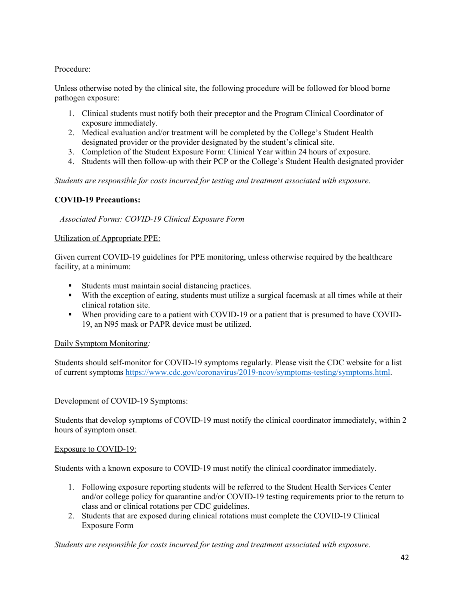# Procedure:

Unless otherwise noted by the clinical site, the following procedure will be followed for blood borne pathogen exposure:

- 1. Clinical students must notify both their preceptor and the Program Clinical Coordinator of exposure immediately.
- 2. Medical evaluation and/or treatment will be completed by the College's Student Health designated provider or the provider designated by the student's clinical site.
- 3. Completion of the Student Exposure Form: Clinical Year within 24 hours of exposure.
- 4. Students will then follow-up with their PCP or the College's Student Health designated provider

*Students are responsible for costs incurred for testing and treatment associated with exposure.*

### **COVID-19 Precautions:**

*Associated Forms: COVID-19 Clinical Exposure Form*

#### Utilization of Appropriate PPE:

Given current COVID-19 guidelines for PPE monitoring, unless otherwise required by the healthcare facility, at a minimum:

- Students must maintain social distancing practices.
- With the exception of eating, students must utilize a surgical facemask at all times while at their clinical rotation site.
- When providing care to a patient with COVID-19 or a patient that is presumed to have COVID-19, an N95 mask or PAPR device must be utilized.

#### Daily Symptom Monitoring*:*

Students should self-monitor for COVID-19 symptoms regularly. Please visit the CDC website for a list of current symptoms [https://www.cdc.gov/coronavirus/2019-ncov/symptoms-testing/symptoms.html.](https://www.cdc.gov/coronavirus/2019-ncov/symptoms-testing/symptoms.html)

#### Development of COVID-19 Symptoms:

Students that develop symptoms of COVID-19 must notify the clinical coordinator immediately, within 2 hours of symptom onset.

#### Exposure to COVID-19:

Students with a known exposure to COVID-19 must notify the clinical coordinator immediately.

- 1. Following exposure reporting students will be referred to the Student Health Services Center and/or college policy for quarantine and/or COVID-19 testing requirements prior to the return to class and or clinical rotations per CDC guidelines.
- 2. Students that are exposed during clinical rotations must complete the COVID-19 Clinical Exposure Form

#### *Students are responsible for costs incurred for testing and treatment associated with exposure.*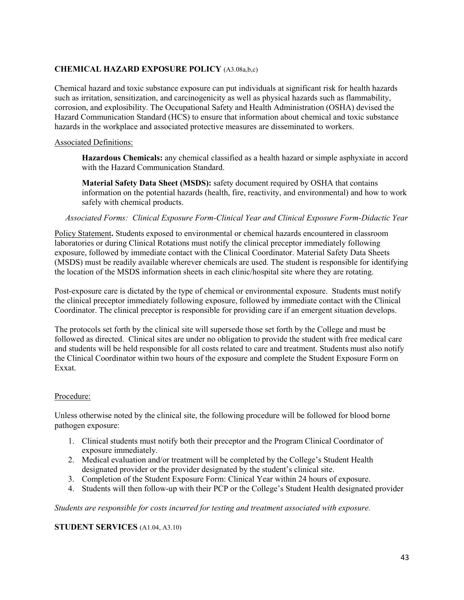# **CHEMICAL HAZARD EXPOSURE POLICY** (A3.08a,b,c)

Chemical hazard and toxic substance exposure can put individuals at significant risk for health hazards such as irritation, sensitization, and carcinogenicity as well as physical hazards such as flammability, corrosion, and explosibility. The Occupational Safety and Health Administration (OSHA) devised the Hazard Communication Standard (HCS) to ensure that information about chemical and toxic substance hazards in the workplace and associated protective measures are disseminated to workers.

#### Associated Definitions:

**Hazardous Chemicals:** any chemical classified as a health hazard or simple asphyxiate in accord with the Hazard Communication Standard.

**Material Safety Data Sheet (MSDS):** safety document required by OSHA that contains information on the potential hazards (health, fire, reactivity, and environmental) and how to work safely with chemical products.

*Associated Forms: Clinical Exposure Form-Clinical Year and Clinical Exposure Form-Didactic Year*

Policy Statement**.** Students exposed to environmental or chemical hazards encountered in classroom laboratories or during Clinical Rotations must notify the clinical preceptor immediately following exposure, followed by immediate contact with the Clinical Coordinator. Material Safety Data Sheets (MSDS) must be readily available wherever chemicals are used. The student is responsible for identifying the location of the MSDS information sheets in each clinic/hospital site where they are rotating.

Post-exposure care is dictated by the type of chemical or environmental exposure. Students must notify the clinical preceptor immediately following exposure, followed by immediate contact with the Clinical Coordinator. The clinical preceptor is responsible for providing care if an emergent situation develops.

The protocols set forth by the clinical site will supersede those set forth by the College and must be followed as directed. Clinical sites are under no obligation to provide the student with free medical care and students will be held responsible for all costs related to care and treatment. Students must also notify the Clinical Coordinator within two hours of the exposure and complete the Student Exposure Form on Exxat.

#### Procedure:

Unless otherwise noted by the clinical site, the following procedure will be followed for blood borne pathogen exposure:

- 1. Clinical students must notify both their preceptor and the Program Clinical Coordinator of exposure immediately.
- 2. Medical evaluation and/or treatment will be completed by the College's Student Health designated provider or the provider designated by the student's clinical site.
- 3. Completion of the Student Exposure Form: Clinical Year within 24 hours of exposure.
- 4. Students will then follow-up with their PCP or the College's Student Health designated provider

*Students are responsible for costs incurred for testing and treatment associated with exposure.*

#### **STUDENT SERVICES** (A1.04, A3.10)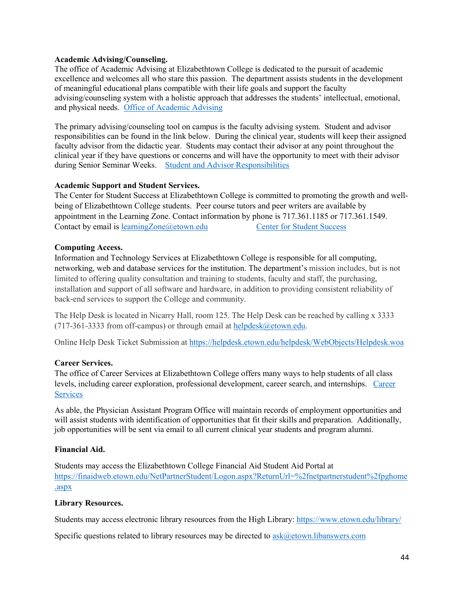#### **Academic Advising/Counseling.**

The office of Academic Advising at Elizabethtown College is dedicated to the pursuit of academic excellence and welcomes all who stare this passion. The department assists students in the development of meaningful educational plans compatible with their life goals and support the faculty advising/counseling system with a holistic approach that addresses the students' intellectual, emotional, and physical needs. [Office of Academic Advising](https://www.etown.edu/offices/advising/index.aspx)

The primary advising/counseling tool on campus is the faculty advising system. Student and advisor responsibilities can be found in the link below. During the clinical year, students will keep their assigned faculty advisor from the didactic year. Students may contact their advisor at any point throughout the clinical year if they have questions or concerns and will have the opportunity to meet with their advisor during Senior Seminar Weeks. [Student and Advisor Responsibilities](https://www.etown.edu/offices/advising/students.aspx)

### **Academic Support and Student Services.**

The Center for Student Success at Elizabethtown College is committed to promoting the growth and wellbeing of Elizabethtown College students. Peer course tutors and peer writers are available by appointment in the Learning Zone. Contact information by phone is 717.361.1185 or 717.361.1549. Contact by email is [learningZone@etown.edu](mailto:learningZone@etown.edu) [Center for Student Success](https://www.etown.edu/offices/student-success/index.aspx)

### **Computing Access.**

Information and Technology Services at Elizabethtown College is responsible for all computing, networking, web and database services for the institution. The department's mission includes, but is not limited to offering quality consultation and training to students, faculty and staff, the purchasing, installation and support of all software and hardware, in addition to providing consistent reliability of back-end services to support the College and community.

The Help Desk is located in Nicarry Hall, room 125. The Help Desk can be reached by calling x 3333 (717-361-3333 from off-campus) or through email at [helpdesk@etown.edu.](mailto:helpdesk@etown.edu)

Online Help Desk Ticket Submission at<https://helpdesk.etown.edu/helpdesk/WebObjects/Helpdesk.woa>

#### **Career Services.**

The office of Career Services at Elizabethtown College offers many ways to help students of all class levels, including career exploration, professional development, career search, and internships. [Career](https://www.etown.edu/offices/career/students.aspx)  **[Services](https://www.etown.edu/offices/career/students.aspx)** 

As able, the Physician Assistant Program Office will maintain records of employment opportunities and will assist students with identification of opportunities that fit their skills and preparation. Additionally, job opportunities will be sent via email to all current clinical year students and program alumni.

#### **Financial Aid.**

Students may access the Elizabethtown College Financial Aid Student Aid Portal at [https://finaidweb.etown.edu/NetPartnerStudent/Logon.aspx?ReturnUrl=%2fnetpartnerstudent%2fpghome](https://finaidweb.etown.edu/NetPartnerStudent/Logon.aspx?ReturnUrl=%2fnetpartnerstudent%2fpghome.aspx) [.aspx](https://finaidweb.etown.edu/NetPartnerStudent/Logon.aspx?ReturnUrl=%2fnetpartnerstudent%2fpghome.aspx) 

#### **Library Resources.**

Students may access electronic library resources from the High Library:<https://www.etown.edu/library/>

Specific questions related to library resources may be directed to  $ask@ctown.$  libanswers.com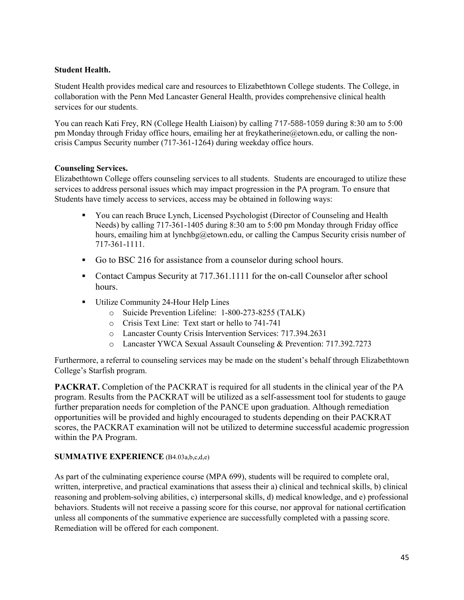# **Student Health.**

Student Health provides medical care and resources to Elizabethtown College students. The College, in collaboration with the Penn Med Lancaster General Health, provides comprehensive clinical health services for our students.

You can reach Kati Frey, RN (College Health Liaison) by calling 717-588-1059 during 8:30 am to 5:00 pm Monday through Friday office hours, emailing her at freykatherine@etown.edu, or calling the noncrisis Campus Security number (717-361-1264) during weekday office hours.

# **Counseling Services.**

Elizabethtown College offers counseling services to all students. Students are encouraged to utilize these services to address personal issues which may impact progression in the PA program. To ensure that Students have timely access to services, access may be obtained in following ways:

- You can reach Bruce Lynch, Licensed Psychologist (Director of Counseling and Health Needs) by calling 717-361-1405 during 8:30 am to 5:00 pm Monday through Friday office hours, emailing him at lynchbg@etown.edu, or calling the Campus Security crisis number of 717-361-1111.
- Go to BSC 216 for assistance from a counselor during school hours.
- Contact Campus Security at 717.361.1111 for the on-call Counselor after school hours.
- Utilize Community 24-Hour Help Lines
	- o Suicide Prevention Lifeline: 1-800-273-8255 (TALK)
	- o Crisis Text Line: Text start or hello to 741-741
	- o Lancaster County Crisis Intervention Services: 717.394.2631
	- o Lancaster YWCA Sexual Assault Counseling & Prevention: 717.392.7273

Furthermore, a referral to counseling services may be made on the student's behalf through Elizabethtown College's Starfish program.

**PACKRAT.** Completion of the PACKRAT is required for all students in the clinical year of the PA program. Results from the PACKRAT will be utilized as a self-assessment tool for students to gauge further preparation needs for completion of the PANCE upon graduation. Although remediation opportunities will be provided and highly encouraged to students depending on their PACKRAT scores, the PACKRAT examination will not be utilized to determine successful academic progression within the PA Program.

# **SUMMATIVE EXPERIENCE** (B4.03a,b,c,d,e)

As part of the culminating experience course (MPA 699), students will be required to complete oral, written, interpretive, and practical examinations that assess their a) clinical and technical skills, b) clinical reasoning and problem-solving abilities, c) interpersonal skills, d) medical knowledge, and e) professional behaviors. Students will not receive a passing score for this course, nor approval for national certification unless all components of the summative experience are successfully completed with a passing score. Remediation will be offered for each component.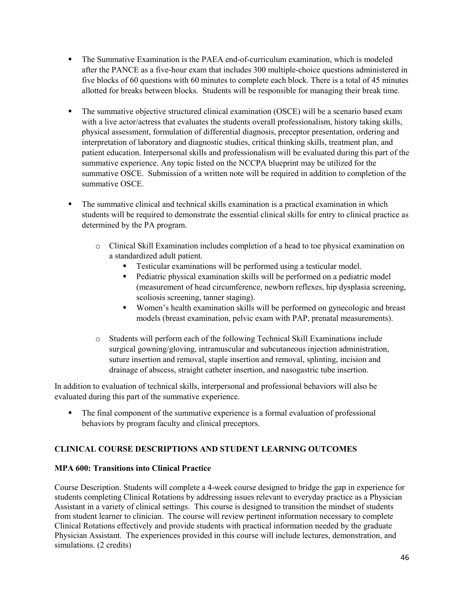- The Summative Examination is the PAEA end-of-curriculum examination, which is modeled after the PANCE as a five-hour exam that includes 300 multiple-choice questions administered in five blocks of 60 questions with 60 minutes to complete each block. There is a total of 45 minutes allotted for breaks between blocks. Students will be responsible for managing their break time.
- The summative objective structured clinical examination (OSCE) will be a scenario based exam with a live actor/actress that evaluates the students overall professionalism, history taking skills, physical assessment, formulation of differential diagnosis, preceptor presentation, ordering and interpretation of laboratory and diagnostic studies, critical thinking skills, treatment plan, and patient education. Interpersonal skills and professionalism will be evaluated during this part of the summative experience. Any topic listed on the NCCPA blueprint may be utilized for the summative OSCE. Submission of a written note will be required in addition to completion of the summative OSCE.
- The summative clinical and technical skills examination is a practical examination in which students will be required to demonstrate the essential clinical skills for entry to clinical practice as determined by the PA program.
	- o Clinical Skill Examination includes completion of a head to toe physical examination on a standardized adult patient.
		- Testicular examinations will be performed using a testicular model.
		- **Pediatric physical examination skills will be performed on a pediatric model** (measurement of head circumference, newborn reflexes, hip dysplasia screening, scoliosis screening, tanner staging).
		- Women's health examination skills will be performed on gynecologic and breast models (breast examination, pelvic exam with PAP, prenatal measurements).
	- o Students will perform each of the following Technical Skill Examinations include surgical gowning/gloving, intramuscular and subcutaneous injection administration, suture insertion and removal, staple insertion and removal, splinting, incision and drainage of abscess, straight catheter insertion, and nasogastric tube insertion.

In addition to evaluation of technical skills, interpersonal and professional behaviors will also be evaluated during this part of the summative experience.

 The final component of the summative experience is a formal evaluation of professional behaviors by program faculty and clinical preceptors.

# **CLINICAL COURSE DESCRIPTIONS AND STUDENT LEARNING OUTCOMES**

# **MPA 600: Transitions into Clinical Practice**

Course Description. Students will complete a 4-week course designed to bridge the gap in experience for students completing Clinical Rotations by addressing issues relevant to everyday practice as a Physician Assistant in a variety of clinical settings. This course is designed to transition the mindset of students from student learner to clinician. The course will review pertinent information necessary to complete Clinical Rotations effectively and provide students with practical information needed by the graduate Physician Assistant. The experiences provided in this course will include lectures, demonstration, and simulations. (2 credits)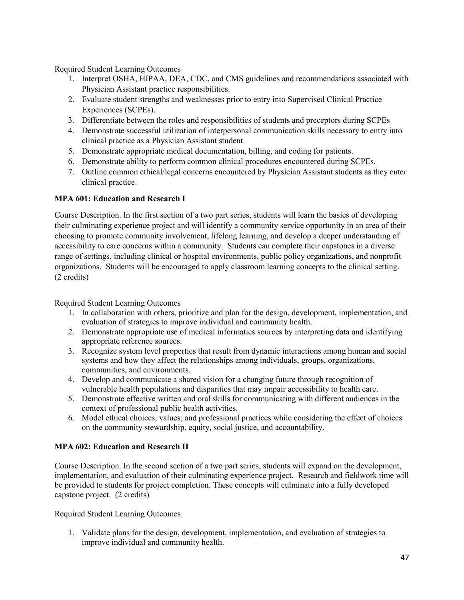Required Student Learning Outcomes

- 1. Interpret OSHA, HIPAA, DEA, CDC, and CMS guidelines and recommendations associated with Physician Assistant practice responsibilities.
- 2. Evaluate student strengths and weaknesses prior to entry into Supervised Clinical Practice Experiences (SCPEs).
- 3. Differentiate between the roles and responsibilities of students and preceptors during SCPEs
- 4. Demonstrate successful utilization of interpersonal communication skills necessary to entry into clinical practice as a Physician Assistant student.
- 5. Demonstrate appropriate medical documentation, billing, and coding for patients.
- 6. Demonstrate ability to perform common clinical procedures encountered during SCPEs.
- 7. Outline common ethical/legal concerns encountered by Physician Assistant students as they enter clinical practice.

### **MPA 601: Education and Research I**

Course Description. In the first section of a two part series, students will learn the basics of developing their culminating experience project and will identify a community service opportunity in an area of their choosing to promote community involvement, lifelong learning, and develop a deeper understanding of accessibility to care concerns within a community. Students can complete their capstones in a diverse range of settings, including clinical or hospital environments, public policy organizations, and nonprofit organizations. Students will be encouraged to apply classroom learning concepts to the clinical setting. (2 credits)

Required Student Learning Outcomes

- 1. In collaboration with others, prioritize and plan for the design, development, implementation, and evaluation of strategies to improve individual and community health.
- 2. Demonstrate appropriate use of medical informatics sources by interpreting data and identifying appropriate reference sources.
- 3. Recognize system level properties that result from dynamic interactions among human and social systems and how they affect the relationships among individuals, groups, organizations, communities, and environments.
- 4. Develop and communicate a shared vision for a changing future through recognition of vulnerable health populations and disparities that may impair accessibility to health care.
- 5. Demonstrate effective written and oral skills for communicating with different audiences in the context of professional public health activities.
- 6. Model ethical choices, values, and professional practices while considering the effect of choices on the community stewardship, equity, social justice, and accountability.

# **MPA 602: Education and Research II**

Course Description. In the second section of a two part series, students will expand on the development, implementation, and evaluation of their culminating experience project. Research and fieldwork time will be provided to students for project completion. These concepts will culminate into a fully developed capstone project. (2 credits)

Required Student Learning Outcomes

1. Validate plans for the design, development, implementation, and evaluation of strategies to improve individual and community health.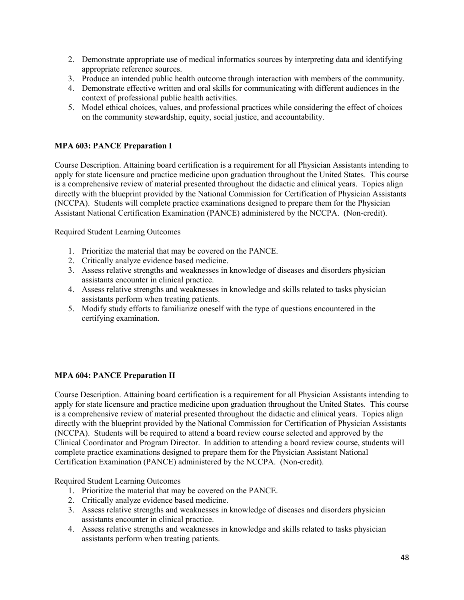- 2. Demonstrate appropriate use of medical informatics sources by interpreting data and identifying appropriate reference sources.
- 3. Produce an intended public health outcome through interaction with members of the community.
- 4. Demonstrate effective written and oral skills for communicating with different audiences in the context of professional public health activities.
- 5. Model ethical choices, values, and professional practices while considering the effect of choices on the community stewardship, equity, social justice, and accountability.

### **MPA 603: PANCE Preparation I**

Course Description. Attaining board certification is a requirement for all Physician Assistants intending to apply for state licensure and practice medicine upon graduation throughout the United States. This course is a comprehensive review of material presented throughout the didactic and clinical years. Topics align directly with the blueprint provided by the National Commission for Certification of Physician Assistants (NCCPA). Students will complete practice examinations designed to prepare them for the Physician Assistant National Certification Examination (PANCE) administered by the NCCPA. (Non-credit).

Required Student Learning Outcomes

- 1. Prioritize the material that may be covered on the PANCE.
- 2. Critically analyze evidence based medicine.
- 3. Assess relative strengths and weaknesses in knowledge of diseases and disorders physician assistants encounter in clinical practice.
- 4. Assess relative strengths and weaknesses in knowledge and skills related to tasks physician assistants perform when treating patients.
- 5. Modify study efforts to familiarize oneself with the type of questions encountered in the certifying examination.

#### **MPA 604: PANCE Preparation II**

Course Description. Attaining board certification is a requirement for all Physician Assistants intending to apply for state licensure and practice medicine upon graduation throughout the United States. This course is a comprehensive review of material presented throughout the didactic and clinical years. Topics align directly with the blueprint provided by the National Commission for Certification of Physician Assistants (NCCPA). Students will be required to attend a board review course selected and approved by the Clinical Coordinator and Program Director. In addition to attending a board review course, students will complete practice examinations designed to prepare them for the Physician Assistant National Certification Examination (PANCE) administered by the NCCPA. (Non-credit).

- 1. Prioritize the material that may be covered on the PANCE.
- 2. Critically analyze evidence based medicine.
- 3. Assess relative strengths and weaknesses in knowledge of diseases and disorders physician assistants encounter in clinical practice.
- 4. Assess relative strengths and weaknesses in knowledge and skills related to tasks physician assistants perform when treating patients.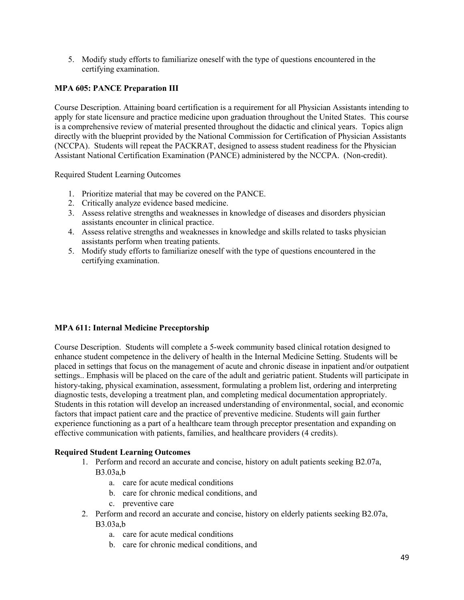5. Modify study efforts to familiarize oneself with the type of questions encountered in the certifying examination.

### **MPA 605: PANCE Preparation III**

Course Description. Attaining board certification is a requirement for all Physician Assistants intending to apply for state licensure and practice medicine upon graduation throughout the United States. This course is a comprehensive review of material presented throughout the didactic and clinical years. Topics align directly with the blueprint provided by the National Commission for Certification of Physician Assistants (NCCPA). Students will repeat the PACKRAT, designed to assess student readiness for the Physician Assistant National Certification Examination (PANCE) administered by the NCCPA. (Non-credit).

Required Student Learning Outcomes

- 1. Prioritize material that may be covered on the PANCE.
- 2. Critically analyze evidence based medicine.
- 3. Assess relative strengths and weaknesses in knowledge of diseases and disorders physician assistants encounter in clinical practice.
- 4. Assess relative strengths and weaknesses in knowledge and skills related to tasks physician assistants perform when treating patients.
- 5. Modify study efforts to familiarize oneself with the type of questions encountered in the certifying examination.

#### **MPA 611: Internal Medicine Preceptorship**

Course Description. Students will complete a 5-week community based clinical rotation designed to enhance student competence in the delivery of health in the Internal Medicine Setting. Students will be placed in settings that focus on the management of acute and chronic disease in inpatient and/or outpatient settings.. Emphasis will be placed on the care of the adult and geriatric patient. Students will participate in history-taking, physical examination, assessment, formulating a problem list, ordering and interpreting diagnostic tests, developing a treatment plan, and completing medical documentation appropriately. Students in this rotation will develop an increased understanding of environmental, social, and economic factors that impact patient care and the practice of preventive medicine. Students will gain further experience functioning as a part of a healthcare team through preceptor presentation and expanding on effective communication with patients, families, and healthcare providers (4 credits).

- 1. Perform and record an accurate and concise, history on adult patients seeking B2.07a, B3.03a,b
	- a. care for acute medical conditions
	- b. care for chronic medical conditions, and
	- c. preventive care
- 2. Perform and record an accurate and concise, history on elderly patients seeking B2.07a, B3.03a,b
	- a. care for acute medical conditions
	- b. care for chronic medical conditions, and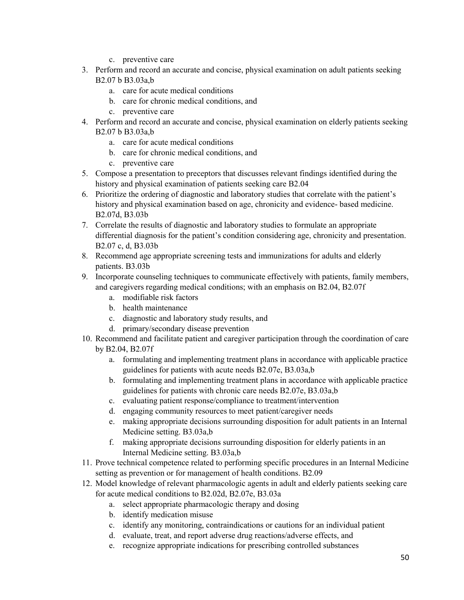- c. preventive care
- 3. Perform and record an accurate and concise, physical examination on adult patients seeking B2.07 b B3.03a,b
	- a. care for acute medical conditions
	- b. care for chronic medical conditions, and
	- c. preventive care
- 4. Perform and record an accurate and concise, physical examination on elderly patients seeking B2.07 b B3.03a,b
	- a. care for acute medical conditions
	- b. care for chronic medical conditions, and
	- c. preventive care
- 5. Compose a presentation to preceptors that discusses relevant findings identified during the history and physical examination of patients seeking care B2.04
- 6. Prioritize the ordering of diagnostic and laboratory studies that correlate with the patient's history and physical examination based on age, chronicity and evidence- based medicine. B2.07d, B3.03b
- 7. Correlate the results of diagnostic and laboratory studies to formulate an appropriate differential diagnosis for the patient's condition considering age, chronicity and presentation. B2.07 c, d, B3.03b
- 8. Recommend age appropriate screening tests and immunizations for adults and elderly patients. B3.03b
- 9. Incorporate counseling techniques to communicate effectively with patients, family members, and caregivers regarding medical conditions; with an emphasis on B2.04, B2.07f
	- a. modifiable risk factors
	- b. health maintenance
	- c. diagnostic and laboratory study results, and
	- d. primary/secondary disease prevention
- 10. Recommend and facilitate patient and caregiver participation through the coordination of care by B2.04, B2.07f
	- a. formulating and implementing treatment plans in accordance with applicable practice guidelines for patients with acute needs B2.07e, B3.03a,b
	- b. formulating and implementing treatment plans in accordance with applicable practice guidelines for patients with chronic care needs B2.07e, B3.03a,b
	- c. evaluating patient response/compliance to treatment/intervention
	- d. engaging community resources to meet patient/caregiver needs
	- e. making appropriate decisions surrounding disposition for adult patients in an Internal Medicine setting. B3.03a,b
	- f. making appropriate decisions surrounding disposition for elderly patients in an Internal Medicine setting. B3.03a,b
- 11. Prove technical competence related to performing specific procedures in an Internal Medicine setting as prevention or for management of health conditions. B2.09
- 12. Model knowledge of relevant pharmacologic agents in adult and elderly patients seeking care for acute medical conditions to B2.02d, B2.07e, B3.03a
	- a. select appropriate pharmacologic therapy and dosing
	- b. identify medication misuse
	- c. identify any monitoring, contraindications or cautions for an individual patient
	- d. evaluate, treat, and report adverse drug reactions/adverse effects, and
	- e. recognize appropriate indications for prescribing controlled substances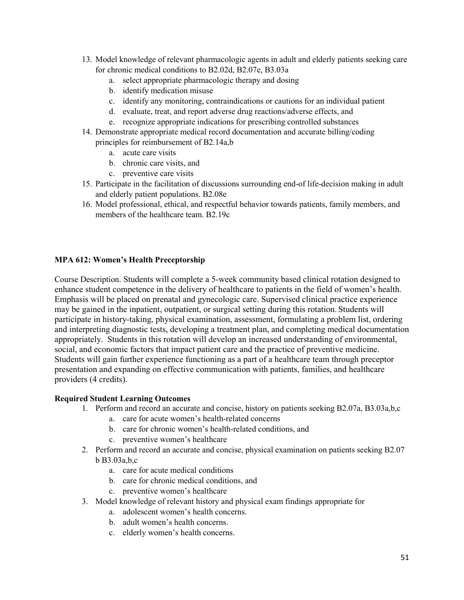- 13. Model knowledge of relevant pharmacologic agents in adult and elderly patients seeking care for chronic medical conditions to B2.02d, B2.07e, B3.03a
	- a. select appropriate pharmacologic therapy and dosing
	- b. identify medication misuse
	- c. identify any monitoring, contraindications or cautions for an individual patient
	- d. evaluate, treat, and report adverse drug reactions/adverse effects, and
	- e. recognize appropriate indications for prescribing controlled substances
- 14. Demonstrate appropriate medical record documentation and accurate billing/coding principles for reimbursement of B2.14a,b
	- a. acute care visits
	- b. chronic care visits, and
	- c. preventive care visits
- 15. Participate in the facilitation of discussions surrounding end-of life-decision making in adult and elderly patient populations. B2.08e
- 16. Model professional, ethical, and respectful behavior towards patients, family members, and members of the healthcare team. B2.19c

### **MPA 612: Women's Health Preceptorship**

Course Description. Students will complete a 5-week community based clinical rotation designed to enhance student competence in the delivery of healthcare to patients in the field of women's health. Emphasis will be placed on prenatal and gynecologic care. Supervised clinical practice experience may be gained in the inpatient, outpatient, or surgical setting during this rotation. Students will participate in history-taking, physical examination, assessment, formulating a problem list, ordering and interpreting diagnostic tests, developing a treatment plan, and completing medical documentation appropriately. Students in this rotation will develop an increased understanding of environmental, social, and economic factors that impact patient care and the practice of preventive medicine. Students will gain further experience functioning as a part of a healthcare team through preceptor presentation and expanding on effective communication with patients, families, and healthcare providers (4 credits).

- 1. Perform and record an accurate and concise, history on patients seeking B2.07a, B3.03a,b,c
	- a. care for acute women's health-related concerns
	- b. care for chronic women's health-related conditions, and
	- c. preventive women's healthcare
- 2. Perform and record an accurate and concise, physical examination on patients seeking B2.07 b B3.03a,b,c
	- a. care for acute medical conditions
	- b. care for chronic medical conditions, and
	- c. preventive women's healthcare
- 3. Model knowledge of relevant history and physical exam findings appropriate for
	- a. adolescent women's health concerns.
	- b. adult women's health concerns.
	- c. elderly women's health concerns.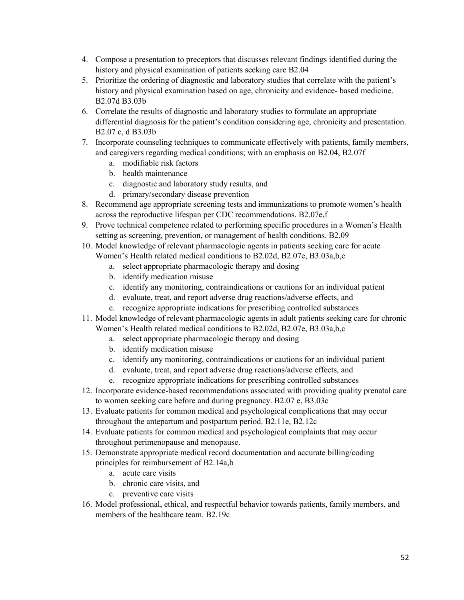- 4. Compose a presentation to preceptors that discusses relevant findings identified during the history and physical examination of patients seeking care B2.04
- 5. Prioritize the ordering of diagnostic and laboratory studies that correlate with the patient's history and physical examination based on age, chronicity and evidence- based medicine. B2.07d B3.03b
- 6. Correlate the results of diagnostic and laboratory studies to formulate an appropriate differential diagnosis for the patient's condition considering age, chronicity and presentation. B2.07 c, d B3.03b
- 7. Incorporate counseling techniques to communicate effectively with patients, family members, and caregivers regarding medical conditions; with an emphasis on B2.04, B2.07f
	- a. modifiable risk factors
	- b. health maintenance
	- c. diagnostic and laboratory study results, and
	- d. primary/secondary disease prevention
- 8. Recommend age appropriate screening tests and immunizations to promote women's health across the reproductive lifespan per CDC recommendations. B2.07e,f
- 9. Prove technical competence related to performing specific procedures in a Women's Health setting as screening, prevention, or management of health conditions. B2.09
- 10. Model knowledge of relevant pharmacologic agents in patients seeking care for acute Women's Health related medical conditions to B2.02d, B2.07e, B3.03a,b,c
	- a. select appropriate pharmacologic therapy and dosing
	- b. identify medication misuse
	- c. identify any monitoring, contraindications or cautions for an individual patient
	- d. evaluate, treat, and report adverse drug reactions/adverse effects, and
	- e. recognize appropriate indications for prescribing controlled substances
- 11. Model knowledge of relevant pharmacologic agents in adult patients seeking care for chronic Women's Health related medical conditions to B2.02d, B2.07e, B3.03a,b,c
	- a. select appropriate pharmacologic therapy and dosing
	- b. identify medication misuse
	- c. identify any monitoring, contraindications or cautions for an individual patient
	- d. evaluate, treat, and report adverse drug reactions/adverse effects, and
	- e. recognize appropriate indications for prescribing controlled substances
- 12. Incorporate evidence-based recommendations associated with providing quality prenatal care to women seeking care before and during pregnancy. B2.07 e, B3.03c
- 13. Evaluate patients for common medical and psychological complications that may occur throughout the antepartum and postpartum period. B2.11e, B2.12c
- 14. Evaluate patients for common medical and psychological complaints that may occur throughout perimenopause and menopause.
- 15. Demonstrate appropriate medical record documentation and accurate billing/coding principles for reimbursement of B2.14a,b
	- a. acute care visits
	- b. chronic care visits, and
	- c. preventive care visits
- 16. Model professional, ethical, and respectful behavior towards patients, family members, and members of the healthcare team. B2.19c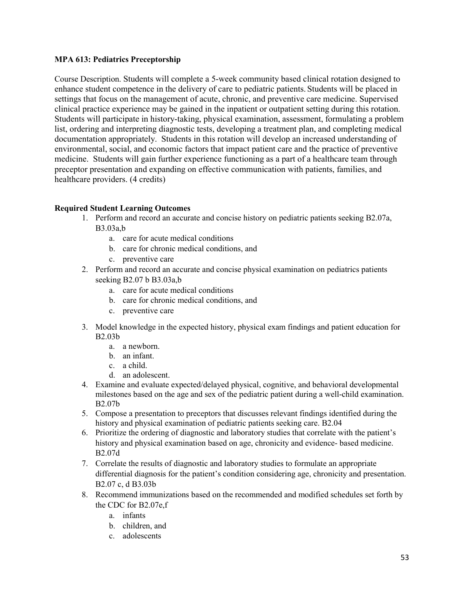### **MPA 613: Pediatrics Preceptorship**

Course Description. Students will complete a 5-week community based clinical rotation designed to enhance student competence in the delivery of care to pediatric patients. Students will be placed in settings that focus on the management of acute, chronic, and preventive care medicine. Supervised clinical practice experience may be gained in the inpatient or outpatient setting during this rotation. Students will participate in history-taking, physical examination, assessment, formulating a problem list, ordering and interpreting diagnostic tests, developing a treatment plan, and completing medical documentation appropriately. Students in this rotation will develop an increased understanding of environmental, social, and economic factors that impact patient care and the practice of preventive medicine. Students will gain further experience functioning as a part of a healthcare team through preceptor presentation and expanding on effective communication with patients, families, and healthcare providers. (4 credits)

- 1. Perform and record an accurate and concise history on pediatric patients seeking B2.07a, B3.03a,b
	- a. care for acute medical conditions
	- b. care for chronic medical conditions, and
	- c. preventive care
- 2. Perform and record an accurate and concise physical examination on pediatrics patients seeking B2.07 b B3.03a,b
	- a. care for acute medical conditions
	- b. care for chronic medical conditions, and
	- c. preventive care
- 3. Model knowledge in the expected history, physical exam findings and patient education for B2.03b
	- a. a newborn.
	- b. an infant.
	- c. a child.
	- d. an adolescent.
- 4. Examine and evaluate expected/delayed physical, cognitive, and behavioral developmental milestones based on the age and sex of the pediatric patient during a well-child examination. B2.07b
- 5. Compose a presentation to preceptors that discusses relevant findings identified during the history and physical examination of pediatric patients seeking care. B2.04
- 6. Prioritize the ordering of diagnostic and laboratory studies that correlate with the patient's history and physical examination based on age, chronicity and evidence- based medicine. B2.07d
- 7. Correlate the results of diagnostic and laboratory studies to formulate an appropriate differential diagnosis for the patient's condition considering age, chronicity and presentation. B2.07 c, d B3.03b
- 8. Recommend immunizations based on the recommended and modified schedules set forth by the CDC for B2.07e,f
	- a. infants
	- b. children, and
	- c. adolescents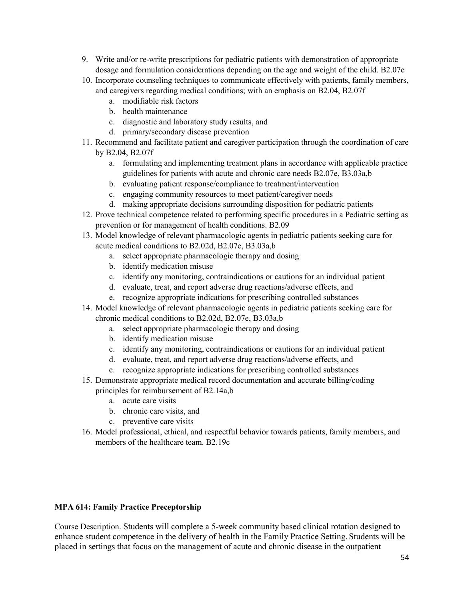- 9. Write and/or re-write prescriptions for pediatric patients with demonstration of appropriate dosage and formulation considerations depending on the age and weight of the child. B2.07e
- 10. Incorporate counseling techniques to communicate effectively with patients, family members, and caregivers regarding medical conditions; with an emphasis on B2.04, B2.07f
	- a. modifiable risk factors
	- b. health maintenance
	- c. diagnostic and laboratory study results, and
	- d. primary/secondary disease prevention
- 11. Recommend and facilitate patient and caregiver participation through the coordination of care by B2.04, B2.07f
	- a. formulating and implementing treatment plans in accordance with applicable practice guidelines for patients with acute and chronic care needs B2.07e, B3.03a,b
	- b. evaluating patient response/compliance to treatment/intervention
	- c. engaging community resources to meet patient/caregiver needs
	- d. making appropriate decisions surrounding disposition for pediatric patients
- 12. Prove technical competence related to performing specific procedures in a Pediatric setting as prevention or for management of health conditions. B2.09
- 13. Model knowledge of relevant pharmacologic agents in pediatric patients seeking care for acute medical conditions to B2.02d, B2.07e, B3.03a,b
	- a. select appropriate pharmacologic therapy and dosing
	- b. identify medication misuse
	- c. identify any monitoring, contraindications or cautions for an individual patient
	- d. evaluate, treat, and report adverse drug reactions/adverse effects, and
	- e. recognize appropriate indications for prescribing controlled substances
- 14. Model knowledge of relevant pharmacologic agents in pediatric patients seeking care for chronic medical conditions to B2.02d, B2.07e, B3.03a,b
	- a. select appropriate pharmacologic therapy and dosing
	- b. identify medication misuse
	- c. identify any monitoring, contraindications or cautions for an individual patient
	- d. evaluate, treat, and report adverse drug reactions/adverse effects, and
	- e. recognize appropriate indications for prescribing controlled substances
- 15. Demonstrate appropriate medical record documentation and accurate billing/coding principles for reimbursement of B2.14a,b
	- a. acute care visits
	- b. chronic care visits, and
	- c. preventive care visits
- 16. Model professional, ethical, and respectful behavior towards patients, family members, and members of the healthcare team. B2.19c

#### **MPA 614: Family Practice Preceptorship**

Course Description. Students will complete a 5-week community based clinical rotation designed to enhance student competence in the delivery of health in the Family Practice Setting. Students will be placed in settings that focus on the management of acute and chronic disease in the outpatient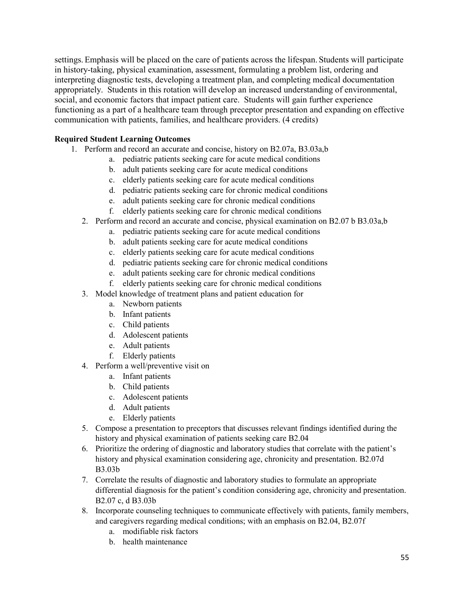settings. Emphasis will be placed on the care of patients across the lifespan. Students will participate in history-taking, physical examination, assessment, formulating a problem list, ordering and interpreting diagnostic tests, developing a treatment plan, and completing medical documentation appropriately. Students in this rotation will develop an increased understanding of environmental, social, and economic factors that impact patient care. Students will gain further experience functioning as a part of a healthcare team through preceptor presentation and expanding on effective communication with patients, families, and healthcare providers. (4 credits)

- 1. Perform and record an accurate and concise, history on B2.07a, B3.03a,b
	- a. pediatric patients seeking care for acute medical conditions
	- b. adult patients seeking care for acute medical conditions
	- c. elderly patients seeking care for acute medical conditions
	- d. pediatric patients seeking care for chronic medical conditions
	- e. adult patients seeking care for chronic medical conditions
	- f. elderly patients seeking care for chronic medical conditions
	- 2. Perform and record an accurate and concise, physical examination on B2.07 b B3.03a,b
		- a. pediatric patients seeking care for acute medical conditions
		- b. adult patients seeking care for acute medical conditions
		- c. elderly patients seeking care for acute medical conditions
		- d. pediatric patients seeking care for chronic medical conditions
		- e. adult patients seeking care for chronic medical conditions
		- f. elderly patients seeking care for chronic medical conditions
	- 3. Model knowledge of treatment plans and patient education for
		- a. Newborn patients
		- b. Infant patients
		- c. Child patients
		- d. Adolescent patients
		- e. Adult patients
		- f. Elderly patients
	- 4. Perform a well/preventive visit on
		- a. Infant patients
		- b. Child patients
		- c. Adolescent patients
		- d. Adult patients
		- e. Elderly patients
	- 5. Compose a presentation to preceptors that discusses relevant findings identified during the history and physical examination of patients seeking care B2.04
	- 6. Prioritize the ordering of diagnostic and laboratory studies that correlate with the patient's history and physical examination considering age, chronicity and presentation. B2.07d B3.03b
	- 7. Correlate the results of diagnostic and laboratory studies to formulate an appropriate differential diagnosis for the patient's condition considering age, chronicity and presentation. B2.07 c, d B3.03b
	- 8. Incorporate counseling techniques to communicate effectively with patients, family members, and caregivers regarding medical conditions; with an emphasis on B2.04, B2.07f
		- a. modifiable risk factors
		- b. health maintenance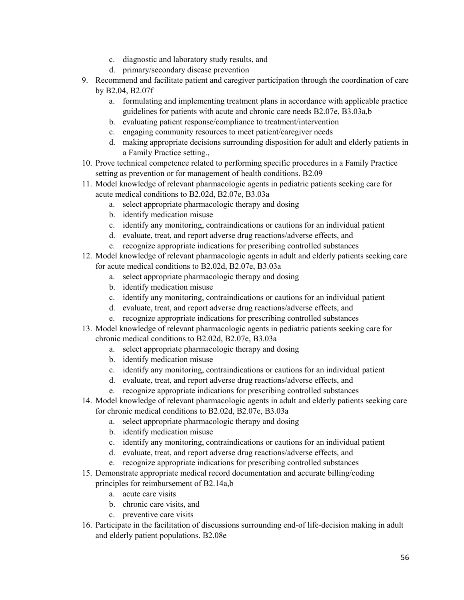- c. diagnostic and laboratory study results, and
- d. primary/secondary disease prevention
- 9. Recommend and facilitate patient and caregiver participation through the coordination of care by B2.04, B2.07f
	- a. formulating and implementing treatment plans in accordance with applicable practice guidelines for patients with acute and chronic care needs B2.07e, B3.03a,b
	- b. evaluating patient response/compliance to treatment/intervention
	- c. engaging community resources to meet patient/caregiver needs
	- d. making appropriate decisions surrounding disposition for adult and elderly patients in a Family Practice setting.,
- 10. Prove technical competence related to performing specific procedures in a Family Practice setting as prevention or for management of health conditions. B2.09
- 11. Model knowledge of relevant pharmacologic agents in pediatric patients seeking care for acute medical conditions to B2.02d, B2.07e, B3.03a
	- a. select appropriate pharmacologic therapy and dosing
	- b. identify medication misuse
	- c. identify any monitoring, contraindications or cautions for an individual patient
	- d. evaluate, treat, and report adverse drug reactions/adverse effects, and
	- e. recognize appropriate indications for prescribing controlled substances
- 12. Model knowledge of relevant pharmacologic agents in adult and elderly patients seeking care for acute medical conditions to B2.02d, B2.07e, B3.03a
	- a. select appropriate pharmacologic therapy and dosing
	- b. identify medication misuse
	- c. identify any monitoring, contraindications or cautions for an individual patient
	- d. evaluate, treat, and report adverse drug reactions/adverse effects, and
	- e. recognize appropriate indications for prescribing controlled substances
- 13. Model knowledge of relevant pharmacologic agents in pediatric patients seeking care for chronic medical conditions to B2.02d, B2.07e, B3.03a
	- a. select appropriate pharmacologic therapy and dosing
	- b. identify medication misuse
	- c. identify any monitoring, contraindications or cautions for an individual patient
	- d. evaluate, treat, and report adverse drug reactions/adverse effects, and
	- e. recognize appropriate indications for prescribing controlled substances
- 14. Model knowledge of relevant pharmacologic agents in adult and elderly patients seeking care for chronic medical conditions to B2.02d, B2.07e, B3.03a
	- a. select appropriate pharmacologic therapy and dosing
	- b. identify medication misuse
	- c. identify any monitoring, contraindications or cautions for an individual patient
	- d. evaluate, treat, and report adverse drug reactions/adverse effects, and
	- e. recognize appropriate indications for prescribing controlled substances
- 15. Demonstrate appropriate medical record documentation and accurate billing/coding principles for reimbursement of B2.14a,b
	- a. acute care visits
	- b. chronic care visits, and
	- c. preventive care visits
- 16. Participate in the facilitation of discussions surrounding end-of life-decision making in adult and elderly patient populations. B2.08e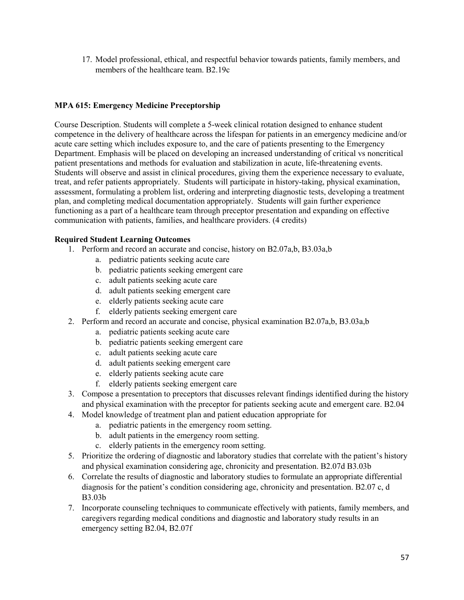17. Model professional, ethical, and respectful behavior towards patients, family members, and members of the healthcare team. B2.19c

### **MPA 615: Emergency Medicine Preceptorship**

Course Description. Students will complete a 5-week clinical rotation designed to enhance student competence in the delivery of healthcare across the lifespan for patients in an emergency medicine and/or acute care setting which includes exposure to, and the care of patients presenting to the Emergency Department. Emphasis will be placed on developing an increased understanding of critical vs noncritical patient presentations and methods for evaluation and stabilization in acute, life-threatening events. Students will observe and assist in clinical procedures, giving them the experience necessary to evaluate, treat, and refer patients appropriately. Students will participate in history-taking, physical examination, assessment, formulating a problem list, ordering and interpreting diagnostic tests, developing a treatment plan, and completing medical documentation appropriately. Students will gain further experience functioning as a part of a healthcare team through preceptor presentation and expanding on effective communication with patients, families, and healthcare providers. (4 credits)

- 1. Perform and record an accurate and concise, history on B2.07a,b, B3.03a,b
	- a. pediatric patients seeking acute care
	- b. pediatric patients seeking emergent care
	- c. adult patients seeking acute care
	- d. adult patients seeking emergent care
	- e. elderly patients seeking acute care
	- f. elderly patients seeking emergent care
- 2. Perform and record an accurate and concise, physical examination B2.07a,b, B3.03a,b
	- a. pediatric patients seeking acute care
	- b. pediatric patients seeking emergent care
	- c. adult patients seeking acute care
	- d. adult patients seeking emergent care
	- e. elderly patients seeking acute care
	- f. elderly patients seeking emergent care
- 3. Compose a presentation to preceptors that discusses relevant findings identified during the history and physical examination with the preceptor for patients seeking acute and emergent care. B2.04
- 4. Model knowledge of treatment plan and patient education appropriate for
	- a. pediatric patients in the emergency room setting.
	- b. adult patients in the emergency room setting.
	- c. elderly patients in the emergency room setting.
- 5. Prioritize the ordering of diagnostic and laboratory studies that correlate with the patient's history and physical examination considering age, chronicity and presentation. B2.07d B3.03b
- 6. Correlate the results of diagnostic and laboratory studies to formulate an appropriate differential diagnosis for the patient's condition considering age, chronicity and presentation. B2.07 c, d B3.03b
- 7. Incorporate counseling techniques to communicate effectively with patients, family members, and caregivers regarding medical conditions and diagnostic and laboratory study results in an emergency setting B2.04, B2.07f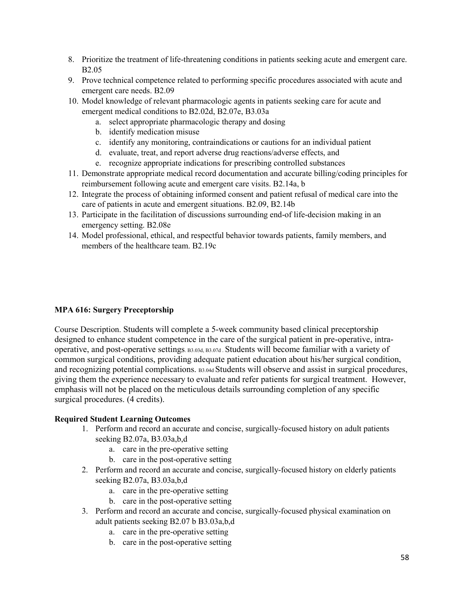- 8. Prioritize the treatment of life-threatening conditions in patients seeking acute and emergent care. B2.05
- 9. Prove technical competence related to performing specific procedures associated with acute and emergent care needs. B2.09
- 10. Model knowledge of relevant pharmacologic agents in patients seeking care for acute and emergent medical conditions to B2.02d, B2.07e, B3.03a
	- a. select appropriate pharmacologic therapy and dosing
	- b. identify medication misuse
	- c. identify any monitoring, contraindications or cautions for an individual patient
	- d. evaluate, treat, and report adverse drug reactions/adverse effects, and
	- e. recognize appropriate indications for prescribing controlled substances
- 11. Demonstrate appropriate medical record documentation and accurate billing/coding principles for reimbursement following acute and emergent care visits. B2.14a, b
- 12. Integrate the process of obtaining informed consent and patient refusal of medical care into the care of patients in acute and emergent situations. B2.09, B2.14b
- 13. Participate in the facilitation of discussions surrounding end-of life-decision making in an emergency setting. B2.08e
- 14. Model professional, ethical, and respectful behavior towards patients, family members, and members of the healthcare team. B2.19c

#### **MPA 616: Surgery Preceptorship**

Course Description. Students will complete a 5-week community based clinical preceptorship designed to enhance student competence in the care of the surgical patient in pre-operative, intraoperative, and post-operative settings. B3.03d, B3.07d . Students will become familiar with a variety of common surgical conditions, providing adequate patient education about his/her surgical condition, and recognizing potential complications. B3.04d Students will observe and assist in surgical procedures, giving them the experience necessary to evaluate and refer patients for surgical treatment. However, emphasis will not be placed on the meticulous details surrounding completion of any specific surgical procedures. (4 credits).

- 1. Perform and record an accurate and concise, surgically-focused history on adult patients seeking B2.07a, B3.03a,b,d
	- a. care in the pre-operative setting
	- b. care in the post-operative setting
- 2. Perform and record an accurate and concise, surgically-focused history on elderly patients seeking B2.07a, B3.03a,b,d
	- a. care in the pre-operative setting
	- b. care in the post-operative setting
- 3. Perform and record an accurate and concise, surgically-focused physical examination on adult patients seeking B2.07 b B3.03a,b,d
	- a. care in the pre-operative setting
	- b. care in the post-operative setting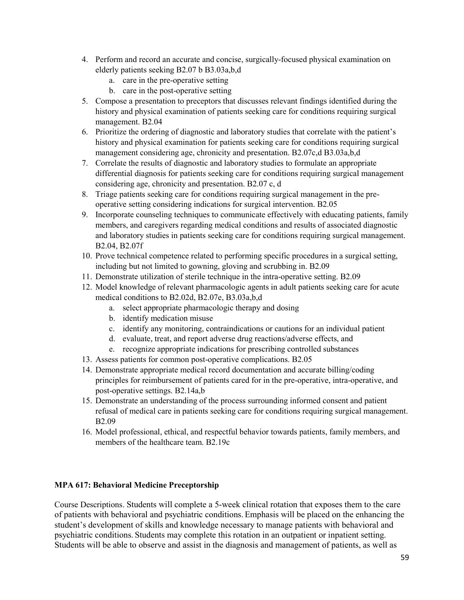- 4. Perform and record an accurate and concise, surgically-focused physical examination on elderly patients seeking B2.07 b B3.03a,b,d
	- a. care in the pre-operative setting
	- b. care in the post-operative setting
- 5. Compose a presentation to preceptors that discusses relevant findings identified during the history and physical examination of patients seeking care for conditions requiring surgical management. B2.04
- 6. Prioritize the ordering of diagnostic and laboratory studies that correlate with the patient's history and physical examination for patients seeking care for conditions requiring surgical management considering age, chronicity and presentation. B2.07c,d B3.03a,b,d
- 7. Correlate the results of diagnostic and laboratory studies to formulate an appropriate differential diagnosis for patients seeking care for conditions requiring surgical management considering age, chronicity and presentation. B2.07 c, d
- 8. Triage patients seeking care for conditions requiring surgical management in the preoperative setting considering indications for surgical intervention. B2.05
- 9. Incorporate counseling techniques to communicate effectively with educating patients, family members, and caregivers regarding medical conditions and results of associated diagnostic and laboratory studies in patients seeking care for conditions requiring surgical management. B2.04, B2.07f
- 10. Prove technical competence related to performing specific procedures in a surgical setting, including but not limited to gowning, gloving and scrubbing in. B2.09
- 11. Demonstrate utilization of sterile technique in the intra-operative setting. B2.09
- 12. Model knowledge of relevant pharmacologic agents in adult patients seeking care for acute medical conditions to B2.02d, B2.07e, B3.03a,b,d
	- a. select appropriate pharmacologic therapy and dosing
	- b. identify medication misuse
	- c. identify any monitoring, contraindications or cautions for an individual patient
	- d. evaluate, treat, and report adverse drug reactions/adverse effects, and
	- e. recognize appropriate indications for prescribing controlled substances
- 13. Assess patients for common post-operative complications. B2.05
- 14. Demonstrate appropriate medical record documentation and accurate billing/coding principles for reimbursement of patients cared for in the pre-operative, intra-operative, and post-operative settings. B2.14a,b
- 15. Demonstrate an understanding of the process surrounding informed consent and patient refusal of medical care in patients seeking care for conditions requiring surgical management. B2.09
- 16. Model professional, ethical, and respectful behavior towards patients, family members, and members of the healthcare team. B2.19c

#### **MPA 617: Behavioral Medicine Preceptorship**

Course Descriptions. Students will complete a 5-week clinical rotation that exposes them to the care of patients with behavioral and psychiatric conditions. Emphasis will be placed on the enhancing the student's development of skills and knowledge necessary to manage patients with behavioral and psychiatric conditions. Students may complete this rotation in an outpatient or inpatient setting. Students will be able to observe and assist in the diagnosis and management of patients, as well as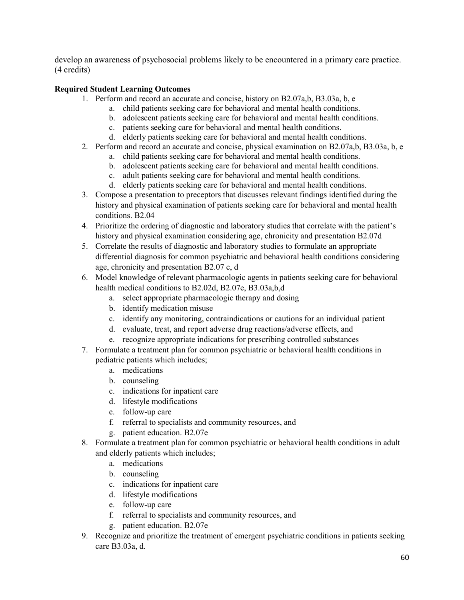develop an awareness of psychosocial problems likely to be encountered in a primary care practice. (4 credits)

- 1. Perform and record an accurate and concise, history on B2.07a,b, B3.03a, b, e
	- a. child patients seeking care for behavioral and mental health conditions.
	- b. adolescent patients seeking care for behavioral and mental health conditions.
	- c. patients seeking care for behavioral and mental health conditions.
	- d. elderly patients seeking care for behavioral and mental health conditions.
- 2. Perform and record an accurate and concise, physical examination on B2.07a,b, B3.03a, b, e
	- a. child patients seeking care for behavioral and mental health conditions.
	- b. adolescent patients seeking care for behavioral and mental health conditions.
	- c. adult patients seeking care for behavioral and mental health conditions.
	- d. elderly patients seeking care for behavioral and mental health conditions.
- 3. Compose a presentation to preceptors that discusses relevant findings identified during the history and physical examination of patients seeking care for behavioral and mental health conditions. B2.04
- 4. Prioritize the ordering of diagnostic and laboratory studies that correlate with the patient's history and physical examination considering age, chronicity and presentation B2.07d
- 5. Correlate the results of diagnostic and laboratory studies to formulate an appropriate differential diagnosis for common psychiatric and behavioral health conditions considering age, chronicity and presentation B2.07 c, d
- 6. Model knowledge of relevant pharmacologic agents in patients seeking care for behavioral health medical conditions to B2.02d, B2.07e, B3.03a,b,d
	- a. select appropriate pharmacologic therapy and dosing
	- b. identify medication misuse
	- c. identify any monitoring, contraindications or cautions for an individual patient
	- d. evaluate, treat, and report adverse drug reactions/adverse effects, and
	- e. recognize appropriate indications for prescribing controlled substances
- 7. Formulate a treatment plan for common psychiatric or behavioral health conditions in pediatric patients which includes;
	- a. medications
	- b. counseling
	- c. indications for inpatient care
	- d. lifestyle modifications
	- e. follow-up care
	- f. referral to specialists and community resources, and
	- g. patient education. B2.07e
- 8. Formulate a treatment plan for common psychiatric or behavioral health conditions in adult and elderly patients which includes;
	- a. medications
	- b. counseling
	- c. indications for inpatient care
	- d. lifestyle modifications
	- e. follow-up care
	- f. referral to specialists and community resources, and
	- g. patient education. B2.07e
- 9. Recognize and prioritize the treatment of emergent psychiatric conditions in patients seeking care B3.03a, d.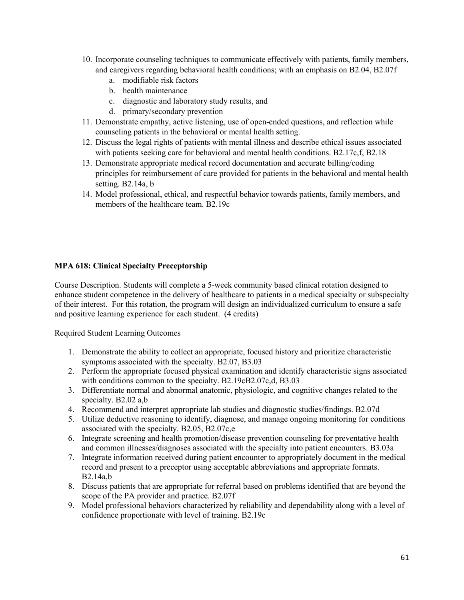- 10. Incorporate counseling techniques to communicate effectively with patients, family members, and caregivers regarding behavioral health conditions; with an emphasis on B2.04, B2.07f
	- a. modifiable risk factors
	- b. health maintenance
	- c. diagnostic and laboratory study results, and
	- d. primary/secondary prevention
- 11. Demonstrate empathy, active listening, use of open-ended questions, and reflection while counseling patients in the behavioral or mental health setting.
- 12. Discuss the legal rights of patients with mental illness and describe ethical issues associated with patients seeking care for behavioral and mental health conditions. B2.17c,f, B2.18
- 13. Demonstrate appropriate medical record documentation and accurate billing/coding principles for reimbursement of care provided for patients in the behavioral and mental health setting. B2.14a, b
- 14. Model professional, ethical, and respectful behavior towards patients, family members, and members of the healthcare team. B2.19c

#### **MPA 618: Clinical Specialty Preceptorship**

Course Description. Students will complete a 5-week community based clinical rotation designed to enhance student competence in the delivery of healthcare to patients in a medical specialty or subspecialty of their interest. For this rotation, the program will design an individualized curriculum to ensure a safe and positive learning experience for each student. (4 credits)

- 1. Demonstrate the ability to collect an appropriate, focused history and prioritize characteristic symptoms associated with the specialty. B2.07, B3.03
- 2. Perform the appropriate focused physical examination and identify characteristic signs associated with conditions common to the specialty. B2.19cB2.07c,d, B3.03
- 3. Differentiate normal and abnormal anatomic, physiologic, and cognitive changes related to the specialty. B2.02 a,b
- 4. Recommend and interpret appropriate lab studies and diagnostic studies/findings. B2.07d
- 5. Utilize deductive reasoning to identify, diagnose, and manage ongoing monitoring for conditions associated with the specialty. B2.05, B2.07c,e
- 6. Integrate screening and health promotion/disease prevention counseling for preventative health and common illnesses/diagnoses associated with the specialty into patient encounters. B3.03a
- 7. Integrate information received during patient encounter to appropriately document in the medical record and present to a preceptor using acceptable abbreviations and appropriate formats. B2.14a,b
- 8. Discuss patients that are appropriate for referral based on problems identified that are beyond the scope of the PA provider and practice. B2.07f
- 9. Model professional behaviors characterized by reliability and dependability along with a level of confidence proportionate with level of training. B2.19c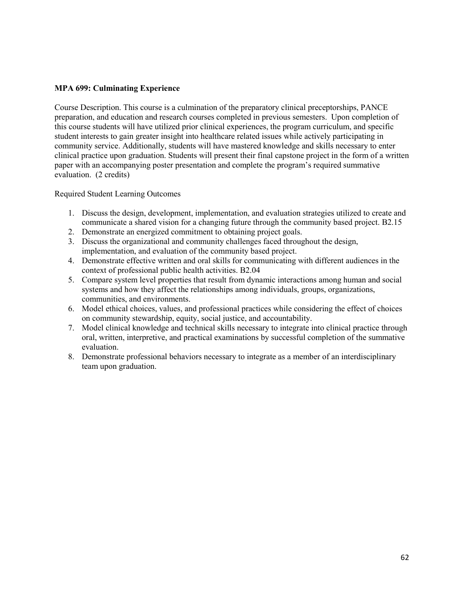#### **MPA 699: Culminating Experience**

Course Description. This course is a culmination of the preparatory clinical preceptorships, PANCE preparation, and education and research courses completed in previous semesters. Upon completion of this course students will have utilized prior clinical experiences, the program curriculum, and specific student interests to gain greater insight into healthcare related issues while actively participating in community service. Additionally, students will have mastered knowledge and skills necessary to enter clinical practice upon graduation. Students will present their final capstone project in the form of a written paper with an accompanying poster presentation and complete the program's required summative evaluation. (2 credits)

- 1. Discuss the design, development, implementation, and evaluation strategies utilized to create and communicate a shared vision for a changing future through the community based project. B2.15
- 2. Demonstrate an energized commitment to obtaining project goals.
- 3. Discuss the organizational and community challenges faced throughout the design, implementation, and evaluation of the community based project.
- 4. Demonstrate effective written and oral skills for communicating with different audiences in the context of professional public health activities. B2.04
- 5. Compare system level properties that result from dynamic interactions among human and social systems and how they affect the relationships among individuals, groups, organizations, communities, and environments.
- 6. Model ethical choices, values, and professional practices while considering the effect of choices on community stewardship, equity, social justice, and accountability.
- 7. Model clinical knowledge and technical skills necessary to integrate into clinical practice through oral, written, interpretive, and practical examinations by successful completion of the summative evaluation.
- 8. Demonstrate professional behaviors necessary to integrate as a member of an interdisciplinary team upon graduation.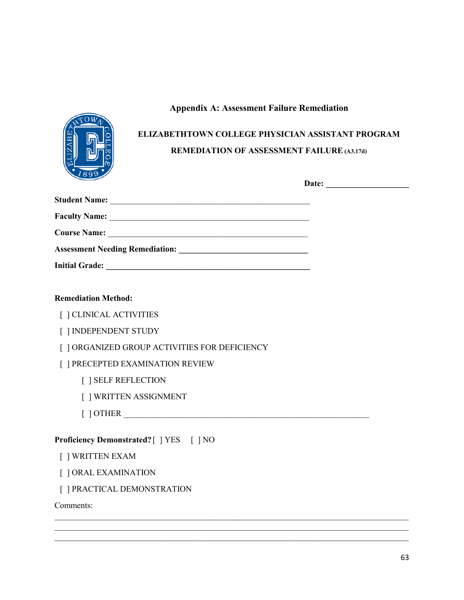# **Appendix A: Assessment Failure Remediation**



# **ELIZABETHTOWN COLLEGE PHYSICIAN ASSISTANT PROGRAM REMEDIATION OF ASSESSMENT FAILURE (A3.17d)**

| <b>Initial Grade:</b> |  |
|-----------------------|--|

 $\_$  , and the set of the set of the set of the set of the set of the set of the set of the set of the set of the set of the set of the set of the set of the set of the set of the set of the set of the set of the set of th  $\_$  , and the set of the set of the set of the set of the set of the set of the set of the set of the set of the set of the set of the set of the set of the set of the set of the set of the set of the set of the set of th  $\_$  , and the set of the set of the set of the set of the set of the set of the set of the set of the set of the set of the set of the set of the set of the set of the set of the set of the set of the set of the set of th

# **Remediation Method:**

- [ ] CLINICAL ACTIVITIES
- [ ] INDEPENDENT STUDY
- [ ] ORGANIZED GROUP ACTIVITIES FOR DEFICIENCY

# [ ] PRECEPTED EXAMINATION REVIEW

- [ ] SELF REFLECTION
- [ ] WRITTEN ASSIGNMENT
- [ ] OTHER \_\_\_\_\_\_\_\_\_\_\_\_\_\_\_\_\_\_\_\_\_\_\_\_\_\_\_\_\_\_\_\_\_\_\_\_\_\_\_\_\_\_\_\_\_\_\_\_\_\_\_\_\_\_\_\_\_\_\_

# **Proficiency Demonstrated?** [ ] YES [ ] NO

- [ ] WRITTEN EXAM
- [ ] ORAL EXAMINATION
- [ ] PRACTICAL DEMONSTRATION

Comments: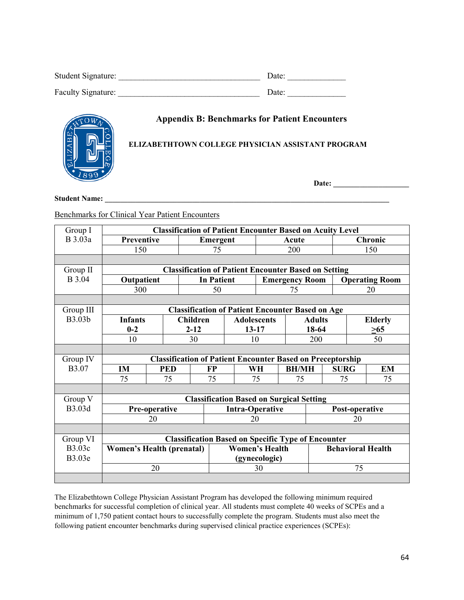| Student Signature: | Date: |
|--------------------|-------|
| Faculty Signature: | Date: |

# **Appendix B: Benchmarks for Patient Encounters**

# **ELIZABETHTOWN COLLEGE PHYSICIAN ASSISTANT PROGRAM**

**Date: \_\_\_\_\_\_\_\_\_\_\_\_\_\_\_\_\_\_\_\_**

**Student Name: \_\_\_\_\_\_\_\_\_\_\_\_\_\_\_\_\_\_\_\_\_\_\_\_\_\_\_\_\_\_\_\_\_\_\_\_\_\_\_\_\_\_\_\_\_\_\_\_\_\_\_\_\_\_\_\_\_\_\_\_\_\_\_\_\_\_\_\_\_\_\_\_\_\_\_**

Benchmarks for Clinical Year Patient Encounters

| Group I       | <b>Classification of Patient Encounter Based on Acuity Level</b>                      |                 |                  |                                                         |                                            |     |          |                       |       |                |                |           |
|---------------|---------------------------------------------------------------------------------------|-----------------|------------------|---------------------------------------------------------|--------------------------------------------|-----|----------|-----------------------|-------|----------------|----------------|-----------|
| B 3.03a       | Preventive                                                                            |                 |                  |                                                         | Emergent                                   |     | Acute    |                       |       | <b>Chronic</b> |                |           |
|               | 150                                                                                   |                 |                  | 75                                                      |                                            | 200 |          |                       | 150   |                |                |           |
|               |                                                                                       |                 |                  |                                                         |                                            |     |          |                       |       |                |                |           |
| Group II      | <b>Classification of Patient Encounter Based on Setting</b>                           |                 |                  |                                                         |                                            |     |          |                       |       |                |                |           |
| <b>B</b> 3.04 | Outpatient                                                                            |                 |                  |                                                         | <b>In Patient</b><br><b>Emergency Room</b> |     |          | <b>Operating Room</b> |       |                |                |           |
|               | 300                                                                                   |                 | 50               |                                                         |                                            | 75  |          |                       |       | 20             |                |           |
|               |                                                                                       |                 |                  |                                                         |                                            |     |          |                       |       |                |                |           |
| Group III     |                                                                                       |                 |                  | <b>Classification of Patient Encounter Based on Age</b> |                                            |     |          |                       |       |                |                |           |
| B3.03b        | <b>Infants</b>                                                                        | <b>Children</b> |                  |                                                         | <b>Adolescents</b>                         |     |          | <b>Adults</b>         |       |                | <b>Elderly</b> |           |
|               | $0 - 2$                                                                               | $2 - 12$        |                  |                                                         | $13 - 17$                                  |     |          |                       | 18-64 |                | >65            |           |
|               | 10                                                                                    |                 | 30               |                                                         |                                            | 10  |          | 200                   |       |                | 50             |           |
|               |                                                                                       |                 |                  |                                                         |                                            |     |          |                       |       |                |                |           |
| Group IV      | <b>Classification of Patient Encounter Based on Preceptorship</b>                     |                 |                  |                                                         |                                            |     |          |                       |       |                |                |           |
| B3.07         | IM                                                                                    |                 | <b>PED</b><br>FP |                                                         |                                            |     | WH       | <b>BH/MH</b>          |       | <b>SURG</b>    |                | <b>EM</b> |
|               | 75                                                                                    |                 | 75               | 75                                                      |                                            |     | 75<br>75 |                       |       | 75             |                | 75        |
|               |                                                                                       |                 |                  |                                                         |                                            |     |          |                       |       |                |                |           |
| Group V       |                                                                                       |                 |                  | <b>Classification Based on Surgical Setting</b>         |                                            |     |          |                       |       |                |                |           |
| B3.03d        | Pre-operative                                                                         |                 |                  |                                                         | <b>Intra-Operative</b>                     |     |          | Post-operative        |       |                |                |           |
|               | 20                                                                                    |                 |                  |                                                         | 20                                         |     |          |                       | 20    |                |                |           |
|               |                                                                                       |                 |                  |                                                         |                                            |     |          |                       |       |                |                |           |
| Group VI      | <b>Classification Based on Specific Type of Encounter</b>                             |                 |                  |                                                         |                                            |     |          |                       |       |                |                |           |
| B3.03c        | <b>Behavioral Health</b><br><b>Women's Health</b><br><b>Women's Health (prenatal)</b> |                 |                  |                                                         |                                            |     |          |                       |       |                |                |           |
| B3.03e        | (gynecologic)                                                                         |                 |                  |                                                         |                                            |     |          |                       |       |                |                |           |
|               |                                                                                       | 20              |                  |                                                         |                                            |     | 30       |                       |       |                | 75             |           |
|               |                                                                                       |                 |                  |                                                         |                                            |     |          |                       |       |                |                |           |

The Elizabethtown College Physician Assistant Program has developed the following minimum required benchmarks for successful completion of clinical year. All students must complete 40 weeks of SCPEs and a minimum of 1,750 patient contact hours to successfully complete the program. Students must also meet the following patient encounter benchmarks during supervised clinical practice experiences (SCPEs):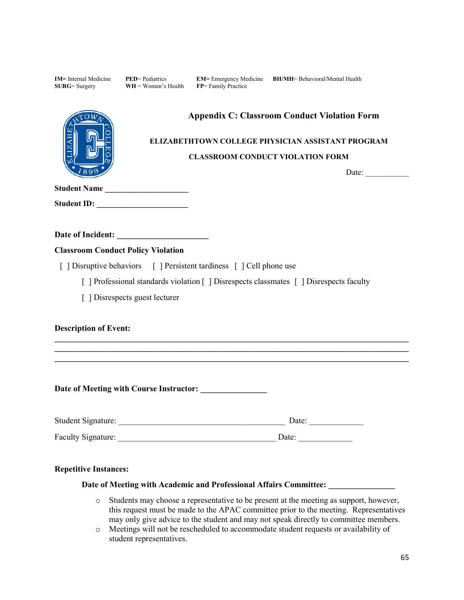| <b>IM</b> = Internal Medicine<br>$SURG = Surgery$ | <b>PED</b> = Pediatrics<br>$WH = Women's Health$ | <b>EM=</b> Emergency Medicine <b>BH/MH</b> = Behavioral/Mental Health<br>FP= Family Practice                                                        |                       |                       |
|---------------------------------------------------|--------------------------------------------------|-----------------------------------------------------------------------------------------------------------------------------------------------------|-----------------------|-----------------------|
| Student Name                                      |                                                  | <b>Appendix C: Classroom Conduct Violation Form</b><br>ELIZABETHTOWN COLLEGE PHYSICIAN ASSISTANT PROGRAM<br><b>CLASSROOM CONDUCT VIOLATION FORM</b> |                       | Date: $\qquad \qquad$ |
|                                                   |                                                  |                                                                                                                                                     |                       |                       |
|                                                   |                                                  |                                                                                                                                                     |                       |                       |
| <b>Classroom Conduct Policy Violation</b>         |                                                  |                                                                                                                                                     |                       |                       |
|                                                   |                                                  | [ ] Disruptive behaviors [ ] Persistent tardiness [ ] Cell phone use                                                                                |                       |                       |
|                                                   |                                                  | [ ] Professional standards violation [ ] Disrespects classmates [ ] Disrespects faculty                                                             |                       |                       |
|                                                   | [ ] Disrespects guest lecturer                   |                                                                                                                                                     |                       |                       |
| <b>Description of Event:</b>                      |                                                  | <u> 2000 - 2000 - 2000 - 2000 - 2000 - 2000 - 2000 - 2000 - 2000 - 2000 - 2000 - 2000 - 2000 - 2000 - 2000 - 200</u>                                |                       |                       |
|                                                   |                                                  |                                                                                                                                                     |                       |                       |
|                                                   |                                                  |                                                                                                                                                     | Date: $\qquad \qquad$ |                       |
|                                                   |                                                  |                                                                                                                                                     | Date: $\qquad \qquad$ |                       |
| <b>Repetitive Instances:</b>                      |                                                  |                                                                                                                                                     |                       |                       |

# **Date of Meeting with Academic and Professional Affairs Committee: \_\_\_\_\_\_\_\_\_\_\_\_\_\_\_\_**

- o Students may choose a representative to be present at the meeting as support, however, this request must be made to the APAC committee prior to the meeting. Representatives may only give advice to the student and may not speak directly to committee members.
- o Meetings will not be rescheduled to accommodate student requests or availability of student representatives.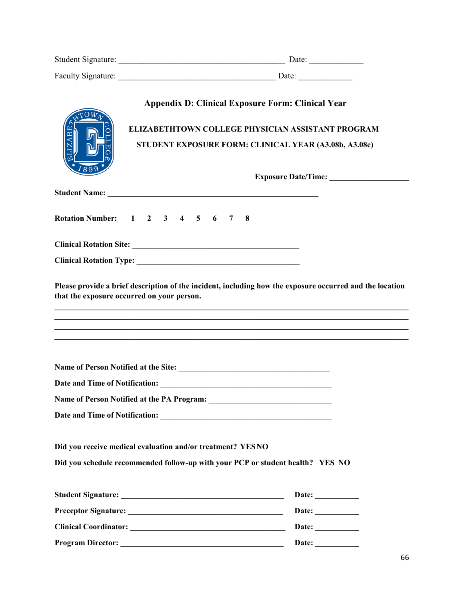| Student Signature: | Date: |
|--------------------|-------|
| Faculty Signature: | Date: |

|      | <b>Appendix D: Clinical Exposure Form: Clinical Year</b>                                                                                     |                                                                                                                                                                                              |
|------|----------------------------------------------------------------------------------------------------------------------------------------------|----------------------------------------------------------------------------------------------------------------------------------------------------------------------------------------------|
| ZAB. | ELIZABETHTOWN COLLEGE PHYSICIAN ASSISTANT PROGRAM<br>STUDENT EXPOSURE FORM: CLINICAL YEAR (A3.08b, A3.08c)                                   |                                                                                                                                                                                              |
|      |                                                                                                                                              |                                                                                                                                                                                              |
|      |                                                                                                                                              |                                                                                                                                                                                              |
|      |                                                                                                                                              |                                                                                                                                                                                              |
|      | Rotation Number: 1 2 3 4 5 6 7<br>-8                                                                                                         |                                                                                                                                                                                              |
|      |                                                                                                                                              |                                                                                                                                                                                              |
|      |                                                                                                                                              |                                                                                                                                                                                              |
|      | that the exposure occurred on your person.<br>,一个人的人都是一个人的人,我们就是一个人的人,我们就是一个人的人,我们就是一个人的人,我们就是一个人的人,我们就是一个人的人,我们就是一个人的人,我们就是一个人              | Please provide a brief description of the incident, including how the exposure occurred and the location<br>,我们也不能在这里的时候,我们也不能在这里的时候,我们也不能不能不能不能不能不能不能不能不能不能不能不能不能。""我们的是我们的,我们也不能不能不能不能不能不能 |
|      |                                                                                                                                              |                                                                                                                                                                                              |
|      |                                                                                                                                              |                                                                                                                                                                                              |
|      |                                                                                                                                              |                                                                                                                                                                                              |
|      |                                                                                                                                              |                                                                                                                                                                                              |
|      | Did you receive medical evaluation and/or treatment? YESNO<br>Did you schedule recommended follow-up with your PCP or student health? YES NO |                                                                                                                                                                                              |
|      |                                                                                                                                              | Date: $\qquad \qquad$                                                                                                                                                                        |
|      |                                                                                                                                              | Date:                                                                                                                                                                                        |
|      |                                                                                                                                              | Date: $\qquad \qquad$                                                                                                                                                                        |
|      |                                                                                                                                              | Date: $\_\_$                                                                                                                                                                                 |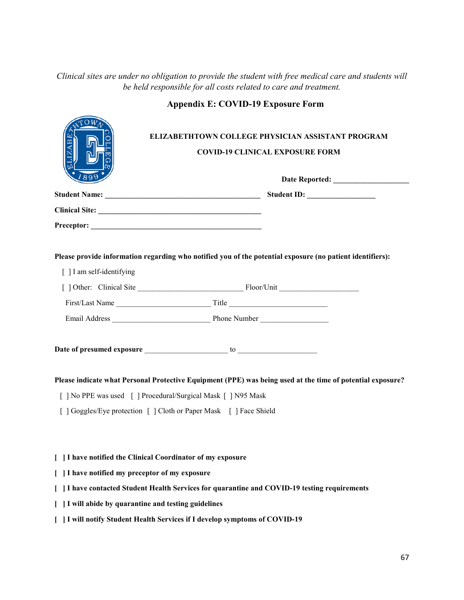# *Clinical sites are under no obligation to provide the student with free medical care and students will be held responsible for all costs related to care and treatment.*

 $\sqrt{2}$ 

| $\Upsilon$ <sup>O</sup> $W_{\Lambda}$ <sup>2</sup> | ELIZABETHTOWN COLLEGE PHYSICIAN ASSISTANT PROGRAM<br><b>COVID-19 CLINICAL EXPOSURE FORM</b>                |  |  |  |
|----------------------------------------------------|------------------------------------------------------------------------------------------------------------|--|--|--|
|                                                    |                                                                                                            |  |  |  |
|                                                    |                                                                                                            |  |  |  |
|                                                    |                                                                                                            |  |  |  |
| [] I am self-identifying                           | Please provide information regarding who notified you of the potential exposure (no patient identifiers):  |  |  |  |
|                                                    |                                                                                                            |  |  |  |
|                                                    |                                                                                                            |  |  |  |
|                                                    |                                                                                                            |  |  |  |
|                                                    |                                                                                                            |  |  |  |
|                                                    | Please indicate what Personal Protective Equipment (PPE) was being used at the time of potential exposure? |  |  |  |
|                                                    | [] No PPE was used [] Procedural/Surgical Mask [] N95 Mask                                                 |  |  |  |
|                                                    | [ ] Goggles/Eye protection [ ] Cloth or Paper Mask [ ] Face Shield                                         |  |  |  |
|                                                    |                                                                                                            |  |  |  |
|                                                    | [ ] I have notified the Clinical Coordinator of my exposure                                                |  |  |  |
| I have notified my preceptor of my exposure        |                                                                                                            |  |  |  |
|                                                    | 1   I have contacted Student Health Services for quarantine and COVID-19 testing requirements              |  |  |  |
| I will abide by quarantine and testing guidelines  |                                                                                                            |  |  |  |
|                                                    | I will notify Student Health Services if I develop symptoms of COVID-19                                    |  |  |  |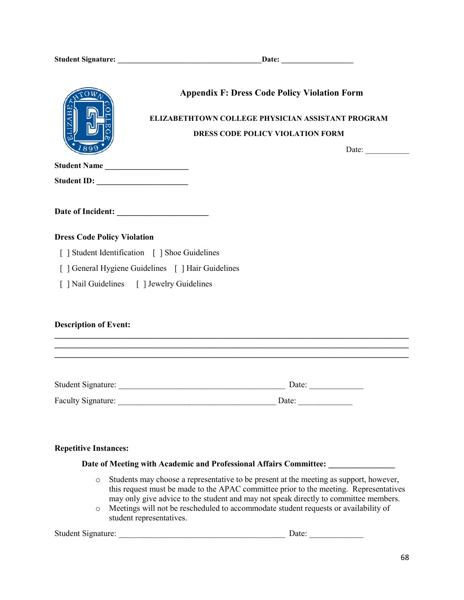|                                                    | <b>Appendix F: Dress Code Policy Violation Form</b>                                                                 |  |  |  |
|----------------------------------------------------|---------------------------------------------------------------------------------------------------------------------|--|--|--|
|                                                    | ELIZABETHTOWN COLLEGE PHYSICIAN ASSISTANT PROGRAM                                                                   |  |  |  |
|                                                    | DRESS CODE POLICY VIOLATION FORM                                                                                    |  |  |  |
|                                                    | Date: $\qquad \qquad$                                                                                               |  |  |  |
| Student Name                                       |                                                                                                                     |  |  |  |
|                                                    |                                                                                                                     |  |  |  |
|                                                    |                                                                                                                     |  |  |  |
| <b>Dress Code Policy Violation</b>                 |                                                                                                                     |  |  |  |
| [ ] Student Identification [ ] Shoe Guidelines     |                                                                                                                     |  |  |  |
| [ ] General Hygiene Guidelines [ ] Hair Guidelines |                                                                                                                     |  |  |  |
| [ ] Nail Guidelines [ ] Jewelry Guidelines         |                                                                                                                     |  |  |  |
| <b>Description of Event:</b>                       | <u> 1989 - 1989 - 1989 - 1989 - 1989 - 1989 - 1989 - 1989 - 1989 - 1989 - 1989 - 1989 - 1989 - 1989 - 1989 - 19</u> |  |  |  |
|                                                    |                                                                                                                     |  |  |  |
|                                                    |                                                                                                                     |  |  |  |
| <b>Repetitive Instances:</b>                       | Date of Meeting with Academic and Professional Affairs Committee:                                                   |  |  |  |

- o Students may choose a representative to be present at the meeting as support, however, this request must be made to the APAC committee prior to the meeting. Representatives may only give advice to the student and may not speak directly to committee members.
- o Meetings will not be rescheduled to accommodate student requests or availability of student representatives.

Student Signature: \_\_\_\_\_\_\_\_\_\_\_\_\_\_\_\_\_\_\_\_\_\_\_\_\_\_\_\_\_\_\_\_\_\_\_\_\_\_\_\_ Date: \_\_\_\_\_\_\_\_\_\_\_\_\_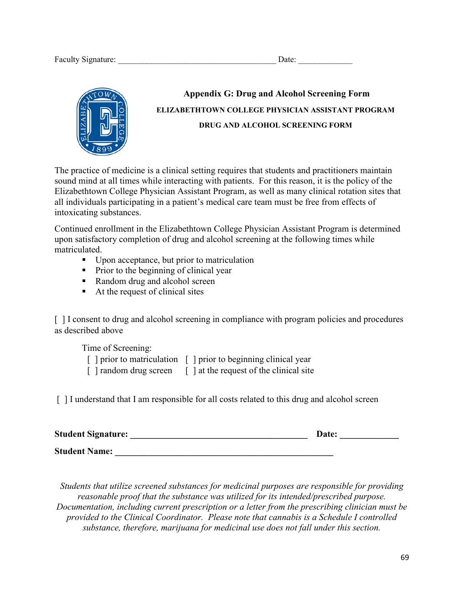

# **Appendix G: Drug and Alcohol Screening Form ELIZABETHTOWN COLLEGE PHYSICIAN ASSISTANT PROGRAM DRUG AND ALCOHOL SCREENING FORM**

The practice of medicine is a clinical setting requires that students and practitioners maintain sound mind at all times while interacting with patients. For this reason, it is the policy of the Elizabethtown College Physician Assistant Program, as well as many clinical rotation sites that all individuals participating in a patient's medical care team must be free from effects of intoxicating substances.

Continued enrollment in the Elizabethtown College Physician Assistant Program is determined upon satisfactory completion of drug and alcohol screening at the following times while matriculated.

- Upon acceptance, but prior to matriculation
- Prior to the beginning of clinical year
- Random drug and alcohol screen
- At the request of clinical sites

[ ] I consent to drug and alcohol screening in compliance with program policies and procedures as described above

Time of Screening:

- [ ] prior to matriculation [ ] prior to beginning clinical year
- $\lceil$  1 random drug screen  $\lceil$  1 at the request of the clinical site

[] I understand that I am responsible for all costs related to this drug and alcohol screen

| <b>Student Signature:</b> | Date: |
|---------------------------|-------|
| <b>Student Name:</b>      |       |

*Students that utilize screened substances for medicinal purposes are responsible for providing reasonable proof that the substance was utilized for its intended/prescribed purpose. Documentation, including current prescription or a letter from the prescribing clinician must be provided to the Clinical Coordinator. Please note that cannabis is a Schedule I controlled substance, therefore, marijuana for medicinal use does not fall under this section.*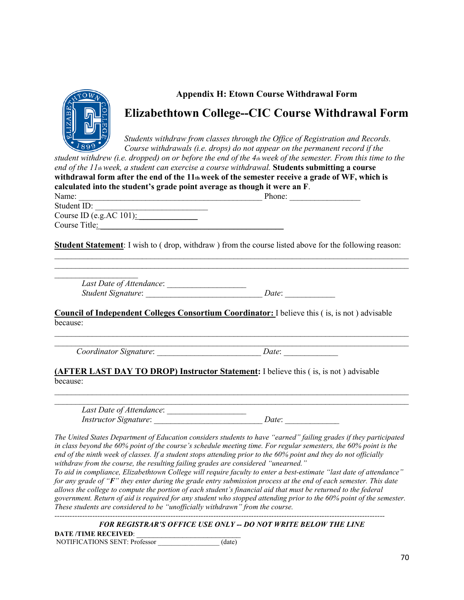

# **Appendix H: Etown Course Withdrawal Form**

# **Elizabethtown College--CIC Course Withdrawal Form**

*Students withdraw from classes through the Office of Registration and Records. Course withdrawals (i.e. drops) do not appear on the permanent record if the* 

| student withdrew (i.e. dropped) on or before the end of the 4th week of the semester. From this time to the<br>end of the $11th$ week, a student can exercise a course withdrawal. Students submitting a course |                                                                                                                                                                                                                                                                                                                                                           |  |  |  |  |
|-----------------------------------------------------------------------------------------------------------------------------------------------------------------------------------------------------------------|-----------------------------------------------------------------------------------------------------------------------------------------------------------------------------------------------------------------------------------------------------------------------------------------------------------------------------------------------------------|--|--|--|--|
|                                                                                                                                                                                                                 | withdrawal form after the end of the 11th week of the semester receive a grade of WF, which is                                                                                                                                                                                                                                                            |  |  |  |  |
| calculated into the student's grade point average as though it were an F.                                                                                                                                       |                                                                                                                                                                                                                                                                                                                                                           |  |  |  |  |
|                                                                                                                                                                                                                 |                                                                                                                                                                                                                                                                                                                                                           |  |  |  |  |
| Student ID:                                                                                                                                                                                                     |                                                                                                                                                                                                                                                                                                                                                           |  |  |  |  |
| Course ID (e.g. AC $101$ ):                                                                                                                                                                                     |                                                                                                                                                                                                                                                                                                                                                           |  |  |  |  |
|                                                                                                                                                                                                                 |                                                                                                                                                                                                                                                                                                                                                           |  |  |  |  |
|                                                                                                                                                                                                                 | <b>Student Statement:</b> I wish to (drop, withdraw) from the course listed above for the following reason:                                                                                                                                                                                                                                               |  |  |  |  |
|                                                                                                                                                                                                                 |                                                                                                                                                                                                                                                                                                                                                           |  |  |  |  |
|                                                                                                                                                                                                                 |                                                                                                                                                                                                                                                                                                                                                           |  |  |  |  |
| because:                                                                                                                                                                                                        |                                                                                                                                                                                                                                                                                                                                                           |  |  |  |  |
|                                                                                                                                                                                                                 |                                                                                                                                                                                                                                                                                                                                                           |  |  |  |  |
| because:                                                                                                                                                                                                        | <b>(AFTER LAST DAY TO DROP) Instructor Statement:</b> I believe this (is, is not) advisable                                                                                                                                                                                                                                                               |  |  |  |  |
|                                                                                                                                                                                                                 |                                                                                                                                                                                                                                                                                                                                                           |  |  |  |  |
|                                                                                                                                                                                                                 |                                                                                                                                                                                                                                                                                                                                                           |  |  |  |  |
| withdraw from the course, the resulting failing grades are considered "unearned."                                                                                                                               | The United States Department of Education considers students to have "earned" failing grades if they participated<br>in class beyond the 60% point of the course's schedule meeting time. For regular semesters, the 60% point is the<br>end of the ninth week of classes. If a student stops attending prior to the 60% point and they do not officially |  |  |  |  |

*To aid in compliance, Elizabethtown College will require faculty to enter a best-estimate "last date of attendance" for any grade of "F" they enter during the grade entry submission process at the end of each semester. This date allows the college to compute the portion of each student's financial aid that must be returned to the federal government. Return of aid is required for any student who stopped attending prior to the 60% point of the semester. These students are considered to be "unofficially withdrawn" from the course. -----------------------------------------------------------------------------------------------------------------------------------*

*FOR REGISTRAR'S OFFICE USE ONLY -- DO NOT WRITE BELOW THE LINE* 

**DATE /TIME RECEIVED**: \_\_\_\_\_\_\_\_\_\_\_\_\_\_\_\_\_\_\_\_\_\_\_\_\_ NOTIFICATIONS SENT: Professor \_\_\_\_\_\_\_\_\_\_\_\_\_\_\_\_\_\_ (date)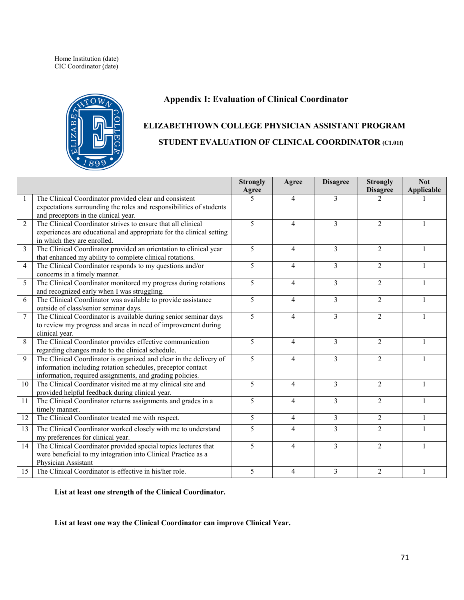Home Institution (date) CIC Coordinator (date)



### **Appendix I: Evaluation of Clinical Coordinator**

# **ELIZABETHTOWN COLLEGE PHYSICIAN ASSISTANT PROGRAM STUDENT EVALUATION OF CLINICAL COORDINATOR (C1.01f)**

|                |                                                                                                                                                                                               | <b>Strongly</b><br>Agree | Agree | <b>Disagree</b>         | <b>Strongly</b><br><b>Disagree</b> | <b>Not</b><br>Applicable |
|----------------|-----------------------------------------------------------------------------------------------------------------------------------------------------------------------------------------------|--------------------------|-------|-------------------------|------------------------------------|--------------------------|
| 1              | The Clinical Coordinator provided clear and consistent<br>expectations surrounding the roles and responsibilities of students<br>and preceptors in the clinical year.                         | 5                        | 4     | 3                       | 2                                  |                          |
| $\overline{2}$ | The Clinical Coordinator strives to ensure that all clinical<br>experiences are educational and appropriate for the clinical setting<br>in which they are enrolled.                           | 5                        | 4     | $\overline{3}$          | 2                                  |                          |
| 3              | The Clinical Coordinator provided an orientation to clinical year<br>that enhanced my ability to complete clinical rotations.                                                                 | 5                        | 4     | 3                       | $\overline{2}$                     |                          |
| $\overline{4}$ | The Clinical Coordinator responds to my questions and/or<br>concerns in a timely manner.                                                                                                      | 5                        | 4     | 3                       | $\overline{2}$                     | 1                        |
| 5              | The Clinical Coordinator monitored my progress during rotations<br>and recognized early when I was struggling.                                                                                | 5                        | 4     | $\overline{3}$          | $\overline{2}$                     |                          |
| 6              | The Clinical Coordinator was available to provide assistance<br>outside of class/senior seminar days.                                                                                         | 5                        | 4     | 3                       | $\overline{2}$                     |                          |
| $\overline{7}$ | The Clinical Coordinator is available during senior seminar days<br>to review my progress and areas in need of improvement during<br>clinical year.                                           | $\overline{\mathbf{5}}$  | 4     | $\mathcal{E}$           | 2                                  |                          |
| 8              | The Clinical Coordinator provides effective communication<br>regarding changes made to the clinical schedule.                                                                                 | 5                        | 4     | $\overline{3}$          | $\overline{2}$                     |                          |
| 9              | The Clinical Coordinator is organized and clear in the delivery of<br>information including rotation schedules, preceptor contact<br>information, required assignments, and grading policies. | 5                        | 4     | 3                       | $\overline{2}$                     |                          |
| 10             | The Clinical Coordinator visited me at my clinical site and<br>provided helpful feedback during clinical year.                                                                                | 5                        | 4     | 3                       | $\overline{2}$                     |                          |
| 11             | The Clinical Coordinator returns assignments and grades in a<br>timely manner.                                                                                                                | 5                        | 4     | 3                       | $\overline{2}$                     |                          |
| 12             | The Clinical Coordinator treated me with respect.                                                                                                                                             | 5                        | 4     | 3                       | $\overline{2}$                     | 1                        |
| 13             | The Clinical Coordinator worked closely with me to understand<br>my preferences for clinical year.                                                                                            | 5                        | 4     | $\overline{\mathbf{3}}$ | 2                                  |                          |
| 14             | The Clinical Coordinator provided special topics lectures that<br>were beneficial to my integration into Clinical Practice as a<br>Physician Assistant                                        | 5                        | 4     | 3                       | $\mathfrak{D}$                     | 1                        |
| 15             | The Clinical Coordinator is effective in his/her role.                                                                                                                                        | 5                        | 4     | $\mathcal{E}$           | $\overline{2}$                     |                          |

**List at least one strength of the Clinical Coordinator.**

**List at least one way the Clinical Coordinator can improve Clinical Year.**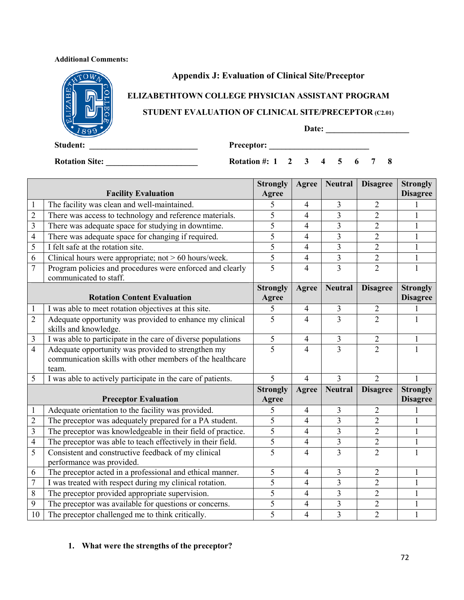#### **Additional Comments:**



## **Appendix J: Evaluation of Clinical Site/Preceptor**

# **ELIZABETHTOWN COLLEGE PHYSICIAN ASSISTANT PROGRAM**

### **STUDENT EVALUATION OF CLINICAL SITE/PRECEPTOR (C2.01)**

**Date: \_\_\_\_\_\_\_\_\_\_\_\_\_\_\_\_\_\_\_\_** 

**Student: \_\_\_\_\_\_\_\_\_\_\_\_\_\_\_\_\_\_\_\_\_\_\_\_\_\_ Preceptor: \_\_\_\_\_\_\_\_\_\_\_\_\_\_\_\_\_\_\_\_\_\_\_\_** 

**Rotation Site: \_\_\_\_\_\_\_\_\_\_\_\_\_\_\_\_\_\_\_\_\_\_ Rotation #: 1 2 3 4 5 6 7 8** 

|                         |                                                                                     | <b>Strongly</b> | Agree                    | <b>Neutral</b> | <b>Disagree</b> | <b>Strongly</b> |
|-------------------------|-------------------------------------------------------------------------------------|-----------------|--------------------------|----------------|-----------------|-----------------|
|                         | <b>Facility Evaluation</b>                                                          | Agree           |                          |                |                 | <b>Disagree</b> |
| $\mathbf{1}$            | The facility was clean and well-maintained.                                         | 5               | 4                        | 3              | 2               |                 |
| $\overline{2}$          | There was access to technology and reference materials.                             | 5               | 4                        | $\overline{3}$ | $\overline{2}$  | 1               |
| $\overline{3}$          | There was adequate space for studying in downtime.                                  | 5               | 4                        | 3              | $\overline{2}$  | 1               |
| $\overline{4}$          | There was adequate space for changing if required.                                  | 5               | 4                        | $\overline{3}$ | $\overline{2}$  | 1               |
| 5                       | I felt safe at the rotation site.                                                   | 5               | $\overline{4}$           | $\overline{3}$ | $\overline{2}$  | 1               |
| 6                       | Clinical hours were appropriate; not $> 60$ hours/week.                             | 5               | $\overline{4}$           | $\overline{3}$ | $\overline{2}$  | 1               |
| $\tau$                  | Program policies and procedures were enforced and clearly<br>communicated to staff. | 5               | $\overline{4}$           | $\overline{3}$ | $\overline{2}$  | 1               |
|                         |                                                                                     | <b>Strongly</b> | Agree                    | <b>Neutral</b> | <b>Disagree</b> | <b>Strongly</b> |
|                         | <b>Rotation Content Evaluation</b>                                                  | Agree           |                          |                |                 | <b>Disagree</b> |
| $\mathbf{1}$            | I was able to meet rotation objectives at this site.                                | 5               | $\overline{4}$           | 3              | $\overline{2}$  |                 |
| $\overline{2}$          | Adequate opportunity was provided to enhance my clinical                            | 5               | $\overline{4}$           | $\overline{3}$ | $\overline{2}$  |                 |
|                         | skills and knowledge.                                                               |                 |                          |                |                 |                 |
| $\mathfrak{Z}$          | I was able to participate in the care of diverse populations                        | 5               | $\overline{\mathcal{A}}$ | $\overline{3}$ | $\sqrt{2}$      | 1               |
| $\overline{4}$          | Adequate opportunity was provided to strengthen my                                  | 5               | 4                        | $\overline{3}$ | $\overline{2}$  |                 |
|                         | communication skills with other members of the healthcare                           |                 |                          |                |                 |                 |
|                         | team.                                                                               |                 |                          |                |                 |                 |
| 5                       | I was able to actively participate in the care of patients.                         | 5               | $\overline{4}$           | 3              | $\overline{2}$  | 1               |
|                         |                                                                                     | <b>Strongly</b> | Agree                    | <b>Neutral</b> | <b>Disagree</b> | <b>Strongly</b> |
|                         | <b>Preceptor Evaluation</b>                                                         | Agree           |                          |                |                 | <b>Disagree</b> |
| $\mathbf{1}$            | Adequate orientation to the facility was provided.                                  | 5               | $\overline{4}$           | 3              | $\overline{2}$  |                 |
| $\overline{2}$          | The preceptor was adequately prepared for a PA student.                             | 5               | $\overline{4}$           | 3              | $\overline{2}$  | 1               |
| $\overline{\mathbf{3}}$ | The preceptor was knowledgeable in their field of practice.                         | 5               | $\overline{4}$           | 3              | $\overline{2}$  | 1               |
| $\overline{4}$          | The preceptor was able to teach effectively in their field.                         | 5               | $\overline{4}$           | 3              | $\overline{2}$  | $\mathbf{1}$    |
| $\overline{5}$          | Consistent and constructive feedback of my clinical                                 | 5               | $\overline{4}$           | $\overline{3}$ | $\overline{2}$  |                 |
|                         | performance was provided.                                                           |                 |                          |                |                 |                 |
| 6                       | The preceptor acted in a professional and ethical manner.                           | 5               | 4                        | 3              | $\overline{2}$  | 1               |
| $\overline{7}$          | I was treated with respect during my clinical rotation.                             | 5               | 4                        | $\overline{3}$ | $\overline{2}$  | 1               |
| 8                       | The preceptor provided appropriate supervision.                                     | 5               | $\overline{4}$           | $\overline{3}$ | $\overline{2}$  | $\mathbf{1}$    |
| $\boldsymbol{9}$        | The preceptor was available for questions or concerns.                              | 5               | $\overline{4}$           | 3              | $\overline{2}$  |                 |
| 10                      | The preceptor challenged me to think critically.                                    | 5               | 4                        | $\overline{3}$ | $\overline{2}$  |                 |

## **1. What were the strengths of the preceptor?**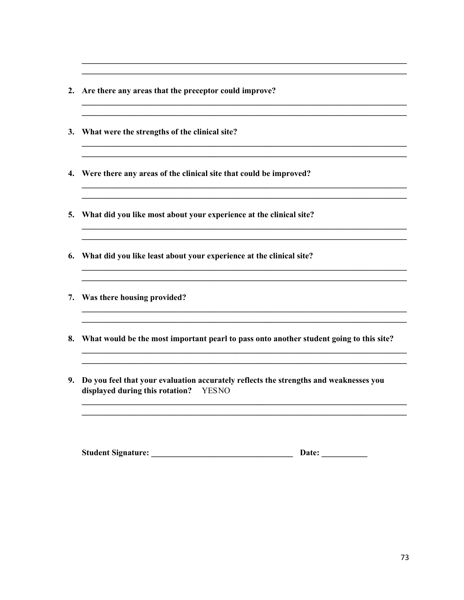- 2. Are there any areas that the preceptor could improve?
- 3. What were the strengths of the clinical site?
- 4. Were there any areas of the clinical site that could be improved?
- 5. What did you like most about your experience at the clinical site?
- 6. What did you like least about your experience at the clinical site?

- 7. Was there housing provided?
- 8. What would be the most important pearl to pass onto another student going to this site?

<u> 1989 - Johann Stoff, deutscher Stoff, der Stoff, deutscher Stoff, der Stoff, der Stoff, der Stoff, der Stoff, </u>

9. Do you feel that your evaluation accurately reflects the strengths and weaknesses you displayed during this rotation? YESNO

| <b>Student Signature:</b> | Date: |
|---------------------------|-------|
|---------------------------|-------|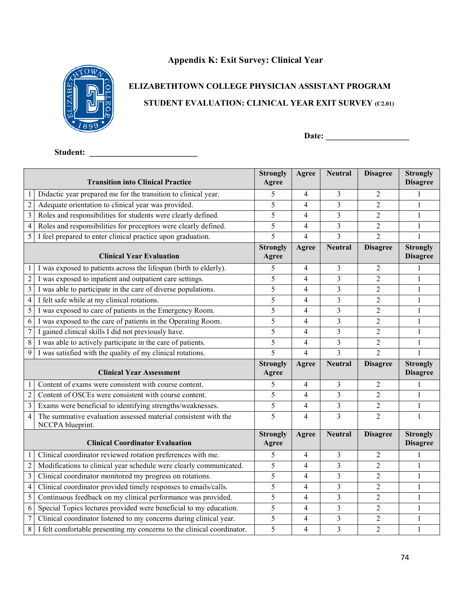# **Appendix K: Exit Survey: Clinical Year**



# **ELIZABETHTOWN COLLEGE PHYSICIAN ASSISTANT PROGRAM STUDENT EVALUATION: CLINICAL YEAR EXIT SURVEY (C2.01)**

**Date: \_\_\_\_\_\_\_\_\_\_\_\_\_\_\_\_\_\_\_\_** 

**Student: \_\_\_\_\_\_\_\_\_\_\_\_\_\_\_\_\_\_\_\_\_\_\_\_\_\_** 

| <b>Transition into Clinical Practice</b> |                                                                                    | <b>Strongly</b><br>Agree | Agree                    | <b>Neutral</b>          | <b>Disagree</b> | <b>Strongly</b><br><b>Disagree</b> |
|------------------------------------------|------------------------------------------------------------------------------------|--------------------------|--------------------------|-------------------------|-----------------|------------------------------------|
|                                          | Didactic year prepared me for the transition to clinical year.                     | 5                        | 4                        | 3                       | $\overline{2}$  | 1                                  |
| $\sqrt{2}$                               | Adequate orientation to clinical year was provided.                                | 5                        | 4                        | 3                       | $\overline{2}$  | 1                                  |
| $\overline{\mathbf{3}}$                  | Roles and responsibilities for students were clearly defined.                      | 5                        | 4                        | 3                       | 2               | 1                                  |
| $\overline{4}$                           | Roles and responsibilities for preceptors were clearly defined.                    | 5                        | 4                        | 3                       | $\overline{2}$  | $\mathbf{1}$                       |
| 5                                        | I feel prepared to enter clinical practice upon graduation.                        | 5                        | $\overline{4}$           | $\overline{3}$          | $\overline{2}$  |                                    |
|                                          | <b>Clinical Year Evaluation</b>                                                    | <b>Strongly</b><br>Agree | Agree                    | <b>Neutral</b>          | <b>Disagree</b> | <b>Strongly</b><br><b>Disagree</b> |
|                                          | I was exposed to patients across the lifespan (birth to elderly).                  | 5                        | 4                        | 3                       | 2               | $\mathbf{1}$                       |
| $\sqrt{2}$                               | I was exposed to inpatient and outpatient care settings.                           | 5                        | $\overline{4}$           | 3                       | $\overline{c}$  | $\mathbf{1}$                       |
| $\overline{3}$                           | I was able to participate in the care of diverse populations.                      | 5                        | 4                        | 3                       | $\overline{2}$  | 1                                  |
| $\overline{4}$                           | I felt safe while at my clinical rotations.                                        | 5                        | 4                        | 3                       | $\overline{c}$  | $\mathbf{1}$                       |
| 5                                        | I was exposed to care of patients in the Emergency Room.                           | 5                        | $\overline{4}$           | 3                       | $\overline{2}$  | $\mathbf{1}$                       |
| 6                                        | I was exposed to the care of patients in the Operating Room.                       | 5                        | 4                        | 3                       | $\overline{2}$  | 1                                  |
| $\tau$                                   | I gained clinical skills I did not previously have.                                | 5                        | 4                        | 3                       | 2               | 1                                  |
| 8                                        | I was able to actively participate in the care of patients.                        | 5                        | $\overline{4}$           | 3                       | $\overline{2}$  | $\mathbf{1}$                       |
| 9                                        | I was satisfied with the quality of my clinical rotations.                         | $\overline{5}$           | 4                        | $\overline{3}$          | $\overline{2}$  | $\mathbf{1}$                       |
|                                          | <b>Clinical Year Assessment</b>                                                    | <b>Strongly</b><br>Agree | <b>Agree</b>             | <b>Neutral</b>          | <b>Disagree</b> | <b>Strongly</b><br><b>Disagree</b> |
|                                          | Content of exams were consistent with course content.                              | 5                        | 4                        | 3                       | $\overline{2}$  | 1                                  |
| $\overline{2}$                           | Content of OSCEs were consistent with course content.                              | 5                        | 4                        | 3                       | $\overline{2}$  | $\mathbf{1}$                       |
| $\overline{\mathbf{3}}$                  | Exams were beneficial to identifying strengths/weaknesses.                         | 5                        | 4                        | $\overline{\mathbf{3}}$ | $\mathbf{2}$    | $\mathbf{1}$                       |
| $\overline{4}$                           | The summative evaluation assessed material consistent with the<br>NCCPA blueprint. | $\overline{5}$           | 4                        | $\overline{3}$          | $\overline{2}$  | $\mathbf{1}$                       |
| <b>Clinical Coordinator Evaluation</b>   |                                                                                    | <b>Strongly</b><br>Agree | Agree                    | <b>Neutral</b>          | <b>Disagree</b> | <b>Strongly</b><br><b>Disagree</b> |
|                                          | Clinical coordinator reviewed rotation preferences with me.                        | 5                        | $\overline{\mathcal{A}}$ | 3                       | $\overline{2}$  | 1                                  |
| $\sqrt{2}$                               | Modifications to clinical year schedule were clearly communicated.                 | 5                        | 4                        | 3                       | $\overline{2}$  | $\mathbf{1}$                       |
| $\mathfrak{Z}$                           | Clinical coordinator monitored my progress on rotations.                           | 5                        | 4                        | 3                       | $\overline{2}$  | 1                                  |
| $\overline{4}$                           | Clinical coordinator provided timely responses to emails/calls.                    | 5                        | $\overline{\mathcal{L}}$ | $\overline{3}$          | $\overline{2}$  | $\mathbf{1}$                       |
| 5                                        | Continuous feedback on my clinical performance was provided.                       | 5                        | 4                        | 3                       | $\overline{2}$  | 1                                  |
| 6                                        | Special Topics lectures provided were beneficial to my education.                  | 5                        | 4                        | 3                       | $\overline{2}$  | 1                                  |
| $\tau$                                   | Clinical coordinator listened to my concerns during clinical year.                 | $\overline{5}$           | 4                        | $\overline{3}$          | $\overline{2}$  | $\mathbf{1}$                       |
| 8                                        | I felt comfortable presenting my concerns to the clinical coordinator.             | 5                        | $\overline{4}$           | $\overline{3}$          | $\overline{2}$  | $\mathbf{1}$                       |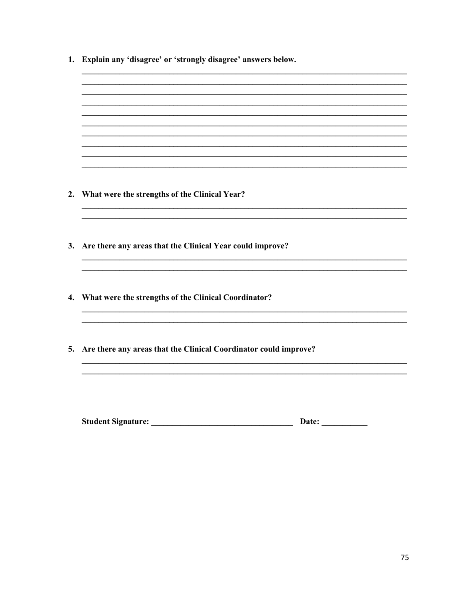| 1. Explain any 'disagree' or 'strongly disagree' answers below.     |  |  |
|---------------------------------------------------------------------|--|--|
|                                                                     |  |  |
|                                                                     |  |  |
|                                                                     |  |  |
|                                                                     |  |  |
|                                                                     |  |  |
|                                                                     |  |  |
| 2. What were the strengths of the Clinical Year?                    |  |  |
|                                                                     |  |  |
| 3. Are there any areas that the Clinical Year could improve?        |  |  |
|                                                                     |  |  |
| 4. What were the strengths of the Clinical Coordinator?             |  |  |
|                                                                     |  |  |
| 5. Are there any areas that the Clinical Coordinator could improve? |  |  |
|                                                                     |  |  |
|                                                                     |  |  |
| <b>Student Signature:</b><br>Date:                                  |  |  |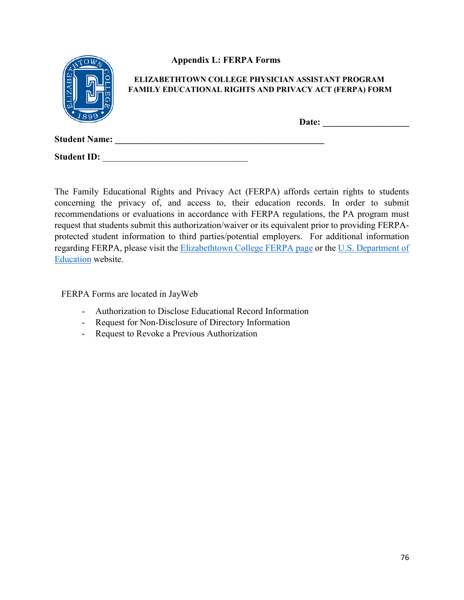|                      | <b>Appendix L: FERPA Forms</b>                                                                                     |
|----------------------|--------------------------------------------------------------------------------------------------------------------|
|                      | ELIZABETHTOWN COLLEGE PHYSICIAN ASSISTANT PROGRAM<br><b>FAMILY EDUCATIONAL RIGHTS AND PRIVACY ACT (FERPA) FORM</b> |
|                      | Date:                                                                                                              |
| <b>Student Name:</b> |                                                                                                                    |
| <b>Student ID:</b>   |                                                                                                                    |

The Family Educational Rights and Privacy Act (FERPA) affords certain rights to students concerning the privacy of, and access to, their education records. In order to submit recommendations or evaluations in accordance with FERPA regulations, the PA program must request that students submit this authorization/waiver or its equivalent prior to providing FERPAprotected student information to third parties/potential employers. For additional information regarding FERPA, please visit the [Elizabethtown College FERPA page](https://www.etown.edu/offices/registration-records/privacy.aspx) or the [U.S. Department of](http://www.ed.gov/policy/gen/guid/fpco/ferpa/index.html)  [Education](http://www.ed.gov/policy/gen/guid/fpco/ferpa/index.html) website.

FERPA Forms are located in JayWeb

- Authorization to Disclose Educational Record Information
- Request for Non-Disclosure of Directory Information
- Request to Revoke a Previous Authorization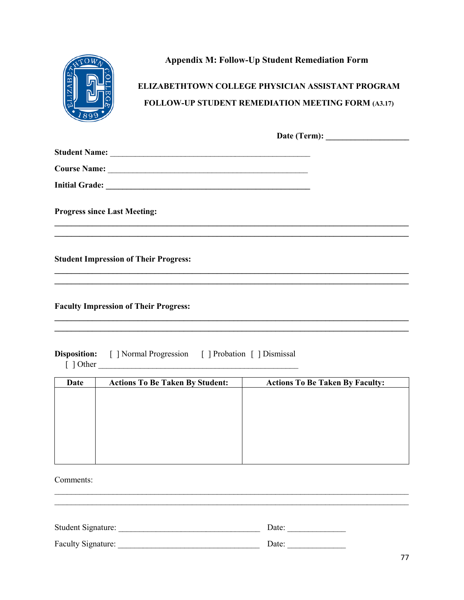

# **Appendix M: Follow-Up Student Remediation Form**

# ELIZABETHTOWN COLLEGE PHYSICIAN ASSISTANT PROGRAM FOLLOW-UP STUDENT REMEDIATION MEETING FORM (A3.17)

| Date (Term): |  |
|--------------|--|
|              |  |

| <b>Student Name:</b>  |  |
|-----------------------|--|
| <b>Course Name:</b>   |  |
| <b>Initial Grade:</b> |  |

**Progress since Last Meeting:** 

**Student Impression of Their Progress:** 

**Faculty Impression of Their Progress:** 

| <b>Disposition:</b> | [ ] Normal Progression | [ ] Probation [ ] Dismissal |
|---------------------|------------------------|-----------------------------|
| $\lceil$ 1 Other    |                        |                             |

| Date | <b>Actions To Be Taken By Student:</b> | <b>Actions To Be Taken By Faculty:</b> |
|------|----------------------------------------|----------------------------------------|
|      |                                        |                                        |
|      |                                        |                                        |
|      |                                        |                                        |
|      |                                        |                                        |
|      |                                        |                                        |
|      |                                        |                                        |
|      |                                        |                                        |

Comments:

| Student Signature: | Date: |
|--------------------|-------|
| Faculty Signature: | Date: |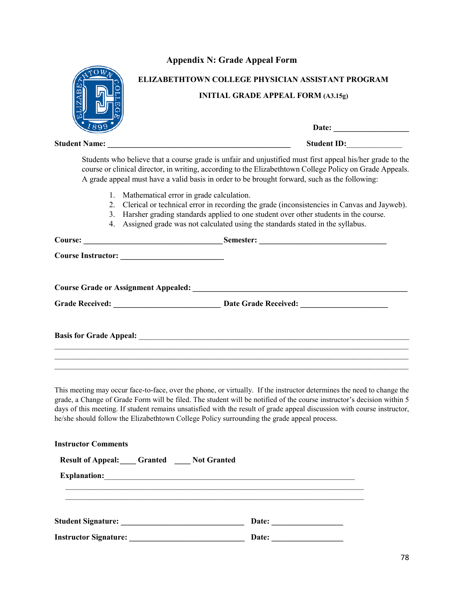### **Appendix N: Grade Appeal Form**

| 89 |
|----|

# **ELIZABETHTOWN COLLEGE PHYSICIAN ASSISTANT PROGRAM**

#### **INITIAL GRADE APPEAL FORM (A3.15g)**

|                                                                                | Date: $\qquad \qquad$                                                                                                                                                                                                                                                                                                  |
|--------------------------------------------------------------------------------|------------------------------------------------------------------------------------------------------------------------------------------------------------------------------------------------------------------------------------------------------------------------------------------------------------------------|
|                                                                                | Student ID:                                                                                                                                                                                                                                                                                                            |
|                                                                                | Students who believe that a course grade is unfair and unjustified must first appeal his/her grade to the<br>course or clinical director, in writing, according to the Elizabethtown College Policy on Grade Appeals.<br>A grade appeal must have a valid basis in order to be brought forward, such as the following: |
| Mathematical error in grade calculation.<br>$1_{\cdot}$<br>$\mathcal{E}$<br>4. | 2. Clerical or technical error in recording the grade (inconsistencies in Canvas and Jayweb).<br>Harsher grading standards applied to one student over other students in the course.<br>Assigned grade was not calculated using the standards stated in the syllabus.                                                  |
|                                                                                |                                                                                                                                                                                                                                                                                                                        |
|                                                                                |                                                                                                                                                                                                                                                                                                                        |
|                                                                                | <b>Course Grade or Assignment Appealed:</b> <u>Course of August 2006</u>                                                                                                                                                                                                                                               |
|                                                                                |                                                                                                                                                                                                                                                                                                                        |
|                                                                                |                                                                                                                                                                                                                                                                                                                        |
|                                                                                |                                                                                                                                                                                                                                                                                                                        |

This meeting may occur face-to-face, over the phone, or virtually. If the instructor determines the need to change the grade, a Change of Grade Form will be filed. The student will be notified of the course instructor's decision within 5 days of this meeting. If student remains unsatisfied with the result of grade appeal discussion with course instructor, he/she should follow the Elizabethtown College Policy surrounding the grade appeal process.

| <b>Instructor Comments</b>                                                                                      |       |  |  |  |  |
|-----------------------------------------------------------------------------------------------------------------|-------|--|--|--|--|
| <b>Result of Appeal:</b> Granted Not Granted                                                                    |       |  |  |  |  |
|                                                                                                                 |       |  |  |  |  |
|                                                                                                                 |       |  |  |  |  |
|                                                                                                                 | Date: |  |  |  |  |
| <b>Instructor Signature:</b><br>the contract of the contract of the contract of the contract of the contract of | Date: |  |  |  |  |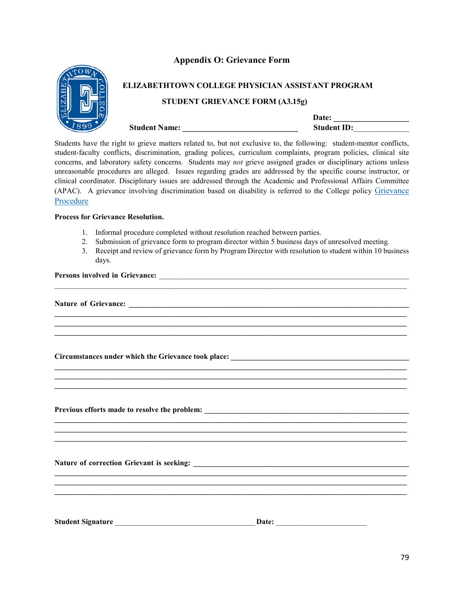#### **Appendix O: Grievance Form**



# **ELIZABETHTOWN COLLEGE PHYSICIAN ASSISTANT PROGRAM STUDENT GRIEVANCE FORM (A3.15g)**

|                      | <b>Date:</b>       |
|----------------------|--------------------|
| <b>Student Name:</b> | <b>Student ID:</b> |

Students have the right to grieve matters related to, but not exclusive to, the following: student-mentor conflicts, student-faculty conflicts, discrimination, grading polices, curriculum complaints, program policies, clinical site concerns, and laboratory safety concerns. Students may *not* grieve assigned grades or disciplinary actions unless unreasonable procedures are alleged. Issues regarding grades are addressed by the specific course instructor, or clinical coordinator. Disciplinary issues are addressed through the Academic and Professional Affairs Committee (APAC). A grievance involving discrimination based on disability is referred to the College policy [Grievance](https://www.etown.edu/offices/disability/Grievance_Procedure.aspx)  [Procedure](https://www.etown.edu/offices/disability/Grievance_Procedure.aspx)

#### **Process for Grievance Resolution.**

- 1. Informal procedure completed without resolution reached between parties.
- 2. Submission of grievance form to program director within 5 business days of unresolved meeting.

 $\_$  ,  $\_$  ,  $\_$  ,  $\_$  ,  $\_$  ,  $\_$  ,  $\_$  ,  $\_$  ,  $\_$  ,  $\_$  ,  $\_$  ,  $\_$  ,  $\_$  ,  $\_$  ,  $\_$  ,  $\_$  ,  $\_$  ,  $\_$  ,  $\_$  ,  $\_$  ,  $\_$  ,  $\_$  ,  $\_$  ,  $\_$  ,  $\_$  ,  $\_$  ,  $\_$  ,  $\_$  ,  $\_$  ,  $\_$  ,  $\_$  ,  $\_$  ,  $\_$  ,  $\_$  ,  $\_$  ,  $\_$  ,  $\_$  ,

**\_\_\_\_\_\_\_\_\_\_\_\_\_\_\_\_\_\_\_\_\_\_\_\_\_\_\_\_\_\_\_\_\_\_\_\_\_\_\_\_\_\_\_\_\_\_\_\_\_\_\_\_\_\_\_\_\_\_\_\_\_\_\_\_\_\_\_\_\_\_\_\_\_\_\_\_\_\_\_\_\_\_\_\_\_\_\_\_\_\_\_\_\_ \_\_\_\_\_\_\_\_\_\_\_\_\_\_\_\_\_\_\_\_\_\_\_\_\_\_\_\_\_\_\_\_\_\_\_\_\_\_\_\_\_\_\_\_\_\_\_\_\_\_\_\_\_\_\_\_\_\_\_\_\_\_\_\_\_\_\_\_\_\_\_\_\_\_\_\_\_\_\_\_\_\_\_\_\_\_\_\_\_\_\_\_\_ \_\_\_\_\_\_\_\_\_\_\_\_\_\_\_\_\_\_\_\_\_\_\_\_\_\_\_\_\_\_\_\_\_\_\_\_\_\_\_\_\_\_\_\_\_\_\_\_\_\_\_\_\_\_\_\_\_\_\_\_\_\_\_\_\_\_\_\_\_\_\_\_\_\_\_\_\_\_\_\_\_\_\_\_\_\_\_\_\_\_\_\_\_**

**\_\_\_\_\_\_\_\_\_\_\_\_\_\_\_\_\_\_\_\_\_\_\_\_\_\_\_\_\_\_\_\_\_\_\_\_\_\_\_\_\_\_\_\_\_\_\_\_\_\_\_\_\_\_\_\_\_\_\_\_\_\_\_\_\_\_\_\_\_\_\_\_\_\_\_\_\_\_\_\_\_\_\_\_\_\_\_\_\_\_\_\_\_ \_\_\_\_\_\_\_\_\_\_\_\_\_\_\_\_\_\_\_\_\_\_\_\_\_\_\_\_\_\_\_\_\_\_\_\_\_\_\_\_\_\_\_\_\_\_\_\_\_\_\_\_\_\_\_\_\_\_\_\_\_\_\_\_\_\_\_\_\_\_\_\_\_\_\_\_\_\_\_\_\_\_\_\_\_\_\_\_\_\_\_\_\_**

**\_\_\_\_\_\_\_\_\_\_\_\_\_\_\_\_\_\_\_\_\_\_\_\_\_\_\_\_\_\_\_\_\_\_\_\_\_\_\_\_\_\_\_\_\_\_\_\_\_\_\_\_\_\_\_\_\_\_\_\_\_\_\_\_\_\_\_\_\_\_\_\_\_\_\_\_\_\_\_\_\_\_\_\_\_\_\_\_\_\_\_\_\_ \_\_\_\_\_\_\_\_\_\_\_\_\_\_\_\_\_\_\_\_\_\_\_\_\_\_\_\_\_\_\_\_\_\_\_\_\_\_\_\_\_\_\_\_\_\_\_\_\_\_\_\_\_\_\_\_\_\_\_\_\_\_\_\_\_\_\_\_\_\_\_\_\_\_\_\_\_\_\_\_\_\_\_\_\_\_\_\_\_\_\_\_\_ \_\_\_\_\_\_\_\_\_\_\_\_\_\_\_\_\_\_\_\_\_\_\_\_\_\_\_\_\_\_\_\_\_\_\_\_\_\_\_\_\_\_\_\_\_\_\_\_\_\_\_\_\_\_\_\_\_\_\_\_\_\_\_\_\_\_\_\_\_\_\_\_\_\_\_\_\_\_\_\_\_\_\_\_\_\_\_\_\_\_\_\_\_**

**\_\_\_\_\_\_\_\_\_\_\_\_\_\_\_\_\_\_\_\_\_\_\_\_\_\_\_\_\_\_\_\_\_\_\_\_\_\_\_\_\_\_\_\_\_\_\_\_\_\_\_\_\_\_\_\_\_\_\_\_\_\_\_\_\_\_\_\_\_\_\_\_\_\_\_\_\_\_\_\_\_\_\_\_\_\_\_\_\_\_\_\_\_**

3. Receipt and review of grievance form by Program Director with resolution to student within 10 business days.

#### Persons involved in Grievance: *Department*

**Nature of Grievance: \_\_\_\_\_\_\_\_\_\_\_\_\_\_\_\_\_\_\_\_\_\_\_\_\_\_\_\_\_\_\_\_\_\_\_\_\_\_\_\_\_\_\_\_\_\_\_\_\_\_\_\_\_\_\_\_\_\_\_\_\_\_\_\_\_\_\_\_\_\_\_\_\_\_**

**Circumstances under which the Grievance took place: \_\_\_\_\_\_\_\_\_\_\_\_\_\_\_\_\_\_\_\_\_\_\_\_\_\_\_\_\_\_\_\_\_\_\_\_\_\_\_\_\_\_\_\_\_\_\_**

Previous efforts made to resolve the problem:

Nature of correction Grievant is seeking:

**Student Signature** \_\_\_\_\_\_\_\_\_\_\_\_\_\_\_\_\_\_\_\_\_\_\_\_\_\_\_\_\_\_\_\_\_\_\_\_\_**Date:** \_\_\_\_\_\_\_\_\_\_\_\_\_\_\_\_\_\_\_\_\_\_\_\_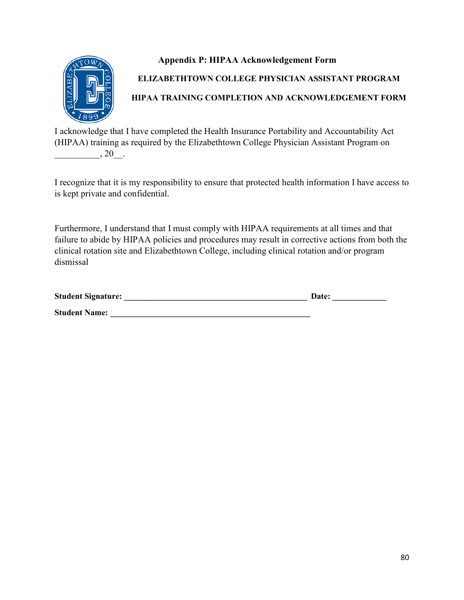

# **Appendix P: HIPAA Acknowledgement Form ELIZABETHTOWN COLLEGE PHYSICIAN ASSISTANT PROGRAM HIPAA TRAINING COMPLETION AND ACKNOWLEDGEMENT FORM**

I acknowledge that I have completed the Health Insurance Portability and Accountability Act (HIPAA) training as required by the Elizabethtown College Physician Assistant Program on  $, 20$ .

I recognize that it is my responsibility to ensure that protected health information I have access to is kept private and confidential.

Furthermore, I understand that I must comply with HIPAA requirements at all times and that failure to abide by HIPAA policies and procedures may result in corrective actions from both the clinical rotation site and Elizabethtown College, including clinical rotation and/or program dismissal

| <b>Student Signature:</b> | <b>Date:</b> |
|---------------------------|--------------|
| <b>Student Name:</b>      |              |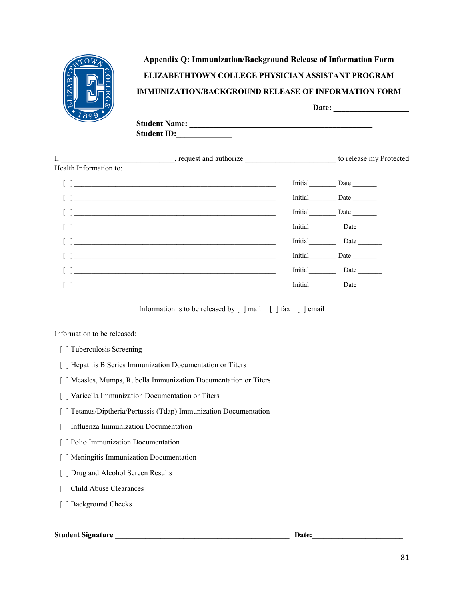

# **Appendix Q: Immunization/Background Release of Information Form ELIZABETHTOWN COLLEGE PHYSICIAN ASSISTANT PROGRAM IMMUNIZATION/BACKGROUND RELEASE OF INFORMATION FORM**

|                      | Date: |
|----------------------|-------|
| <b>Student Name:</b> |       |
| <b>Student ID:</b>   |       |
|                      |       |

| I,                     | $\blacksquare$ , request and authorize                                                                                                                                                                                            |         | to release my Protected |
|------------------------|-----------------------------------------------------------------------------------------------------------------------------------------------------------------------------------------------------------------------------------|---------|-------------------------|
| Health Information to: |                                                                                                                                                                                                                                   |         |                         |
|                        |                                                                                                                                                                                                                                   | Initial |                         |
|                        |                                                                                                                                                                                                                                   | Initial |                         |
|                        |                                                                                                                                                                                                                                   | Initial |                         |
|                        | $\mathbf{1}$ , and the contract of the contract of the contract of the contract of the contract of the contract of the contract of the contract of the contract of the contract of the contract of the contract of the contract o | Initial | Date                    |
|                        |                                                                                                                                                                                                                                   | Initial | Date                    |
|                        |                                                                                                                                                                                                                                   | Initial | Date                    |
|                        |                                                                                                                                                                                                                                   | Initial | Date                    |
|                        | <u> 1980 - Johann John Stein, markin fan de Amerikaansk kommunister op de Amerikaansk kommunister op de Amerikaans</u>                                                                                                            | Initial | Date                    |

Information is to be released by  $\lceil \cdot \rceil$  mail  $\lceil \cdot \rceil$  fax  $\lceil \cdot \rceil$  email

Information to be released:

- [ ] Tuberculosis Screening
- [ ] Hepatitis B Series Immunization Documentation or Titers
- [ ] Measles, Mumps, Rubella Immunization Documentation or Titers
- [ ] Varicella Immunization Documentation or Titers
- [ ] Tetanus/Diptheria/Pertussis (Tdap) Immunization Documentation
- [ ] Influenza Immunization Documentation
- [ ] Polio Immunization Documentation
- [ ] Meningitis Immunization Documentation
- [ ] Drug and Alcohol Screen Results
- [ ] Child Abuse Clearances
- [ ] Background Checks

#### **Student Signature** \_\_\_\_\_\_\_\_\_\_\_\_\_\_\_\_\_\_\_\_\_\_\_\_\_\_\_\_\_\_\_\_\_\_\_\_\_\_\_\_\_\_\_\_\_\_ **Date:**\_\_\_\_\_\_\_\_\_\_\_\_\_\_\_\_\_\_\_\_\_\_\_\_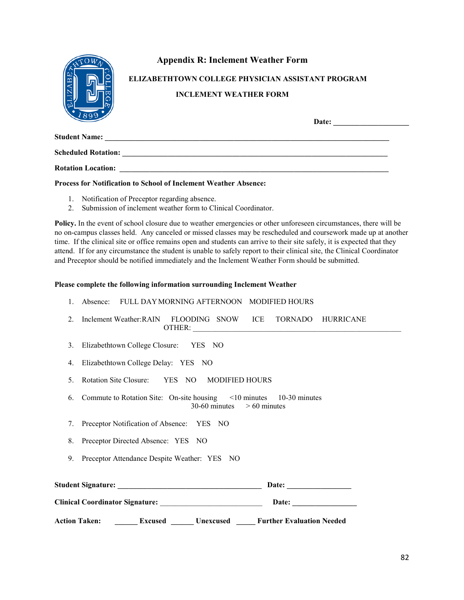|                            | <b>Appendix R: Inclement Weather Form</b>                                                                                                                                                                                      |
|----------------------------|--------------------------------------------------------------------------------------------------------------------------------------------------------------------------------------------------------------------------------|
|                            | ELIZABETHTOWN COLLEGE PHYSICIAN ASSISTANT PROGRAM<br><b>INCLEMENT WEATHER FORM</b>                                                                                                                                             |
|                            | Date: the contract of the contract of the contract of the contract of the contract of the contract of the contract of the contract of the contract of the contract of the contract of the contract of the contract of the cont |
|                            |                                                                                                                                                                                                                                |
| <b>Scheduled Rotation:</b> |                                                                                                                                                                                                                                |
| <b>Rotation Location:</b>  |                                                                                                                                                                                                                                |

#### **Process for Notification to School of Inclement Weather Absence:**

- 1. Notification of Preceptor regarding absence.
- 2. Submission of inclement weather form to Clinical Coordinator.

Policy. In the event of school closure due to weather emergencies or other unforeseen circumstances, there will be no on-campus classes held. Any canceled or missed classes may be rescheduled and coursework made up at another time. If the clinical site or office remains open and students can arrive to their site safely, it is expected that they attend. If for any circumstance the student is unable to safely report to their clinical site, the Clinical Coordinator and Preceptor should be notified immediately and the Inclement Weather Form should be submitted.

#### **Please complete the following information surrounding Inclement Weather**

|    | FULL DAY MORNING AFTERNOON MODIFIED HOURS<br>Absence:                                                      |
|----|------------------------------------------------------------------------------------------------------------|
| 2. | Inclement Weather: RAIN FLOODING SNOW ICE TORNADO HURRICANE                                                |
| 3. | Elizabethtown College Closure: YES NO                                                                      |
| 4. | Elizabethtown College Delay: YES NO                                                                        |
| 5. | Rotation Site Closure: YES NO MODIFIED HOURS                                                               |
| 6. | Commute to Rotation Site: On-site housing $\leq 10$ minutes 10-30 minutes<br>$30-60$ minutes $>60$ minutes |
|    | 7. Preceptor Notification of Absence: YES NO                                                               |
|    | 8. Preceptor Directed Absence: YES NO                                                                      |
|    | 9. Preceptor Attendance Despite Weather: YES NO                                                            |
|    |                                                                                                            |
|    | Clinical Coordinator Signature: New York Clinical Coordinator Signature:<br>Date:                          |
|    | Action Taken: ________Excused _______Unexcused ______Further Evaluation Needed                             |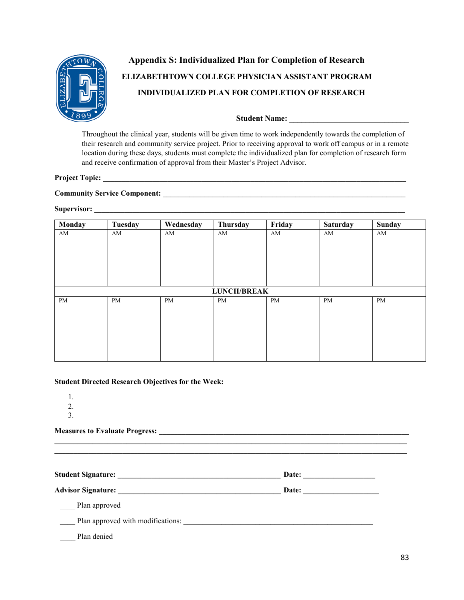

# **Appendix S: Individualized Plan for Completion of Research ELIZABETHTOWN COLLEGE PHYSICIAN ASSISTANT PROGRAM INDIVIDUALIZED PLAN FOR COMPLETION OF RESEARCH**

#### **Student Name: \_\_\_\_\_\_\_\_\_\_\_\_\_\_\_\_\_\_\_\_\_\_\_\_\_\_\_\_\_\_**

Throughout the clinical year, students will be given time to work independently towards the completion of their research and community service project. Prior to receiving approval to work off campus or in a remote location during these days, students must complete the individualized plan for completion of research form and receive confirmation of approval from their Master's Project Advisor.

## **Project Topic: \_\_\_\_\_\_\_\_\_\_\_\_\_\_\_\_\_\_\_\_\_\_\_\_\_\_\_\_\_\_\_\_\_\_\_\_\_\_\_\_\_\_\_\_\_\_\_\_\_\_\_\_\_\_\_\_\_\_\_\_\_\_\_\_\_\_\_\_\_\_\_\_\_\_\_\_\_\_\_\_**

### **Community Service Component: \_\_\_\_\_\_\_\_\_\_\_\_\_\_\_\_\_\_\_\_\_\_\_\_\_\_\_\_\_\_\_\_\_\_\_\_\_\_\_\_\_\_\_\_\_\_\_\_\_\_\_\_\_\_\_\_\_\_\_\_\_\_\_\_**

### **Supervisor: \_\_\_\_\_\_\_\_\_\_\_\_\_\_\_\_\_\_\_\_\_\_\_\_\_\_\_\_\_\_\_\_\_\_\_\_\_\_\_\_\_\_\_\_\_\_\_\_\_\_\_\_\_\_\_\_\_\_\_\_\_\_\_\_\_\_\_\_\_\_\_\_\_\_\_\_\_\_\_\_\_\_**

| Monday | Tuesday | Wednesday | Thursday           | Friday | <b>Saturday</b> | <b>Sunday</b> |
|--------|---------|-----------|--------------------|--------|-----------------|---------------|
| AM     | AM      | AM        | AM                 | AM     | AM              | AM            |
|        |         |           |                    |        |                 |               |
|        |         |           |                    |        |                 |               |
|        |         |           |                    |        |                 |               |
|        |         |           |                    |        |                 |               |
|        |         |           |                    |        |                 |               |
|        |         |           | <b>LUNCH/BREAK</b> |        |                 |               |
| PM     | PM      | PM        | PM                 | PM     | PM              | PM            |
|        |         |           |                    |        |                 |               |
|        |         |           |                    |        |                 |               |
|        |         |           |                    |        |                 |               |
|        |         |           |                    |        |                 |               |
|        |         |           |                    |        |                 |               |
|        |         |           |                    |        |                 |               |

#### **Student Directed Research Objectives for the Week:**

- 1.
- 2.
- 3.

#### **Measures to Evaluate Progress: \_\_\_\_\_\_\_\_\_\_\_\_\_\_\_\_\_\_\_\_\_\_\_\_\_\_\_\_\_\_\_\_\_\_\_\_\_\_\_\_\_\_\_\_\_\_\_\_\_\_\_\_\_\_\_\_\_\_\_\_\_\_\_\_\_\_**

**Student Signature: \_\_\_\_\_\_\_\_\_\_\_\_\_\_\_\_\_\_\_\_\_\_\_\_\_\_\_\_\_\_\_\_\_\_\_\_\_\_\_\_\_\_\_ Date: \_\_\_\_\_\_\_\_\_\_\_\_\_\_\_\_\_\_\_**

**\_\_\_\_\_\_\_\_\_\_\_\_\_\_\_\_\_\_\_\_\_\_\_\_\_\_\_\_\_\_\_\_\_\_\_\_\_\_\_\_\_\_\_\_\_\_\_\_\_\_\_\_\_\_\_\_\_\_\_\_\_\_\_\_\_\_\_\_\_\_\_\_\_\_\_\_\_\_\_\_\_\_\_\_\_\_\_\_\_\_\_\_\_ \_\_\_\_\_\_\_\_\_\_\_\_\_\_\_\_\_\_\_\_\_\_\_\_\_\_\_\_\_\_\_\_\_\_\_\_\_\_\_\_\_\_\_\_\_\_\_\_\_\_\_\_\_\_\_\_\_\_\_\_\_\_\_\_\_\_\_\_\_\_\_\_\_\_\_\_\_\_\_\_\_\_\_\_\_\_\_\_\_\_\_\_\_**

**Advisor Signature: \_\_\_\_\_\_\_\_\_\_\_\_\_\_\_\_\_\_\_\_\_\_\_\_\_\_\_\_\_\_\_\_\_\_\_\_\_\_\_\_\_\_\_ Date: \_\_\_\_\_\_\_\_\_\_\_\_\_\_\_\_\_\_\_\_**

Plan approved

\_\_\_\_ Plan approved with modifications: \_\_\_\_\_\_\_\_\_\_\_\_\_\_\_\_\_\_\_\_\_\_\_\_\_\_\_\_\_\_\_\_\_\_\_\_\_\_\_\_\_\_\_\_\_\_\_\_\_\_

Plan denied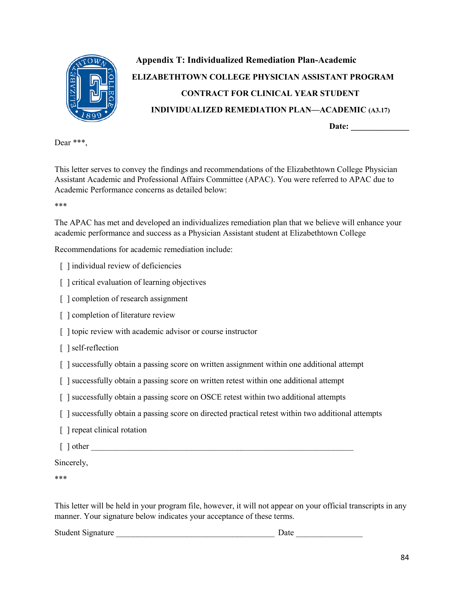

# **Appendix T: Individualized Remediation Plan-Academic ELIZABETHTOWN COLLEGE PHYSICIAN ASSISTANT PROGRAM CONTRACT FOR CLINICAL YEAR STUDENT INDIVIDUALIZED REMEDIATION PLAN—ACADEMIC (A3.17) Date: \_\_\_\_\_\_\_\_\_\_\_\_\_\_**

Dear \*\*\*,

This letter serves to convey the findings and recommendations of the Elizabethtown College Physician Assistant Academic and Professional Affairs Committee (APAC). You were referred to APAC due to Academic Performance concerns as detailed below:

\*\*\*

The APAC has met and developed an individualizes remediation plan that we believe will enhance your academic performance and success as a Physician Assistant student at Elizabethtown College

Recommendations for academic remediation include:

- [ ] individual review of deficiencies
- [ ] critical evaluation of learning objectives
- [ ] completion of research assignment
- [] completion of literature review
- [ ] topic review with academic advisor or course instructor
- [ ] self-reflection
- [ ] successfully obtain a passing score on written assignment within one additional attempt
- [ ] successfully obtain a passing score on written retest within one additional attempt
- [ ] successfully obtain a passing score on OSCE retest within two additional attempts
- [] successfully obtain a passing score on directed practical retest within two additional attempts
- [ ] repeat clinical rotation
- $\lceil$  dther  $\lceil$

#### Sincerely,

\*\*\*

This letter will be held in your program file, however, it will not appear on your official transcripts in any manner. Your signature below indicates your acceptance of these terms.

Student Signature **Date Date Date Date**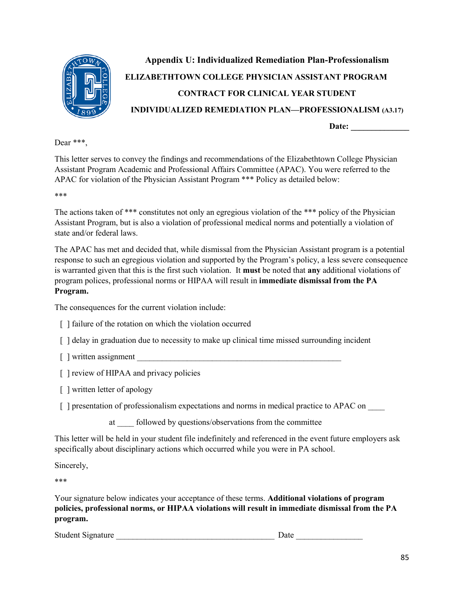

# **Appendix U: Individualized Remediation Plan-Professionalism ELIZABETHTOWN COLLEGE PHYSICIAN ASSISTANT PROGRAM CONTRACT FOR CLINICAL YEAR STUDENT INDIVIDUALIZED REMEDIATION PLAN—PROFESSIONALISM (A3.17) Date: \_\_\_\_\_\_\_\_\_\_\_\_\_\_**

Dear \*\*\*,

This letter serves to convey the findings and recommendations of the Elizabethtown College Physician Assistant Program Academic and Professional Affairs Committee (APAC). You were referred to the APAC for violation of the Physician Assistant Program \*\*\* Policy as detailed below:

\*\*\*

The actions taken of \*\*\* constitutes not only an egregious violation of the \*\*\* policy of the Physician Assistant Program, but is also a violation of professional medical norms and potentially a violation of state and/or federal laws.

The APAC has met and decided that, while dismissal from the Physician Assistant program is a potential response to such an egregious violation and supported by the Program's policy, a less severe consequence is warranted given that this is the first such violation. It **must** be noted that **any** additional violations of program polices, professional norms or HIPAA will result in **immediate dismissal from the PA Program.** 

The consequences for the current violation include:

- [ ] failure of the rotation on which the violation occurred
- [ ] delay in graduation due to necessity to make up clinical time missed surrounding incident
- $\lceil$  ] written assignment
- [ ] review of HIPAA and privacy policies
- [] written letter of apology
- [ ] presentation of professionalism expectations and norms in medical practice to APAC on
	- at followed by questions/observations from the committee

This letter will be held in your student file indefinitely and referenced in the event future employers ask specifically about disciplinary actions which occurred while you were in PA school.

Sincerely,

\*\*\*

Your signature below indicates your acceptance of these terms. **Additional violations of program policies, professional norms, or HIPAA violations will result in immediate dismissal from the PA program.**

Student Signature **Example 2018** Date **Date**  $\overline{a}$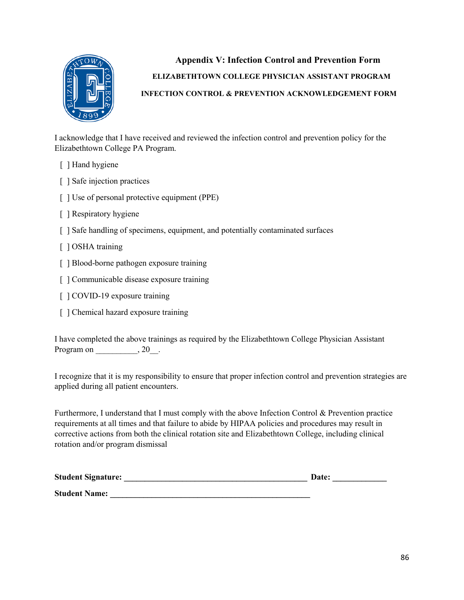

 **Appendix V: Infection Control and Prevention Form ELIZABETHTOWN COLLEGE PHYSICIAN ASSISTANT PROGRAM INFECTION CONTROL & PREVENTION ACKNOWLEDGEMENT FORM**

I acknowledge that I have received and reviewed the infection control and prevention policy for the Elizabethtown College PA Program.

- [ ] Hand hygiene
- [ ] Safe injection practices
- [ ] Use of personal protective equipment (PPE)
- [ ] Respiratory hygiene
- [ ] Safe handling of specimens, equipment, and potentially contaminated surfaces
- [ ] OSHA training
- [ ] Blood-borne pathogen exposure training
- [ ] Communicable disease exposure training
- [ ] COVID-19 exposure training
- [ ] Chemical hazard exposure training

I have completed the above trainings as required by the Elizabethtown College Physician Assistant Program on \_\_\_\_\_\_\_\_\_\_\_, 20\_\_\_.

I recognize that it is my responsibility to ensure that proper infection control and prevention strategies are applied during all patient encounters.

Furthermore, I understand that I must comply with the above Infection Control & Prevention practice requirements at all times and that failure to abide by HIPAA policies and procedures may result in corrective actions from both the clinical rotation site and Elizabethtown College, including clinical rotation and/or program dismissal

| <b>Student Signature:</b> | Date: |
|---------------------------|-------|
| <b>Student Name:</b>      |       |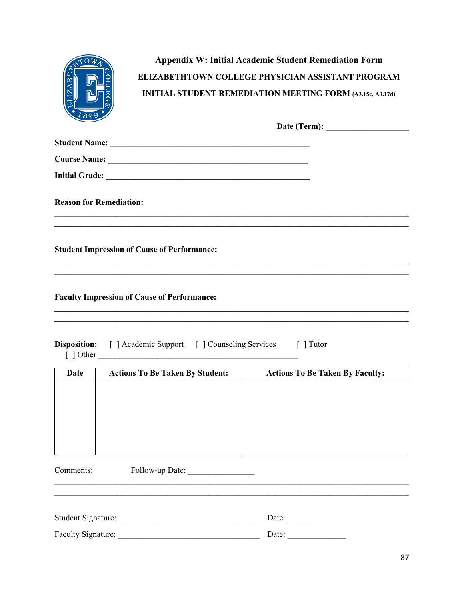|                                |                                                                                                                                  | <b>Appendix W: Initial Academic Student Remediation Form</b><br>ELIZABETHTOWN COLLEGE PHYSICIAN ASSISTANT PROGRAM<br><b>INITIAL STUDENT REMEDIATION MEETING FORM (A3.15c, A3.17d)</b> |
|--------------------------------|----------------------------------------------------------------------------------------------------------------------------------|---------------------------------------------------------------------------------------------------------------------------------------------------------------------------------------|
|                                |                                                                                                                                  |                                                                                                                                                                                       |
|                                |                                                                                                                                  |                                                                                                                                                                                       |
|                                |                                                                                                                                  |                                                                                                                                                                                       |
|                                |                                                                                                                                  |                                                                                                                                                                                       |
| <b>Reason for Remediation:</b> |                                                                                                                                  |                                                                                                                                                                                       |
|                                |                                                                                                                                  |                                                                                                                                                                                       |
|                                | <b>Student Impression of Cause of Performance:</b>                                                                               |                                                                                                                                                                                       |
|                                |                                                                                                                                  |                                                                                                                                                                                       |
|                                | <b>Faculty Impression of Cause of Performance:</b><br><b>Disposition:</b> [ ] Academic Support [ ] Counseling Services [ ] Tutor |                                                                                                                                                                                       |
|                                |                                                                                                                                  |                                                                                                                                                                                       |
| <b>Date</b>                    | <b>Actions To Be Taken By Student:</b>                                                                                           | <b>Actions To Be Taken By Faculty:</b>                                                                                                                                                |
|                                |                                                                                                                                  |                                                                                                                                                                                       |
|                                |                                                                                                                                  |                                                                                                                                                                                       |
|                                |                                                                                                                                  |                                                                                                                                                                                       |
|                                |                                                                                                                                  |                                                                                                                                                                                       |
|                                |                                                                                                                                  |                                                                                                                                                                                       |
| Comments:                      | Follow-up Date:                                                                                                                  |                                                                                                                                                                                       |
|                                |                                                                                                                                  |                                                                                                                                                                                       |
|                                |                                                                                                                                  |                                                                                                                                                                                       |
|                                |                                                                                                                                  | Date: $\qquad \qquad$<br>Date: $\qquad \qquad$                                                                                                                                        |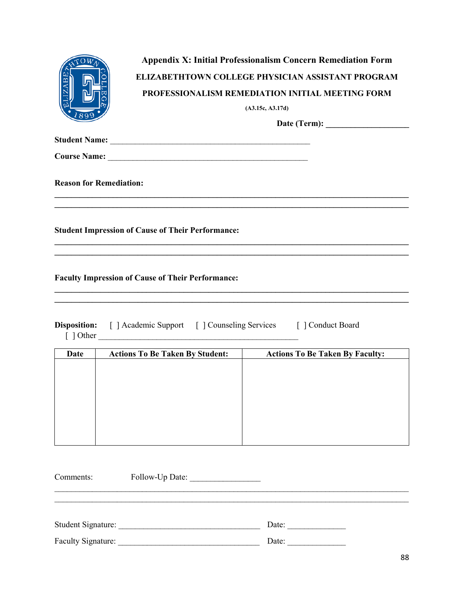| 899                            | <b>Appendix X: Initial Professionalism Concern Remediation Form</b><br><b>ELIZABETHTOWN COLLEGE PHYSICIAN ASSISTANT PROGRAM</b><br><b>PROFESSIONALISM REMEDIATION INITIAL MEETING FORM</b><br>(A3.15c, A3.17d)<br>Date (Term): $\qquad \qquad$ |
|--------------------------------|------------------------------------------------------------------------------------------------------------------------------------------------------------------------------------------------------------------------------------------------|
|                                |                                                                                                                                                                                                                                                |
|                                |                                                                                                                                                                                                                                                |
| <b>Reason for Remediation:</b> |                                                                                                                                                                                                                                                |
|                                | <b>Student Impression of Cause of Their Performance:</b>                                                                                                                                                                                       |
|                                | <b>Faculty Impression of Cause of Their Performance:</b>                                                                                                                                                                                       |
|                                | Disposition: [ ] Academic Support [ ] Counseling Services [ ] Conduct Board<br>$[$ ] Other                                                                                                                                                     |

| Date | <b>Actions To Be Taken By Student:</b> | <b>Actions To Be Taken By Faculty:</b> |
|------|----------------------------------------|----------------------------------------|
|      |                                        |                                        |
|      |                                        |                                        |
|      |                                        |                                        |
|      |                                        |                                        |
|      |                                        |                                        |
|      |                                        |                                        |
|      |                                        |                                        |
|      |                                        |                                        |

| Comments:                 | Follow-Up Date: |       |
|---------------------------|-----------------|-------|
|                           |                 |       |
| <b>Student Signature:</b> |                 | Date: |
| <b>Faculty Signature:</b> |                 | Date: |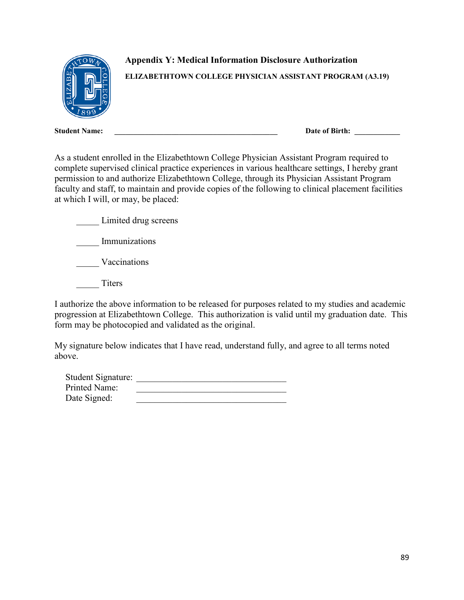

**Appendix Y: Medical Information Disclosure Authorization** 

**ELIZABETHTOWN COLLEGE PHYSICIAN ASSISTANT PROGRAM (A3.19)**

**Student Name: \_\_\_\_\_\_\_\_\_\_\_\_\_\_\_\_\_\_\_\_\_\_\_\_\_\_\_\_\_\_\_\_\_\_\_\_\_\_\_\_\_\_\_ Date of Birth: \_\_\_\_\_\_\_\_\_\_\_\_**

As a student enrolled in the Elizabethtown College Physician Assistant Program required to complete supervised clinical practice experiences in various healthcare settings, I hereby grant permission to and authorize Elizabethtown College, through its Physician Assistant Program faculty and staff, to maintain and provide copies of the following to clinical placement facilities at which I will, or may, be placed:

Limited drug screens \_\_\_\_\_ Immunizations \_\_\_\_\_ Vaccinations Titers

I authorize the above information to be released for purposes related to my studies and academic progression at Elizabethtown College. This authorization is valid until my graduation date. This form may be photocopied and validated as the original.

My signature below indicates that I have read, understand fully, and agree to all terms noted above.

| Student Signature:   |  |
|----------------------|--|
| <b>Printed Name:</b> |  |
| Date Signed:         |  |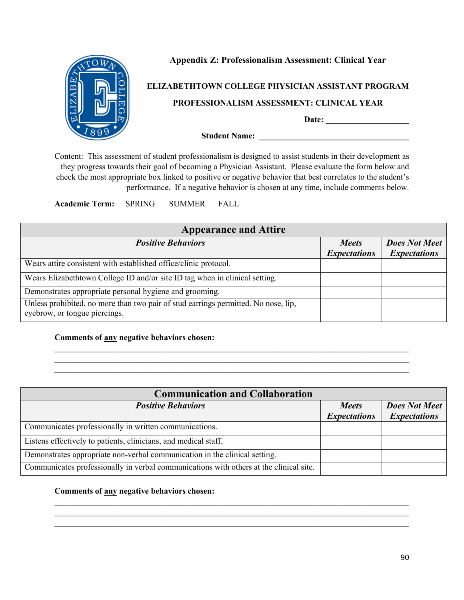

### **Appendix Z: Professionalism Assessment: Clinical Year**

#### **ELIZABETHTOWN COLLEGE PHYSICIAN ASSISTANT PROGRAM**

#### **PROFESSIONALISM ASSESSMENT: CLINICAL YEAR**

**Date: \_\_\_\_\_\_\_\_\_\_\_\_\_\_\_\_\_\_\_\_** 

**Student Name: \_\_\_\_\_\_\_\_\_\_\_\_\_\_\_\_\_\_\_\_\_\_\_\_\_\_\_\_\_\_\_\_\_\_\_\_** 

Content: This assessment of student professionalism is designed to assist students in their development as they progress towards their goal of becoming a Physician Assistant. Please evaluate the form below and check the most appropriate box linked to positive or negative behavior that best correlates to the student's performance. If a negative behavior is chosen at any time, include comments below.

**Academic Term:** SPRING SUMMER FALL

| <b>Appearance and Attire</b>                                                                                        |                                     |                                             |
|---------------------------------------------------------------------------------------------------------------------|-------------------------------------|---------------------------------------------|
| <b>Positive Behaviors</b>                                                                                           | <b>Meets</b><br><b>Expectations</b> | <b>Does Not Meet</b><br><b>Expectations</b> |
| Wears attire consistent with established office/clinic protocol.                                                    |                                     |                                             |
| Wears Elizabethtown College ID and/or site ID tag when in clinical setting.                                         |                                     |                                             |
| Demonstrates appropriate personal hygiene and grooming.                                                             |                                     |                                             |
| Unless prohibited, no more than two pair of stud earrings permitted. No nose, lip,<br>eyebrow, or tongue piercings. |                                     |                                             |

 $\mathcal{L}_\text{max}$  , and the contract of the contract of the contract of the contract of the contract of the contract of

\_\_\_\_\_\_\_\_\_\_\_\_\_\_\_\_\_\_\_\_\_\_\_\_\_\_\_\_\_\_\_\_\_\_\_\_\_\_\_\_\_\_\_\_\_\_\_\_\_\_\_\_\_\_\_\_\_\_\_\_\_\_\_\_\_\_\_\_\_\_\_\_\_\_\_\_\_\_\_\_\_\_\_\_\_

#### **Comments of any negative behaviors chosen:**

| <b>Communication and Collaboration</b>                                                 |                     |                      |
|----------------------------------------------------------------------------------------|---------------------|----------------------|
| <b>Positive Behaviors</b>                                                              | <b>Meets</b>        | <b>Does Not Meet</b> |
|                                                                                        | <b>Expectations</b> | <b>Expectations</b>  |
| Communicates professionally in written communications.                                 |                     |                      |
| Listens effectively to patients, clinicians, and medical staff.                        |                     |                      |
| Demonstrates appropriate non-verbal communication in the clinical setting.             |                     |                      |
| Communicates professionally in verbal communications with others at the clinical site. |                     |                      |

 $\_$  , and the set of the set of the set of the set of the set of the set of the set of the set of the set of the set of the set of the set of the set of the set of the set of the set of the set of the set of the set of th  $\mathcal{L}_\text{max}$  , and the contract of the contract of the contract of the contract of the contract of the contract of \_\_\_\_\_\_\_\_\_\_\_\_\_\_\_\_\_\_\_\_\_\_\_\_\_\_\_\_\_\_\_\_\_\_\_\_\_\_\_\_\_\_\_\_\_\_\_\_\_\_\_\_\_\_\_\_\_\_\_\_\_\_\_\_\_\_\_\_\_\_\_\_\_\_\_\_\_\_\_\_\_\_\_\_\_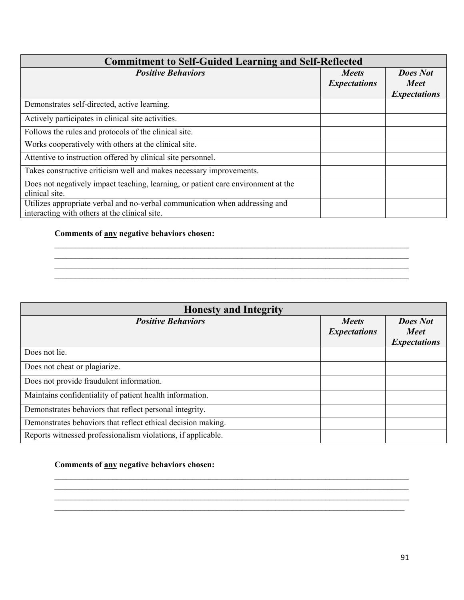| <b>Commitment to Self-Guided Learning and Self-Reflected</b>                                                                 |                                     |                                                       |  |
|------------------------------------------------------------------------------------------------------------------------------|-------------------------------------|-------------------------------------------------------|--|
| <b>Positive Behaviors</b>                                                                                                    | <b>Meets</b><br><b>Expectations</b> | <b>Does Not</b><br><b>Meet</b><br><b>Expectations</b> |  |
| Demonstrates self-directed, active learning.                                                                                 |                                     |                                                       |  |
| Actively participates in clinical site activities.                                                                           |                                     |                                                       |  |
| Follows the rules and protocols of the clinical site.                                                                        |                                     |                                                       |  |
| Works cooperatively with others at the clinical site.                                                                        |                                     |                                                       |  |
| Attentive to instruction offered by clinical site personnel.                                                                 |                                     |                                                       |  |
| Takes constructive criticism well and makes necessary improvements.                                                          |                                     |                                                       |  |
| Does not negatively impact teaching, learning, or patient care environment at the<br>clinical site.                          |                                     |                                                       |  |
| Utilizes appropriate verbal and no-verbal communication when addressing and<br>interacting with others at the clinical site. |                                     |                                                       |  |

 $\_$  , and the set of the set of the set of the set of the set of the set of the set of the set of the set of the set of the set of the set of the set of the set of the set of the set of the set of the set of the set of th \_\_\_\_\_\_\_\_\_\_\_\_\_\_\_\_\_\_\_\_\_\_\_\_\_\_\_\_\_\_\_\_\_\_\_\_\_\_\_\_\_\_\_\_\_\_\_\_\_\_\_\_\_\_\_\_\_\_\_\_\_\_\_\_\_\_\_\_\_\_\_\_\_\_\_\_\_\_\_\_\_\_\_\_\_  $\_$  , and the set of the set of the set of the set of the set of the set of the set of the set of the set of the set of the set of the set of the set of the set of the set of the set of the set of the set of the set of th  $\_$  , and the contribution of the contribution of the contribution of the contribution of  $\mathcal{L}_\text{max}$ 

#### **Comments of any negative behaviors chosen:**

### **Honesty and Integrity** *Positive Behaviors Meets Expectations Does Not Meet Expectations* Does not lie. Does not cheat or plagiarize. Does not provide fraudulent information. Maintains confidentiality of patient health information. Demonstrates behaviors that reflect personal integrity. Demonstrates behaviors that reflect ethical decision making. Reports witnessed professionalism violations, if applicable.

 $\_$  , and the set of the set of the set of the set of the set of the set of the set of the set of the set of the set of the set of the set of the set of the set of the set of the set of the set of the set of the set of th  $\mathcal{L}_\text{max}$  , and the contract of the contract of the contract of the contract of the contract of the contract of  $\_$  , and the set of the set of the set of the set of the set of the set of the set of the set of the set of the set of the set of the set of the set of the set of the set of the set of the set of the set of the set of th \_\_\_\_\_\_\_\_\_\_\_\_\_\_\_\_\_\_\_\_\_\_\_\_\_\_\_\_\_\_\_\_\_\_\_\_\_\_\_\_\_\_\_\_\_\_\_\_\_\_\_\_\_\_\_\_\_\_\_\_\_\_\_\_\_\_\_\_\_\_\_\_\_\_\_\_\_\_\_\_\_\_\_\_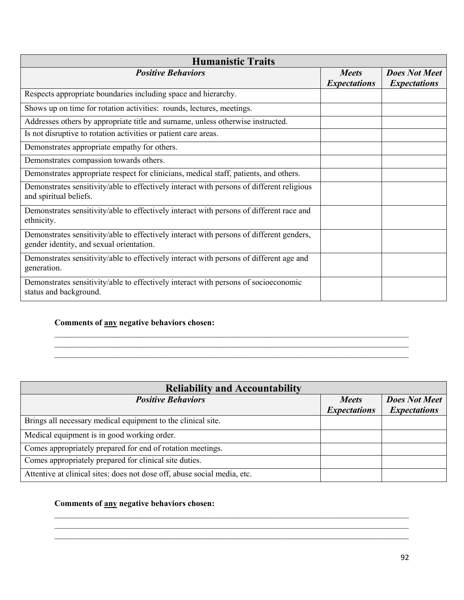| <b>Humanistic Traits</b>                                                                                                             |                                     |                                             |  |
|--------------------------------------------------------------------------------------------------------------------------------------|-------------------------------------|---------------------------------------------|--|
| <b>Positive Behaviors</b>                                                                                                            | <b>Meets</b><br><b>Expectations</b> | <b>Does Not Meet</b><br><b>Expectations</b> |  |
| Respects appropriate boundaries including space and hierarchy.                                                                       |                                     |                                             |  |
| Shows up on time for rotation activities: rounds, lectures, meetings.                                                                |                                     |                                             |  |
| Addresses others by appropriate title and surname, unless otherwise instructed.                                                      |                                     |                                             |  |
| Is not disruptive to rotation activities or patient care areas.                                                                      |                                     |                                             |  |
| Demonstrates appropriate empathy for others.                                                                                         |                                     |                                             |  |
| Demonstrates compassion towards others.                                                                                              |                                     |                                             |  |
| Demonstrates appropriate respect for clinicians, medical staff, patients, and others.                                                |                                     |                                             |  |
| Demonstrates sensitivity/able to effectively interact with persons of different religious<br>and spiritual beliefs.                  |                                     |                                             |  |
| Demonstrates sensitivity/able to effectively interact with persons of different race and<br>ethnicity.                               |                                     |                                             |  |
| Demonstrates sensitivity/able to effectively interact with persons of different genders,<br>gender identity, and sexual orientation. |                                     |                                             |  |
| Demonstrates sensitivity/able to effectively interact with persons of different age and<br>generation.                               |                                     |                                             |  |
| Demonstrates sensitivity/able to effectively interact with persons of socioeconomic<br>status and background.                        |                                     |                                             |  |

### **Comments of any negative behaviors chosen:**

| <b>Reliability and Accountability</b>                                    |                                     |                                             |
|--------------------------------------------------------------------------|-------------------------------------|---------------------------------------------|
| <b>Positive Behaviors</b>                                                | <b>Meets</b><br><b>Expectations</b> | <b>Does Not Meet</b><br><b>Expectations</b> |
| Brings all necessary medical equipment to the clinical site.             |                                     |                                             |
| Medical equipment is in good working order.                              |                                     |                                             |
| Comes appropriately prepared for end of rotation meetings.               |                                     |                                             |
| Comes appropriately prepared for clinical site duties.                   |                                     |                                             |
| Attentive at clinical sites: does not dose off, abuse social media, etc. |                                     |                                             |

 $\mathcal{L}_\text{max}$  , and the contract of the contract of the contract of the contract of the contract of the contract of  $\mathcal{L}_\text{max}$  , and the contract of the contract of the contract of the contract of the contract of the contract of  $\_$  , and the contribution of the contribution of the contribution of the contribution of  $\mathcal{L}_\text{max}$ 

 $\_$  , and the set of the set of the set of the set of the set of the set of the set of the set of the set of the set of the set of the set of the set of the set of the set of the set of the set of the set of the set of th  $\_$  , and the set of the set of the set of the set of the set of the set of the set of the set of the set of the set of the set of the set of the set of the set of the set of the set of the set of the set of the set of th \_\_\_\_\_\_\_\_\_\_\_\_\_\_\_\_\_\_\_\_\_\_\_\_\_\_\_\_\_\_\_\_\_\_\_\_\_\_\_\_\_\_\_\_\_\_\_\_\_\_\_\_\_\_\_\_\_\_\_\_\_\_\_\_\_\_\_\_\_\_\_\_\_\_\_\_\_\_\_\_\_\_\_\_\_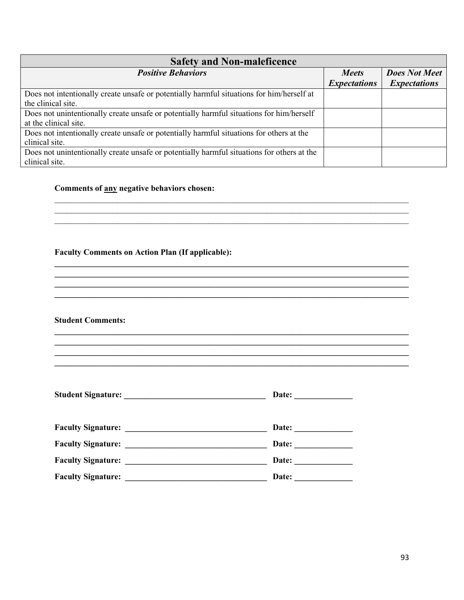| <b>Safety and Non-maleficence</b>                                                          |                     |                      |  |
|--------------------------------------------------------------------------------------------|---------------------|----------------------|--|
| <b>Positive Behaviors</b>                                                                  | <b>Meets</b>        | <b>Does Not Meet</b> |  |
|                                                                                            | <b>Expectations</b> | <b>Expectations</b>  |  |
| Does not intentionally create unsafe or potentially harmful situations for him/herself at  |                     |                      |  |
| the clinical site.                                                                         |                     |                      |  |
| Does not unintentionally create unsafe or potentially harmful situations for him/herself   |                     |                      |  |
| at the clinical site.                                                                      |                     |                      |  |
| Does not intentionally create unsafe or potentially harmful situations for others at the   |                     |                      |  |
| clinical site.                                                                             |                     |                      |  |
| Does not unintentionally create unsafe or potentially harmful situations for others at the |                     |                      |  |
| clinical site.                                                                             |                     |                      |  |

 $\mathcal{L}_\text{max}$  , and the contract of the contract of the contract of the contract of the contract of the contract of  $\_$  , and the set of the set of the set of the set of the set of the set of the set of the set of the set of the set of the set of the set of the set of the set of the set of the set of the set of the set of the set of th

**\_\_\_\_\_\_\_\_\_\_\_\_\_\_\_\_\_\_\_\_\_\_\_\_\_\_\_\_\_\_\_\_\_\_\_\_\_\_\_\_\_\_\_\_\_\_\_\_\_\_\_\_\_\_\_\_\_\_\_\_\_\_\_\_\_\_\_\_\_\_\_\_\_\_\_\_\_\_\_\_\_\_\_\_\_ \_\_\_\_\_\_\_\_\_\_\_\_\_\_\_\_\_\_\_\_\_\_\_\_\_\_\_\_\_\_\_\_\_\_\_\_\_\_\_\_\_\_\_\_\_\_\_\_\_\_\_\_\_\_\_\_\_\_\_\_\_\_\_\_\_\_\_\_\_\_\_\_\_\_\_\_\_\_\_\_\_\_\_\_\_ \_\_\_\_\_\_\_\_\_\_\_\_\_\_\_\_\_\_\_\_\_\_\_\_\_\_\_\_\_\_\_\_\_\_\_\_\_\_\_\_\_\_\_\_\_\_\_\_\_\_\_\_\_\_\_\_\_\_\_\_\_\_\_\_\_\_\_\_\_\_\_\_\_\_\_\_\_\_\_\_\_\_\_\_\_ \_\_\_\_\_\_\_\_\_\_\_\_\_\_\_\_\_\_\_\_\_\_\_\_\_\_\_\_\_\_\_\_\_\_\_\_\_\_\_\_\_\_\_\_\_\_\_\_\_\_\_\_\_\_\_\_\_\_\_\_\_\_\_\_\_\_\_\_\_\_\_\_\_\_\_\_\_\_\_\_\_\_\_\_\_** 

**\_\_\_\_\_\_\_\_\_\_\_\_\_\_\_\_\_\_\_\_\_\_\_\_\_\_\_\_\_\_\_\_\_\_\_\_\_\_\_\_\_\_\_\_\_\_\_\_\_\_\_\_\_\_\_\_\_\_\_\_\_\_\_\_\_\_\_\_\_\_\_\_\_\_\_\_\_\_\_\_\_\_\_\_\_ \_\_\_\_\_\_\_\_\_\_\_\_\_\_\_\_\_\_\_\_\_\_\_\_\_\_\_\_\_\_\_\_\_\_\_\_\_\_\_\_\_\_\_\_\_\_\_\_\_\_\_\_\_\_\_\_\_\_\_\_\_\_\_\_\_\_\_\_\_\_\_\_\_\_\_\_\_\_\_\_\_\_\_\_\_**

**\_\_\_\_\_\_\_\_\_\_\_\_\_\_\_\_\_\_\_\_\_\_\_\_\_\_\_\_\_\_\_\_\_\_\_\_\_\_\_\_\_\_\_\_\_\_\_\_\_\_\_\_\_\_\_\_\_\_\_\_\_\_\_\_\_\_\_\_\_\_\_\_\_\_\_\_\_\_\_\_\_\_\_\_\_** 

**\_\_\_\_\_\_\_\_\_\_\_\_\_\_\_\_\_\_\_\_\_\_\_\_\_\_\_\_\_\_\_\_\_\_\_\_\_\_\_\_\_\_\_\_\_\_\_\_\_\_\_\_\_\_\_\_\_\_\_\_\_\_\_\_\_\_\_\_\_\_\_\_\_\_\_\_\_\_\_\_\_\_\_\_\_**

\_\_\_\_\_\_\_\_\_\_\_\_\_\_\_\_\_\_\_\_\_\_\_\_\_\_\_\_\_\_\_\_\_\_\_\_\_\_\_\_\_\_\_\_\_\_\_\_\_\_\_\_\_\_\_\_\_\_\_\_\_\_\_\_\_\_\_\_\_\_\_\_\_\_\_\_\_\_\_\_\_\_\_\_\_

#### **Comments of any negative behaviors chosen:**

#### **Faculty Comments on Action Plan (If applicable):**

#### **Student Comments:**

|                                                                                                                                                    | Date: |
|----------------------------------------------------------------------------------------------------------------------------------------------------|-------|
|                                                                                                                                                    |       |
| <b>Faculty Signature:</b>                                                                                                                          | Date: |
|                                                                                                                                                    | Date: |
| <b>Faculty Signature:</b><br><u> 1990 - Johann Barbara, martin amerikan basal dan berasal dalam basal dalam basal dalam basal dalam basal dala</u> | Date: |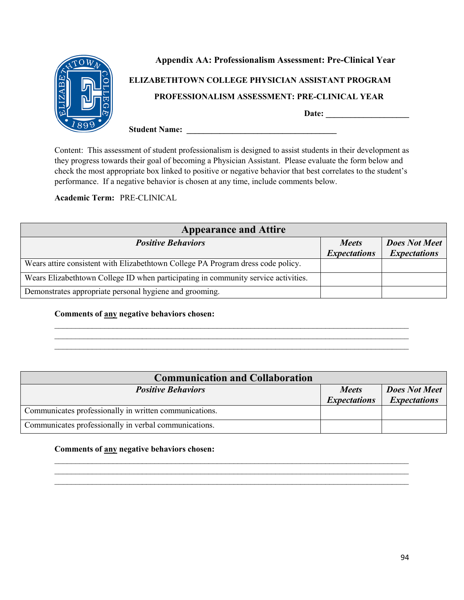

Content: This assessment of student professionalism is designed to assist students in their development as they progress towards their goal of becoming a Physician Assistant. Please evaluate the form below and check the most appropriate box linked to positive or negative behavior that best correlates to the student's performance. If a negative behavior is chosen at any time, include comments below.

**Academic Term:** PRE-CLINICAL

| <b>Appearance and Attire</b>                                                       |                     |                      |  |  |
|------------------------------------------------------------------------------------|---------------------|----------------------|--|--|
| <b>Positive Behaviors</b>                                                          | <i>Meets</i>        | <b>Does Not Meet</b> |  |  |
|                                                                                    | <b>Expectations</b> | <b>Expectations</b>  |  |  |
| Wears attire consistent with Elizabethtown College PA Program dress code policy.   |                     |                      |  |  |
| Wears Elizabethtown College ID when participating in community service activities. |                     |                      |  |  |
| Demonstrates appropriate personal hygiene and grooming.                            |                     |                      |  |  |

#### **Comments of any negative behaviors chosen:**

| <b>Communication and Collaboration</b>                 |                     |                      |
|--------------------------------------------------------|---------------------|----------------------|
| <b>Positive Behaviors</b>                              | <i>Meets</i>        | <b>Does Not Meet</b> |
|                                                        | <b>Expectations</b> | <b>Expectations</b>  |
| Communicates professionally in written communications. |                     |                      |
| Communicates professionally in verbal communications.  |                     |                      |

 $\_$  , and the set of the set of the set of the set of the set of the set of the set of the set of the set of the set of the set of the set of the set of the set of the set of the set of the set of the set of the set of th \_\_\_\_\_\_\_\_\_\_\_\_\_\_\_\_\_\_\_\_\_\_\_\_\_\_\_\_\_\_\_\_\_\_\_\_\_\_\_\_\_\_\_\_\_\_\_\_\_\_\_\_\_\_\_\_\_\_\_\_\_\_\_\_\_\_\_\_\_\_\_\_\_\_\_\_\_\_\_\_\_\_\_\_\_  $\_$  , and the contribution of the contribution of the contribution of the contribution of  $\mathcal{L}_\text{max}$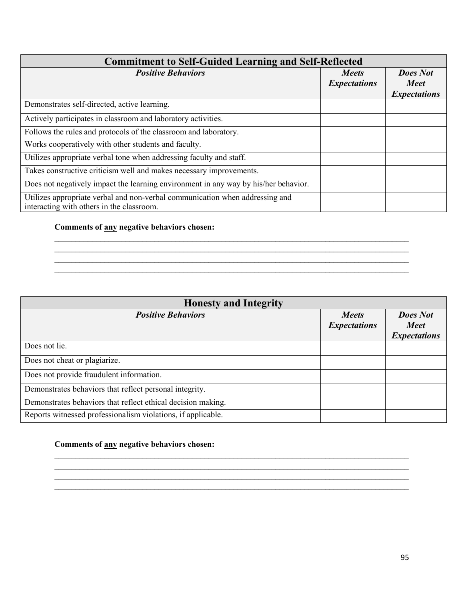| <b>Commitment to Self-Guided Learning and Self-Reflected</b>                                                              |                                     |                                                       |
|---------------------------------------------------------------------------------------------------------------------------|-------------------------------------|-------------------------------------------------------|
| <b>Positive Behaviors</b>                                                                                                 | <b>Meets</b><br><b>Expectations</b> | <b>Does Not</b><br><b>Meet</b><br><b>Expectations</b> |
| Demonstrates self-directed, active learning.                                                                              |                                     |                                                       |
| Actively participates in classroom and laboratory activities.                                                             |                                     |                                                       |
| Follows the rules and protocols of the classroom and laboratory.                                                          |                                     |                                                       |
| Works cooperatively with other students and faculty.                                                                      |                                     |                                                       |
| Utilizes appropriate verbal tone when addressing faculty and staff.                                                       |                                     |                                                       |
| Takes constructive criticism well and makes necessary improvements.                                                       |                                     |                                                       |
| Does not negatively impact the learning environment in any way by his/her behavior.                                       |                                     |                                                       |
| Utilizes appropriate verbal and non-verbal communication when addressing and<br>interacting with others in the classroom. |                                     |                                                       |

 $\_$  , and the set of the set of the set of the set of the set of the set of the set of the set of the set of the set of the set of the set of the set of the set of the set of the set of the set of the set of the set of th  $\_$  , and the set of the set of the set of the set of the set of the set of the set of the set of the set of the set of the set of the set of the set of the set of the set of the set of the set of the set of the set of th  $\mathcal{L}_\text{max}$  , and the contract of the contract of the contract of the contract of the contract of the contract of  $\_$  , and the contribution of the contribution of the contribution of the contribution of  $\mathcal{L}_\text{max}$ 

#### **Comments of any negative behaviors chosen:**

#### **Honesty and Integrity** *Positive Behaviors Meets Expectations Does Not Meet Expectations* Does not lie. Does not cheat or plagiarize. Does not provide fraudulent information. Demonstrates behaviors that reflect personal integrity. Demonstrates behaviors that reflect ethical decision making. Reports witnessed professionalism violations, if applicable.

 $\_$  , and the set of the set of the set of the set of the set of the set of the set of the set of the set of the set of the set of the set of the set of the set of the set of the set of the set of the set of the set of th \_\_\_\_\_\_\_\_\_\_\_\_\_\_\_\_\_\_\_\_\_\_\_\_\_\_\_\_\_\_\_\_\_\_\_\_\_\_\_\_\_\_\_\_\_\_\_\_\_\_\_\_\_\_\_\_\_\_\_\_\_\_\_\_\_\_\_\_\_\_\_\_\_\_\_\_\_\_\_\_\_\_\_\_\_  $\mathcal{L}_\text{max}$  , and the contract of the contract of the contract of the contract of the contract of the contract of  $\_$  , and the contribution of the contribution of the contribution of the contribution of  $\mathcal{L}_\text{max}$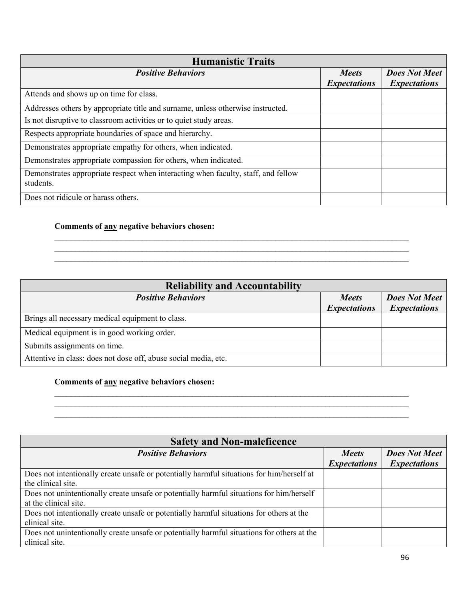| <b>Humanistic Traits</b>                                                                       |                                     |                                             |  |  |
|------------------------------------------------------------------------------------------------|-------------------------------------|---------------------------------------------|--|--|
| <b>Positive Behaviors</b>                                                                      | <b>Meets</b><br><b>Expectations</b> | <b>Does Not Meet</b><br><b>Expectations</b> |  |  |
| Attends and shows up on time for class.                                                        |                                     |                                             |  |  |
| Addresses others by appropriate title and surname, unless otherwise instructed.                |                                     |                                             |  |  |
| Is not disruptive to classroom activities or to quiet study areas.                             |                                     |                                             |  |  |
| Respects appropriate boundaries of space and hierarchy.                                        |                                     |                                             |  |  |
| Demonstrates appropriate empathy for others, when indicated.                                   |                                     |                                             |  |  |
| Demonstrates appropriate compassion for others, when indicated.                                |                                     |                                             |  |  |
| Demonstrates appropriate respect when interacting when faculty, staff, and fellow<br>students. |                                     |                                             |  |  |
| Does not ridicule or harass others.                                                            |                                     |                                             |  |  |

### **Comments of any negative behaviors chosen:**

| <b>Reliability and Accountability</b>                           |                     |                      |
|-----------------------------------------------------------------|---------------------|----------------------|
| <b>Positive Behaviors</b>                                       | <b>Meets</b>        | <b>Does Not Meet</b> |
|                                                                 | <b>Expectations</b> | <b>Expectations</b>  |
| Brings all necessary medical equipment to class.                |                     |                      |
| Medical equipment is in good working order.                     |                     |                      |
| Submits assignments on time.                                    |                     |                      |
| Attentive in class: does not dose off, abuse social media, etc. |                     |                      |

 $\mathcal{L}_\text{max}$  , and the contract of the contract of the contract of the contract of the contract of the contract of

\_\_\_\_\_\_\_\_\_\_\_\_\_\_\_\_\_\_\_\_\_\_\_\_\_\_\_\_\_\_\_\_\_\_\_\_\_\_\_\_\_\_\_\_\_\_\_\_\_\_\_\_\_\_\_\_\_\_\_\_\_\_\_\_\_\_\_\_\_\_\_\_\_\_\_\_\_\_\_\_\_\_\_\_\_

 $\_$  , and the set of the set of the set of the set of the set of the set of the set of the set of the set of the set of the set of the set of the set of the set of the set of the set of the set of the set of the set of th

\_\_\_\_\_\_\_\_\_\_\_\_\_\_\_\_\_\_\_\_\_\_\_\_\_\_\_\_\_\_\_\_\_\_\_\_\_\_\_\_\_\_\_\_\_\_\_\_\_\_\_\_\_\_\_\_\_\_\_\_\_\_\_\_\_\_\_\_\_\_\_\_\_\_\_\_\_\_\_\_\_\_\_\_\_

 $\_$  , and the set of the set of the set of the set of the set of the set of the set of the set of the set of the set of the set of the set of the set of the set of the set of the set of the set of the set of the set of th

| <b>Safety and Non-maleficence</b>                                                                                 |                                     |                                             |  |  |
|-------------------------------------------------------------------------------------------------------------------|-------------------------------------|---------------------------------------------|--|--|
| <b>Positive Behaviors</b>                                                                                         | <b>Meets</b><br><b>Expectations</b> | <b>Does Not Meet</b><br><b>Expectations</b> |  |  |
| Does not intentionally create unsafe or potentially harmful situations for him/herself at<br>the clinical site.   |                                     |                                             |  |  |
| Does not unintentionally create unsafe or potentially harmful situations for him/herself<br>at the clinical site. |                                     |                                             |  |  |
| Does not intentionally create unsafe or potentially harmful situations for others at the<br>clinical site.        |                                     |                                             |  |  |
| Does not unintentionally create unsafe or potentially harmful situations for others at the<br>clinical site.      |                                     |                                             |  |  |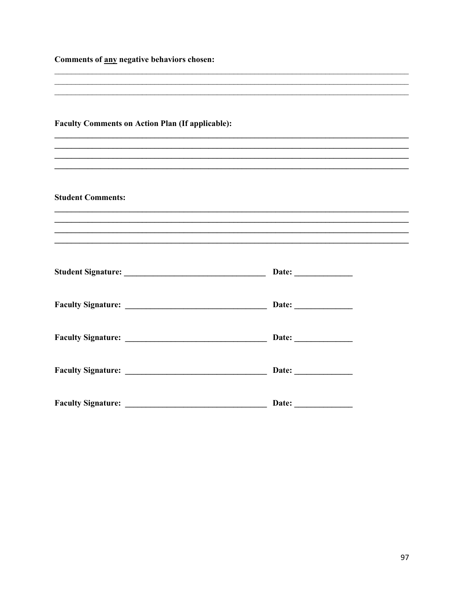| Comments of any negative behaviors chosen: |  |  |  |
|--------------------------------------------|--|--|--|
|                                            |  |  |  |

| <b>Faculty Comments on Action Plan (If applicable):</b> |                                                                                   |  |
|---------------------------------------------------------|-----------------------------------------------------------------------------------|--|
|                                                         | ,我们也不能在这里的人,我们也不能在这里的人,我们也不能不能不能不能不能不能不能不能不能不能不能不能。""我们的人,我们也不能不能不能不能不能不能不能不能不能不  |  |
| <b>Student Comments:</b>                                |                                                                                   |  |
|                                                         | ,我们也不能在这里的人,我们也不能在这里的人,我们也不能在这里的人,我们也不能在这里的人,我们也不能在这里的人,我们也不能在这里的人,我们也不能在这里的人,我们也 |  |
|                                                         |                                                                                   |  |
|                                                         | Date: <u>________________</u>                                                     |  |
|                                                         |                                                                                   |  |
|                                                         |                                                                                   |  |
|                                                         |                                                                                   |  |
|                                                         |                                                                                   |  |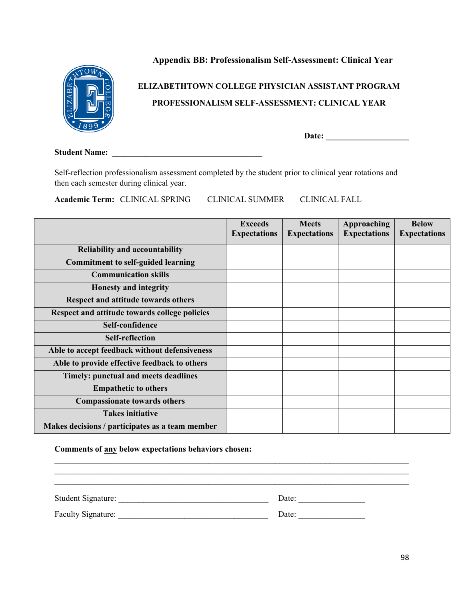### **Appendix BB: Professionalism Self-Assessment: Clinical Year**



# **ELIZABETHTOWN COLLEGE PHYSICIAN ASSISTANT PROGRAM PROFESSIONALISM SELF-ASSESSMENT: CLINICAL YEAR**

**Date: \_\_\_\_\_\_\_\_\_\_\_\_\_\_\_\_\_\_\_\_** 

**Student Name:**  $\blacksquare$ 

Self-reflection professionalism assessment completed by the student prior to clinical year rotations and then each semester during clinical year.

**Academic Term:** CLINICAL SPRING CLINICAL SUMMER CLINICAL FALL

|                                                 | <b>Exceeds</b><br><b>Expectations</b> | <b>Meets</b><br><b>Expectations</b> | Approaching<br><b>Expectations</b> | <b>Below</b><br><b>Expectations</b> |
|-------------------------------------------------|---------------------------------------|-------------------------------------|------------------------------------|-------------------------------------|
| <b>Reliability and accountability</b>           |                                       |                                     |                                    |                                     |
| <b>Commitment to self-guided learning</b>       |                                       |                                     |                                    |                                     |
| <b>Communication skills</b>                     |                                       |                                     |                                    |                                     |
| <b>Honesty and integrity</b>                    |                                       |                                     |                                    |                                     |
| Respect and attitude towards others             |                                       |                                     |                                    |                                     |
| Respect and attitude towards college policies   |                                       |                                     |                                    |                                     |
| Self-confidence                                 |                                       |                                     |                                    |                                     |
| <b>Self-reflection</b>                          |                                       |                                     |                                    |                                     |
| Able to accept feedback without defensiveness   |                                       |                                     |                                    |                                     |
| Able to provide effective feedback to others    |                                       |                                     |                                    |                                     |
| Timely: punctual and meets deadlines            |                                       |                                     |                                    |                                     |
| <b>Empathetic to others</b>                     |                                       |                                     |                                    |                                     |
| <b>Compassionate towards others</b>             |                                       |                                     |                                    |                                     |
| <b>Takes initiative</b>                         |                                       |                                     |                                    |                                     |
| Makes decisions / participates as a team member |                                       |                                     |                                    |                                     |

#### **Comments of any below expectations behaviors chosen:**

| <b>Student Signature:</b> | Date: |
|---------------------------|-------|
| Faculty Signature:        | Date: |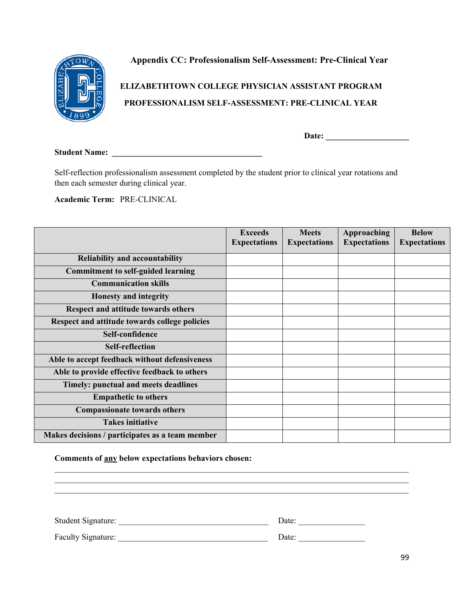

**Appendix CC: Professionalism Self-Assessment: Pre-Clinical Year**

**ELIZABETHTOWN COLLEGE PHYSICIAN ASSISTANT PROGRAM PROFESSIONALISM SELF-ASSESSMENT: PRE-CLINICAL YEAR**

**Date: \_\_\_\_\_\_\_\_\_\_\_\_\_\_\_\_\_\_\_\_** 

**Student Name: \_\_\_\_\_\_\_\_\_\_\_\_\_\_\_\_\_\_\_\_\_\_\_\_\_\_\_\_\_\_\_\_\_\_\_\_** 

Self-reflection professionalism assessment completed by the student prior to clinical year rotations and then each semester during clinical year.

**Academic Term:** PRE-CLINICAL

|                                                 | <b>Exceeds</b><br><b>Expectations</b> | <b>Meets</b><br><b>Expectations</b> | Approaching<br><b>Expectations</b> | <b>Below</b><br><b>Expectations</b> |
|-------------------------------------------------|---------------------------------------|-------------------------------------|------------------------------------|-------------------------------------|
|                                                 |                                       |                                     |                                    |                                     |
| <b>Reliability and accountability</b>           |                                       |                                     |                                    |                                     |
| <b>Commitment to self-guided learning</b>       |                                       |                                     |                                    |                                     |
| <b>Communication skills</b>                     |                                       |                                     |                                    |                                     |
| <b>Honesty and integrity</b>                    |                                       |                                     |                                    |                                     |
| Respect and attitude towards others             |                                       |                                     |                                    |                                     |
| Respect and attitude towards college policies   |                                       |                                     |                                    |                                     |
| Self-confidence                                 |                                       |                                     |                                    |                                     |
| <b>Self-reflection</b>                          |                                       |                                     |                                    |                                     |
| Able to accept feedback without defensiveness   |                                       |                                     |                                    |                                     |
| Able to provide effective feedback to others    |                                       |                                     |                                    |                                     |
| Timely: punctual and meets deadlines            |                                       |                                     |                                    |                                     |
| <b>Empathetic to others</b>                     |                                       |                                     |                                    |                                     |
| <b>Compassionate towards others</b>             |                                       |                                     |                                    |                                     |
| <b>Takes initiative</b>                         |                                       |                                     |                                    |                                     |
| Makes decisions / participates as a team member |                                       |                                     |                                    |                                     |

#### **Comments of any below expectations behaviors chosen:**

| <b>Student Signature:</b> | Date: |  |
|---------------------------|-------|--|
| Faculty Signature:        | Date: |  |

 $\mathcal{L}_\text{max}$  , and the contract of the contract of the contract of the contract of the contract of the contract of

 $\_$  , and the contribution of the contribution of the contribution of the contribution of  $\mathcal{L}_\text{max}$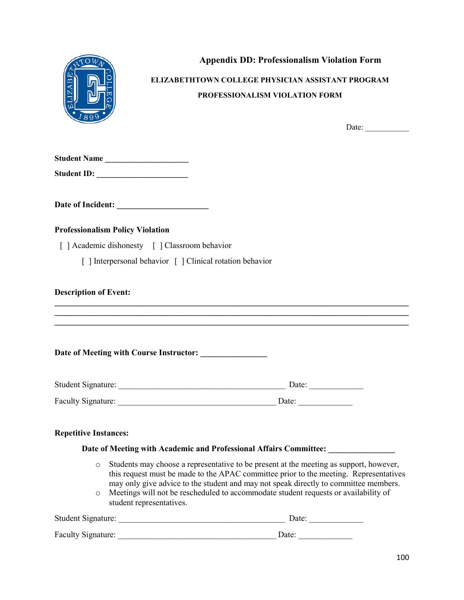

 **Appendix DD: Professionalism Violation Form**

**ELIZABETHTOWN COLLEGE PHYSICIAN ASSISTANT PROGRAM PROFESSIONALISM VIOLATION FORM**

Date:

**Student ID: \_\_\_\_\_\_\_\_\_\_\_\_\_\_\_\_\_\_\_\_\_\_\_**

**Date of Incident: \_\_\_\_\_\_\_\_\_\_\_\_\_\_\_\_\_\_\_\_\_\_**

#### **Professionalism Policy Violation**

[ ] Academic dishonesty [ ] Classroom behavior

[ ] Interpersonal behavior [ ] Clinical rotation behavior

#### **Description of Event:**

#### **Date of Meeting with Course Instructor: \_\_\_\_\_\_\_\_\_\_\_\_\_\_\_\_**

| Student Signature: | Date: |
|--------------------|-------|
| Faculty Signature: | Date: |

**\_\_\_\_\_\_\_\_\_\_\_\_\_\_\_\_\_\_\_\_\_\_\_\_\_\_\_\_\_\_\_\_\_\_\_\_\_\_\_\_\_\_\_\_\_\_\_\_\_\_\_\_\_\_\_\_\_\_\_\_\_\_\_\_\_\_\_\_\_\_\_\_\_\_\_\_\_\_\_\_\_\_\_\_\_ \_\_\_\_\_\_\_\_\_\_\_\_\_\_\_\_\_\_\_\_\_\_\_\_\_\_\_\_\_\_\_\_\_\_\_\_\_\_\_\_\_\_\_\_\_\_\_\_\_\_\_\_\_\_\_\_\_\_\_\_\_\_\_\_\_\_\_\_\_\_\_\_\_\_\_\_\_\_\_\_\_\_\_\_\_ \_\_\_\_\_\_\_\_\_\_\_\_\_\_\_\_\_\_\_\_\_\_\_\_\_\_\_\_\_\_\_\_\_\_\_\_\_\_\_\_\_\_\_\_\_\_\_\_\_\_\_\_\_\_\_\_\_\_\_\_\_\_\_\_\_\_\_\_\_\_\_\_\_\_\_\_\_\_\_\_\_\_\_\_\_**

#### **Repetitive Instances:**

#### **Date of Meeting with Academic and Professional Affairs Committee: \_\_\_\_\_\_\_\_\_\_\_\_\_\_\_\_**

- o Students may choose a representative to be present at the meeting as support, however, this request must be made to the APAC committee prior to the meeting. Representatives may only give advice to the student and may not speak directly to committee members.
- o Meetings will not be rescheduled to accommodate student requests or availability of student representatives.

| <b>Student Signature:</b> | Date <sup>-</sup> |
|---------------------------|-------------------|
| Faculty Signature:        | Date:             |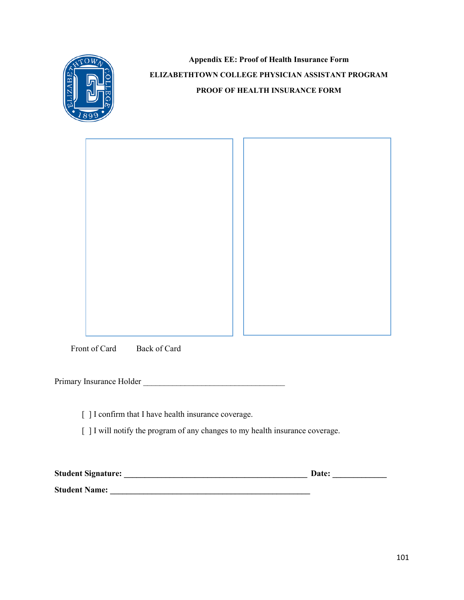

**Appendix EE: Proof of Health Insurance Form ELIZABETHTOWN COLLEGE PHYSICIAN ASSISTANT PROGRAM PROOF OF HEALTH INSURANCE FORM**

Front of Card Back of Card

Primary Insurance Holder \_\_\_\_\_\_\_\_\_\_\_\_\_\_\_\_\_\_\_\_\_\_\_\_\_\_\_\_\_\_\_\_\_\_

[ ] I confirm that I have health insurance coverage.

[ ] I will notify the program of any changes to my health insurance coverage.

| <b>Student Signature:</b> | Date: |
|---------------------------|-------|
| <b>Student Name:</b>      |       |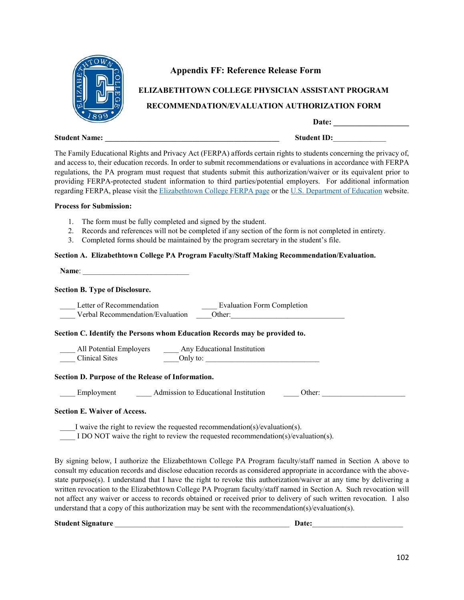

#### **Appendix FF: Reference Release Form**

# **ELIZABETHTOWN COLLEGE PHYSICIAN ASSISTANT PROGRAM**

#### **RECOMMENDATION/EVALUATION AUTHORIZATION FORM**

Date:

The Family Educational Rights and Privacy Act (FERPA) affords certain rights to students concerning the privacy of, and access to, their education records. In order to submit recommendations or evaluations in accordance with FERPA regulations, the PA program must request that students submit this authorization/waiver or its equivalent prior to providing FERPA-protected student information to third parties/potential employers. For additional information regarding FERPA, please visit the [Elizabethtown College FERPA page](https://www.etown.edu/offices/registration-records/privacy.aspx) or th[e U.S. Department of Education](http://www.ed.gov/policy/gen/guid/fpco/ferpa/index.html) website.

#### **Process for Submission:**

- 1. The form must be fully completed and signed by the student.
- 2. Records and references will not be completed if any section of the form is not completed in entirety.
- 3. Completed forms should be maintained by the program secretary in the student's file.

#### **Section A. Elizabethtown College PA Program Faculty/Staff Making Recommendation/Evaluation.**

Name:

#### **Section B. Type of Disclosure.**

| Letter of Recommendation<br>Verbal Recommendation/Evaluation                  | <b>Evaluation Form Completion</b><br>Other:    |
|-------------------------------------------------------------------------------|------------------------------------------------|
| Section C. Identify the Persons whom Education Records may be provided to.    |                                                |
| All Potential Employers _______ Any Educational Institution<br>Clinical Sites | Only to:                                       |
| Section D. Purpose of the Release of Information.                             |                                                |
| Employment                                                                    | Admission to Educational Institution<br>Other: |
| <b>Section E. Waiver of Access.</b>                                           |                                                |

\_\_\_\_I waive the right to review the requested recommendation(s)/evaluation(s).

I DO NOT waive the right to review the requested recommendation(s)/evaluation(s).

By signing below, I authorize the Elizabethtown College PA Program faculty/staff named in Section A above to consult my education records and disclose education records as considered appropriate in accordance with the abovestate purpose(s). I understand that I have the right to revoke this authorization/waiver at any time by delivering a written revocation to the Elizabethtown College PA Program faculty/staff named in Section A. Such revocation will not affect any waiver or access to records obtained or received prior to delivery of such written revocation. I also understand that a copy of this authorization may be sent with the recommendation(s)/evaluation(s).

**Student Signature** \_\_\_\_\_\_\_\_\_\_\_\_\_\_\_\_\_\_\_\_\_\_\_\_\_\_\_\_\_\_\_\_\_\_\_\_\_\_\_\_\_\_\_\_\_\_ **Date:**\_\_\_\_\_\_\_\_\_\_\_\_\_\_\_\_\_\_\_\_\_\_\_\_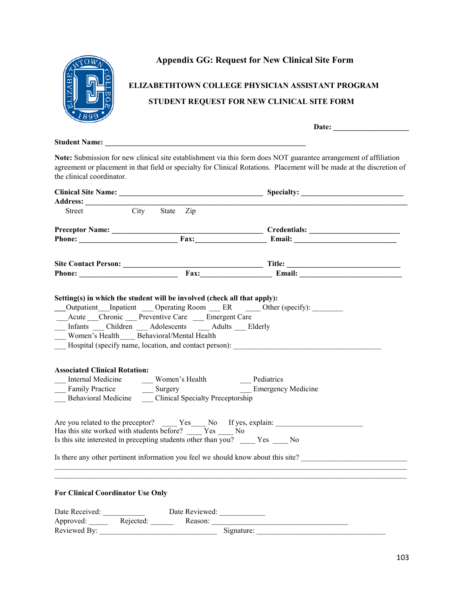

### **Appendix GG: Request for New Clinical Site Form**

# **ELIZABETHTOWN COLLEGE PHYSICIAN ASSISTANT PROGRAM STUDENT REQUEST FOR NEW CLINICAL SITE FORM**

**Date: \_\_\_\_\_\_\_\_\_\_\_\_\_\_\_\_\_\_\_\_**

#### **Student Name: \_\_\_\_\_\_\_\_\_\_\_\_\_\_\_\_\_\_\_\_\_\_\_\_\_\_\_\_\_\_\_\_\_\_\_\_\_\_\_\_\_\_\_\_\_\_\_\_\_\_\_\_\_**

**Note:** Submission for new clinical site establishment via this form does NOT guarantee arrangement of affiliation agreement or placement in that field or specialty for Clinical Rotations. Placement will be made at the discretion of the clinical coordinator.

| Street                                   | City State Zip                                                                                                                                                                                                            |                                                                                                                                                |  |
|------------------------------------------|---------------------------------------------------------------------------------------------------------------------------------------------------------------------------------------------------------------------------|------------------------------------------------------------------------------------------------------------------------------------------------|--|
|                                          |                                                                                                                                                                                                                           |                                                                                                                                                |  |
|                                          |                                                                                                                                                                                                                           |                                                                                                                                                |  |
|                                          |                                                                                                                                                                                                                           |                                                                                                                                                |  |
|                                          |                                                                                                                                                                                                                           |                                                                                                                                                |  |
|                                          | Setting(s) in which the student will be involved (check all that apply):<br>Acute __Chronic __ Preventive Care __ Emergent Care<br>Infants Children Adolescents Adults Elderly<br>Women's Health Behavioral/Mental Health | Outpatient Inpatient Operating Room ER Other (specify):<br>Hospital (specify name, location, and contact person): __________________________   |  |
| <b>Associated Clinical Rotation:</b>     | ___ Internal Medicine ____ Women's Health _____ Pediatrics<br>Family Practice _____ Surgery ______ Emergency Medicine<br>Behavioral Medicine Clinical Specialty Preceptorship                                             |                                                                                                                                                |  |
|                                          | Has this site worked with students before? Nes No<br>Is this site interested in precepting students other than you? Yes No                                                                                                | Are you related to the preceptor? Yes No If yes, explain:<br>Is there any other pertinent information you feel we should know about this site? |  |
|                                          |                                                                                                                                                                                                                           | ,我们也不能在这里的时候,我们也不能在这里的时候,我们也不能会在这里的时候,我们也不能会在这里的时候,我们也不能会在这里的时候,我们也不能会在这里的时候,我们也                                                               |  |
| <b>For Clinical Coordinator Use Only</b> |                                                                                                                                                                                                                           |                                                                                                                                                |  |
|                                          |                                                                                                                                                                                                                           |                                                                                                                                                |  |
|                                          |                                                                                                                                                                                                                           |                                                                                                                                                |  |
| Reviewed By:                             |                                                                                                                                                                                                                           | Signature:                                                                                                                                     |  |

103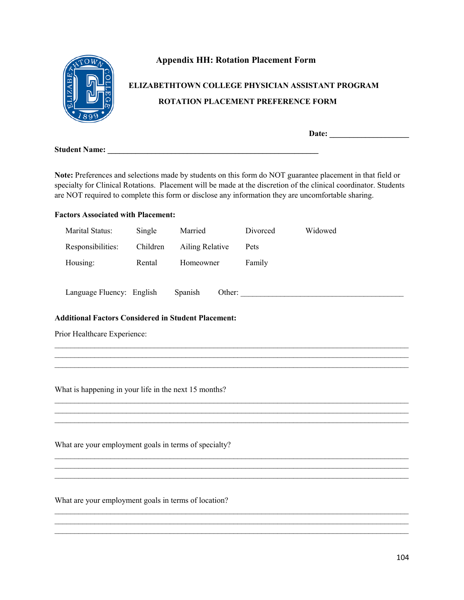

## **Appendix HH: Rotation Placement Form**

# **ELIZABETHTOWN COLLEGE PHYSICIAN ASSISTANT PROGRAM ROTATION PLACEMENT PREFERENCE FORM**

**Date: \_\_\_\_\_\_\_\_\_\_\_\_\_\_\_\_\_\_\_\_**

**Student Name: \_\_\_\_\_\_\_\_\_\_\_\_\_\_\_\_\_\_\_\_\_\_\_\_\_\_\_\_\_\_\_\_\_\_\_\_\_\_\_\_\_\_\_\_\_\_\_\_\_\_\_\_\_**

**Note:** Preferences and selections made by students on this form do NOT guarantee placement in that field or specialty for Clinical Rotations. Placement will be made at the discretion of the clinical coordinator. Students are NOT required to complete this form or disclose any information they are uncomfortable sharing.

### **Factors Associated with Placement:**

| Marital Status:                                            | Single   | Married         | Divorced | Widowed |  |  |  |  |  |
|------------------------------------------------------------|----------|-----------------|----------|---------|--|--|--|--|--|
| Responsibilities:                                          | Children | Ailing Relative | Pets     |         |  |  |  |  |  |
| Housing:                                                   | Rental   | Homeowner       | Family   |         |  |  |  |  |  |
| Language Fluency: English                                  |          | Spanish         |          | Other:  |  |  |  |  |  |
| <b>Additional Factors Considered in Student Placement:</b> |          |                 |          |         |  |  |  |  |  |
| Prior Healthcare Experience:                               |          |                 |          |         |  |  |  |  |  |
|                                                            |          |                 |          |         |  |  |  |  |  |
|                                                            |          |                 |          |         |  |  |  |  |  |
| What is happening in your life in the next 15 months?      |          |                 |          |         |  |  |  |  |  |
|                                                            |          |                 |          |         |  |  |  |  |  |
|                                                            |          |                 |          |         |  |  |  |  |  |
| What are your employment goals in terms of specialty?      |          |                 |          |         |  |  |  |  |  |
|                                                            |          |                 |          |         |  |  |  |  |  |
|                                                            |          |                 |          |         |  |  |  |  |  |
|                                                            |          |                 |          |         |  |  |  |  |  |

 $\mathcal{L}_\mathcal{L} = \mathcal{L}_\mathcal{L} = \mathcal{L}_\mathcal{L} = \mathcal{L}_\mathcal{L} = \mathcal{L}_\mathcal{L} = \mathcal{L}_\mathcal{L} = \mathcal{L}_\mathcal{L} = \mathcal{L}_\mathcal{L} = \mathcal{L}_\mathcal{L} = \mathcal{L}_\mathcal{L} = \mathcal{L}_\mathcal{L} = \mathcal{L}_\mathcal{L} = \mathcal{L}_\mathcal{L} = \mathcal{L}_\mathcal{L} = \mathcal{L}_\mathcal{L} = \mathcal{L}_\mathcal{L} = \mathcal{L}_\mathcal{L}$  $\mathcal{L}_\mathcal{L} = \mathcal{L}_\mathcal{L} = \mathcal{L}_\mathcal{L} = \mathcal{L}_\mathcal{L} = \mathcal{L}_\mathcal{L} = \mathcal{L}_\mathcal{L} = \mathcal{L}_\mathcal{L} = \mathcal{L}_\mathcal{L} = \mathcal{L}_\mathcal{L} = \mathcal{L}_\mathcal{L} = \mathcal{L}_\mathcal{L} = \mathcal{L}_\mathcal{L} = \mathcal{L}_\mathcal{L} = \mathcal{L}_\mathcal{L} = \mathcal{L}_\mathcal{L} = \mathcal{L}_\mathcal{L} = \mathcal{L}_\mathcal{L}$ 

What are your employment goals in terms of location?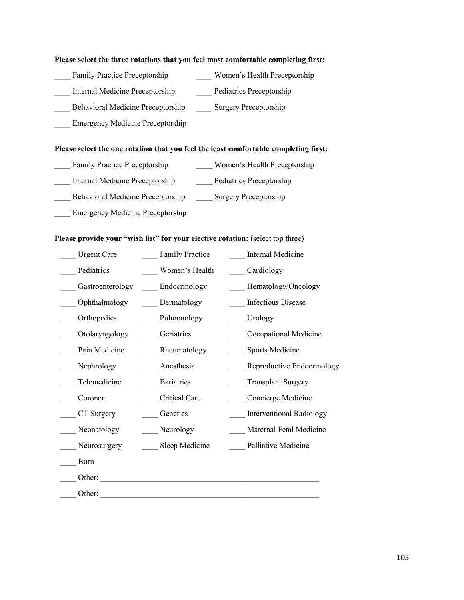#### **Please select the three rotations that you feel most comfortable completing first:**

- Family Practice Preceptorship Women's Health Preceptorship
- Internal Medicine Preceptorship Pediatrics Preceptorship
	-
- Behavioral Medicine Preceptorship Surgery Preceptorship
- Emergency Medicine Preceptorship

### **Please select the one rotation that you feel the least comfortable completing first:**

- Family Practice Preceptorship Women's Health Preceptorship
- \_\_\_\_ Internal Medicine Preceptorship \_\_\_\_ Pediatrics Preceptorship
- \_\_\_\_ Behavioral Medicine Preceptorship \_\_\_\_ Surgery Preceptorship
- Emergency Medicine Preceptorship

### Please provide your "wish list" for your elective rotation: (select top three)

| <b>Urgent Care</b> | <b>Family Practice</b> | Internal Medicine               |
|--------------------|------------------------|---------------------------------|
| Pediatrics         | Women's Health         | Cardiology                      |
| Gastroenterology   | Endocrinology          | Hematology/Oncology             |
| Ophthalmology      | Dermatology            | <b>Infectious Disease</b>       |
| Orthopedics        | Pulmonology            | Urology                         |
| Otolaryngology     | Geriatrics             | Occupational Medicine           |
| Pain Medicine      | Rheumatology           | <b>Sports Medicine</b>          |
| Nephrology         | Anesthesia             | Reproductive Endocrinology      |
| Telemedicine       | <b>Bariatrics</b>      | <b>Transplant Surgery</b>       |
| Coroner            | Critical Care          | Concierge Medicine              |
| CT Surgery         | Genetics               | <b>Interventional Radiology</b> |
| Neonatology        | Neurology              | Maternal Fetal Medicine         |
| Neurosurgery       | Sleep Medicine         | Palliative Medicine             |
| Burn               |                        |                                 |
| Other:             |                        |                                 |
| Other:             |                        |                                 |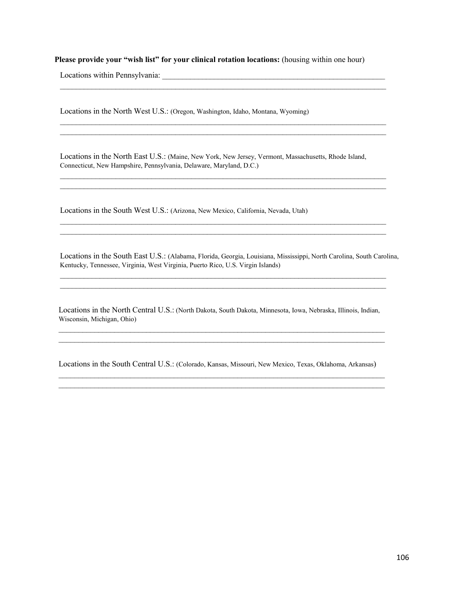**Please provide your "wish list" for your clinical rotation locations:** (housing within one hour)

 $\mathcal{L}_\mathcal{L} = \{ \mathcal{L}_\mathcal{L} = \{ \mathcal{L}_\mathcal{L} = \{ \mathcal{L}_\mathcal{L} = \{ \mathcal{L}_\mathcal{L} = \{ \mathcal{L}_\mathcal{L} = \{ \mathcal{L}_\mathcal{L} = \{ \mathcal{L}_\mathcal{L} = \{ \mathcal{L}_\mathcal{L} = \{ \mathcal{L}_\mathcal{L} = \{ \mathcal{L}_\mathcal{L} = \{ \mathcal{L}_\mathcal{L} = \{ \mathcal{L}_\mathcal{L} = \{ \mathcal{L}_\mathcal{L} = \{ \mathcal{L}_\mathcal{$ 

 $\mathcal{L}_\text{max}$  $\mathcal{L}_\mathcal{L} = \{ \mathcal{L}_\mathcal{L} = \{ \mathcal{L}_\mathcal{L} = \{ \mathcal{L}_\mathcal{L} = \{ \mathcal{L}_\mathcal{L} = \{ \mathcal{L}_\mathcal{L} = \{ \mathcal{L}_\mathcal{L} = \{ \mathcal{L}_\mathcal{L} = \{ \mathcal{L}_\mathcal{L} = \{ \mathcal{L}_\mathcal{L} = \{ \mathcal{L}_\mathcal{L} = \{ \mathcal{L}_\mathcal{L} = \{ \mathcal{L}_\mathcal{L} = \{ \mathcal{L}_\mathcal{L} = \{ \mathcal{L}_\mathcal{$ 

 $\mathcal{L}_\text{max}$  and  $\mathcal{L}_\text{max}$  and  $\mathcal{L}_\text{max}$  and  $\mathcal{L}_\text{max}$  and  $\mathcal{L}_\text{max}$  and  $\mathcal{L}_\text{max}$  $\mathcal{L}_\text{max}$ 

 $\mathcal{L}_\mathcal{L} = \{ \mathcal{L}_\mathcal{L} = \{ \mathcal{L}_\mathcal{L} = \{ \mathcal{L}_\mathcal{L} = \{ \mathcal{L}_\mathcal{L} = \{ \mathcal{L}_\mathcal{L} = \{ \mathcal{L}_\mathcal{L} = \{ \mathcal{L}_\mathcal{L} = \{ \mathcal{L}_\mathcal{L} = \{ \mathcal{L}_\mathcal{L} = \{ \mathcal{L}_\mathcal{L} = \{ \mathcal{L}_\mathcal{L} = \{ \mathcal{L}_\mathcal{L} = \{ \mathcal{L}_\mathcal{L} = \{ \mathcal{L}_\mathcal{$ 

Locations within Pennsylvania: \_\_\_\_\_\_\_\_\_\_\_\_\_\_\_\_\_\_\_\_\_\_\_\_\_\_\_\_\_\_\_\_\_\_\_\_\_\_\_\_\_\_\_\_\_\_\_\_\_\_\_\_\_\_\_\_

Locations in the North West U.S.: (Oregon, Washington, Idaho, Montana, Wyoming)

Locations in the North East U.S.: (Maine, New York, New Jersey, Vermont, Massachusetts, Rhode Island, Connecticut, New Hampshire, Pennsylvania, Delaware, Maryland, D.C.)

Locations in the South West U.S.: (Arizona, New Mexico, California, Nevada, Utah)

Locations in the South East U.S.: (Alabama, Florida, Georgia, Louisiana, Mississippi, North Carolina, South Carolina, Kentucky, Tennessee, Virginia, West Virginia, Puerto Rico, U.S. Virgin Islands)

 $\mathcal{L}_\mathcal{L} = \{ \mathcal{L}_\mathcal{L} = \{ \mathcal{L}_\mathcal{L} = \{ \mathcal{L}_\mathcal{L} = \{ \mathcal{L}_\mathcal{L} = \{ \mathcal{L}_\mathcal{L} = \{ \mathcal{L}_\mathcal{L} = \{ \mathcal{L}_\mathcal{L} = \{ \mathcal{L}_\mathcal{L} = \{ \mathcal{L}_\mathcal{L} = \{ \mathcal{L}_\mathcal{L} = \{ \mathcal{L}_\mathcal{L} = \{ \mathcal{L}_\mathcal{L} = \{ \mathcal{L}_\mathcal{L} = \{ \mathcal{L}_\mathcal{$  $\mathcal{L}_\mathcal{L} = \{ \mathcal{L}_\mathcal{L} = \{ \mathcal{L}_\mathcal{L} = \{ \mathcal{L}_\mathcal{L} = \{ \mathcal{L}_\mathcal{L} = \{ \mathcal{L}_\mathcal{L} = \{ \mathcal{L}_\mathcal{L} = \{ \mathcal{L}_\mathcal{L} = \{ \mathcal{L}_\mathcal{L} = \{ \mathcal{L}_\mathcal{L} = \{ \mathcal{L}_\mathcal{L} = \{ \mathcal{L}_\mathcal{L} = \{ \mathcal{L}_\mathcal{L} = \{ \mathcal{L}_\mathcal{L} = \{ \mathcal{L}_\mathcal{$ 

Locations in the North Central U.S.: (North Dakota, South Dakota, Minnesota, Iowa, Nebraska, Illinois, Indian, Wisconsin, Michigan, Ohio) \_\_\_\_\_\_\_\_\_\_\_\_\_\_\_\_\_\_\_\_\_\_\_\_\_\_\_\_\_\_\_\_\_\_\_\_\_\_\_\_\_\_\_\_\_\_\_\_\_\_\_\_\_\_\_\_\_\_\_\_\_\_\_\_\_\_\_\_\_\_\_\_\_\_\_\_\_\_\_\_\_\_

\_\_\_\_\_\_\_\_\_\_\_\_\_\_\_\_\_\_\_\_\_\_\_\_\_\_\_\_\_\_\_\_\_\_\_\_\_\_\_\_\_\_\_\_\_\_\_\_\_\_\_\_\_\_\_\_\_\_\_\_\_\_\_\_\_\_\_\_\_\_\_\_\_\_\_\_\_\_\_\_\_\_

Locations in the South Central U.S.: (Colorado, Kansas, Missouri, New Mexico, Texas, Oklahoma, Arkansas) \_\_\_\_\_\_\_\_\_\_\_\_\_\_\_\_\_\_\_\_\_\_\_\_\_\_\_\_\_\_\_\_\_\_\_\_\_\_\_\_\_\_\_\_\_\_\_\_\_\_\_\_\_\_\_\_\_\_\_\_\_\_\_\_\_\_\_\_\_\_\_\_\_\_\_\_\_\_\_\_\_\_

\_\_\_\_\_\_\_\_\_\_\_\_\_\_\_\_\_\_\_\_\_\_\_\_\_\_\_\_\_\_\_\_\_\_\_\_\_\_\_\_\_\_\_\_\_\_\_\_\_\_\_\_\_\_\_\_\_\_\_\_\_\_\_\_\_\_\_\_\_\_\_\_\_\_\_\_\_\_\_\_\_\_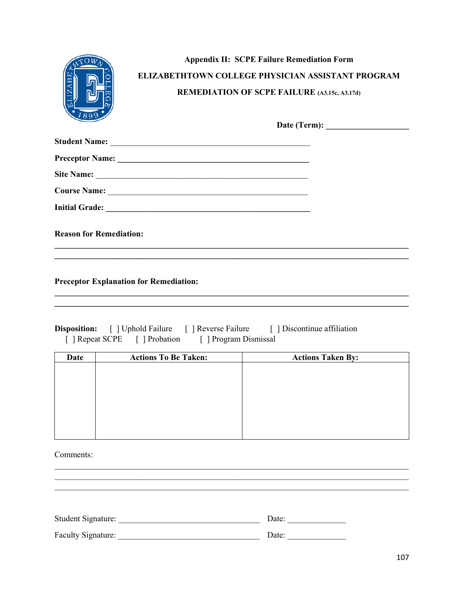|                                | <b>Appendix II: SCPE Failure Remediation Form</b><br><b>ELIZABETHTOWN COLLEGE PHYSICIAN ASSISTANT PROGRAM</b><br><b>REMEDIATION OF SCPE FAILURE (A3.15c, A3.17d)</b> |
|--------------------------------|----------------------------------------------------------------------------------------------------------------------------------------------------------------------|
| 899                            |                                                                                                                                                                      |
|                                |                                                                                                                                                                      |
|                                |                                                                                                                                                                      |
|                                | Site Name:                                                                                                                                                           |
|                                |                                                                                                                                                                      |
|                                |                                                                                                                                                                      |
| <b>Reason for Remediation:</b> |                                                                                                                                                                      |

**Preceptor Explanation for Remediation:** 

| <b>Disposition:</b> [ ] Uphold Failure [ ] Reverse Failure |                               |                       | [] Discontinue affiliation |
|------------------------------------------------------------|-------------------------------|-----------------------|----------------------------|
|                                                            | [ ] Repeat SCPE [ ] Probation | [ ] Program Dismissal |                            |

| <b>Actions To Be Taken:</b> | <b>Actions Taken By:</b> |
|-----------------------------|--------------------------|
|                             |                          |
|                             |                          |
|                             |                          |
|                             |                          |
|                             |                          |
|                             |                          |
|                             |                          |
|                             |                          |

<u> 1989 - Johann Stoff, amerikansk politiker (d. 1989)</u>

Comments:

| Student Signature: | Date: |
|--------------------|-------|
| Faculty Signature: | Date: |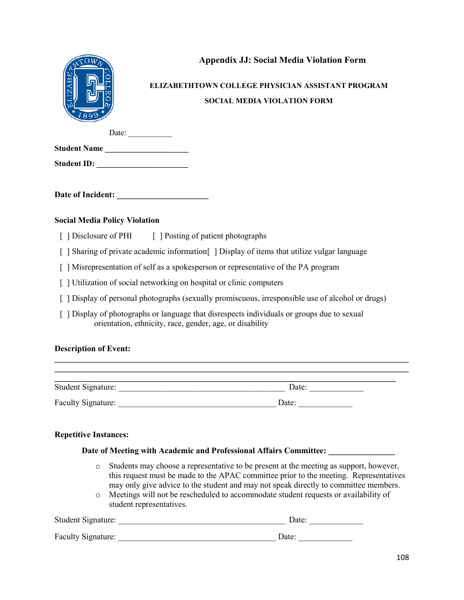

## **Appendix JJ: Social Media Violation Form**

# **ELIZABETHTOWN COLLEGE PHYSICIAN ASSISTANT PROGRAM SOCIAL MEDIA VIOLATION FORM**

Date:

| <b>Student Name</b> |  |  |
|---------------------|--|--|
|                     |  |  |
|                     |  |  |

Student ID:

Date of Incident:

## **Social Media Policy Violation**

- [ ] Disclosure of PHI [ ] Posting of patient photographs
- [ ] Sharing of private academic information [ ] Display of items that utilize vulgar language
- [ ] Misrepresentation of self as a spokesperson or representative of the PA program
- [ ] Utilization of social networking on hospital or clinic computers
- [ ] Display of personal photographs (sexually promiscuous, irresponsible use of alcohol or drugs)
- [ ] Display of photographs or language that disrespects individuals or groups due to sexual orientation, ethnicity, race, gender, age, or disability

### **Description of Event:**

| <b>Student Signature:</b> | Date: |
|---------------------------|-------|
| Faculty Signature:        | Date: |

**\_\_\_\_\_\_\_\_\_\_\_\_\_\_\_\_\_\_\_\_\_\_\_\_\_\_\_\_\_\_\_\_\_\_\_\_\_\_\_\_\_\_\_\_\_\_\_\_\_\_\_\_\_\_\_\_\_\_\_\_\_\_\_\_\_\_\_\_\_\_\_\_\_\_\_\_\_\_\_\_\_\_\_\_\_ \_\_\_\_\_\_\_\_\_\_\_\_\_\_\_\_\_\_\_\_\_\_\_\_\_\_\_\_\_\_\_\_\_\_\_\_\_\_\_\_\_\_\_\_\_\_\_\_\_\_\_\_\_\_\_\_\_\_\_\_\_\_\_\_\_\_\_\_\_\_\_\_\_\_\_\_\_\_\_\_\_\_\_\_\_**

### **Repetitive Instances:**

### **Date of Meeting with Academic and Professional Affairs Committee: \_\_\_\_\_\_\_\_\_\_\_\_\_\_\_\_**

- o Students may choose a representative to be present at the meeting as support, however, this request must be made to the APAC committee prior to the meeting. Representatives may only give advice to the student and may not speak directly to committee members.
- o Meetings will not be rescheduled to accommodate student requests or availability of student representatives.

| Student Signature: | Date: |
|--------------------|-------|
| Faculty Signature: | Date: |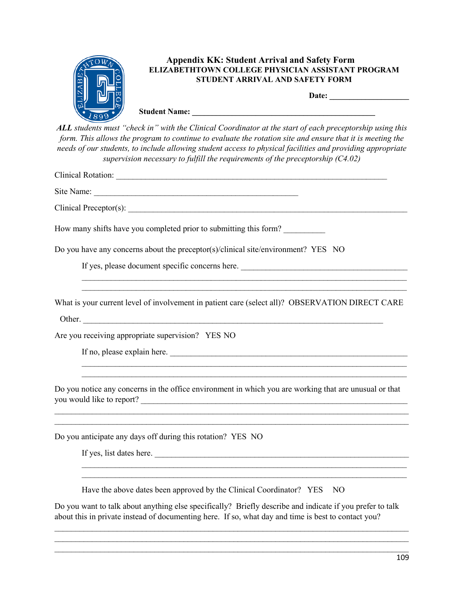

*ALL students must "check in" with the Clinical Coordinator at the start of each preceptorship using this form. This allows the program to continue to evaluate the rotation site and ensure that it is meeting the needs of our students, to include allowing student access to physical facilities and providing appropriate supervision necessary to fulfill the requirements of the preceptorship (C4.02)*

| Clinical Rotation: Manual According to the Clinical Rotation:                                                                                                                               |
|---------------------------------------------------------------------------------------------------------------------------------------------------------------------------------------------|
|                                                                                                                                                                                             |
|                                                                                                                                                                                             |
| How many shifts have you completed prior to submitting this form?                                                                                                                           |
| Do you have any concerns about the preceptor(s)/clinical site/environment? YES NO                                                                                                           |
| If yes, please document specific concerns here.                                                                                                                                             |
| What is your current level of involvement in patient care (select all)? OBSERVATION DIRECT CARE                                                                                             |
| Are you receiving appropriate supervision? YES NO                                                                                                                                           |
|                                                                                                                                                                                             |
| ,我们也不能在这里的人,我们也不能在这里的人,我们也不能在这里的人,我们也不能在这里的人,我们也不能在这里的人,我们也不能在这里的人,我们也不能在这里的人,我们也<br>Do you notice any concerns in the office environment in which you are working that are unusual or that |
| Do you anticipate any days off during this rotation? YES NO                                                                                                                                 |
| If yes, list dates here.                                                                                                                                                                    |

Have the above dates been approved by the Clinical Coordinator? YES NO

Do you want to talk about anything else specifically? Briefly describe and indicate if you prefer to talk about this in private instead of documenting here. If so, what day and time is best to contact you?

 $\_$  , and the contribution of the contribution of the contribution of the contribution of  $\mathcal{L}_\text{max}$ \_\_\_\_\_\_\_\_\_\_\_\_\_\_\_\_\_\_\_\_\_\_\_\_\_\_\_\_\_\_\_\_\_\_\_\_\_\_\_\_\_\_\_\_\_\_\_\_\_\_\_\_\_\_\_\_\_\_\_\_\_\_\_\_\_\_\_\_\_\_\_\_\_\_\_\_\_\_\_\_\_\_\_\_\_  $\_$  , and the contribution of the contribution of the contribution of the contribution of  $\mathcal{L}_\text{max}$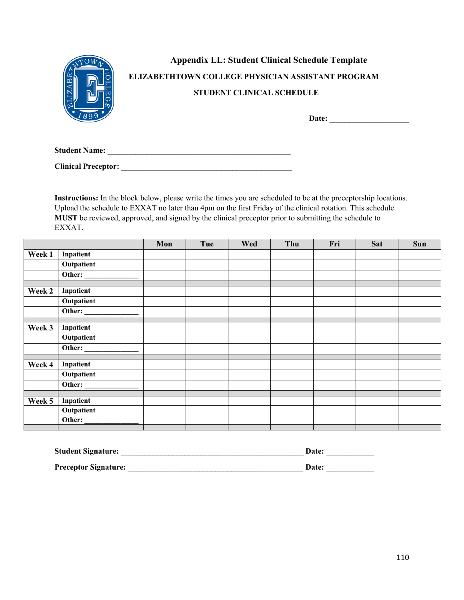|                      | <b>Appendix LL: Student Clinical Schedule Template</b>   |
|----------------------|----------------------------------------------------------|
|                      | <b>ELIZABETHTOWN COLLEGE PHYSICIAN ASSISTANT PROGRAM</b> |
|                      | <b>STUDENT CLINICAL SCHEDULE</b>                         |
|                      | Date:                                                    |
| <b>Student Name:</b> |                                                          |

**Instructions:** In the block below, please write the times you are scheduled to be at the preceptorship locations. Upload the schedule to EXXAT no later than 4pm on the first Friday of the clinical rotation. This schedule **MUST** be reviewed, approved, and signed by the clinical preceptor prior to submitting the schedule to EXXAT.

**Clinical Preceptor: \_\_\_\_\_\_\_\_\_\_\_\_\_\_\_\_\_\_\_\_\_\_\_\_\_\_\_\_\_\_\_\_\_\_\_\_\_\_\_\_\_\_\_** 

|        |                        | Mon | Tue | Wed | Thu | Fri | Sat | <b>Sun</b> |
|--------|------------------------|-----|-----|-----|-----|-----|-----|------------|
| Week 1 | Inpatient              |     |     |     |     |     |     |            |
|        | <b>Outpatient</b>      |     |     |     |     |     |     |            |
|        | Other:                 |     |     |     |     |     |     |            |
| Week 2 | Inpatient              |     |     |     |     |     |     |            |
|        | Outpatient             |     |     |     |     |     |     |            |
|        | Other:                 |     |     |     |     |     |     |            |
| Week 3 | Inpatient              |     |     |     |     |     |     |            |
|        | Outpatient             |     |     |     |     |     |     |            |
|        |                        |     |     |     |     |     |     |            |
| Week 4 | Inpatient              |     |     |     |     |     |     |            |
|        |                        |     |     |     |     |     |     |            |
|        | Outpatient             |     |     |     |     |     |     |            |
|        | Other: $\qquad \qquad$ |     |     |     |     |     |     |            |
|        |                        |     |     |     |     |     |     |            |
| Week 5 | Inpatient              |     |     |     |     |     |     |            |
|        | <b>Outpatient</b>      |     |     |     |     |     |     |            |
|        | Other: $\qquad \qquad$ |     |     |     |     |     |     |            |
|        |                        |     |     |     |     |     |     |            |

| <b>Student Signature:</b>   | <b>Date:</b> |  |
|-----------------------------|--------------|--|
| <b>Preceptor Signature:</b> | <b>Date:</b> |  |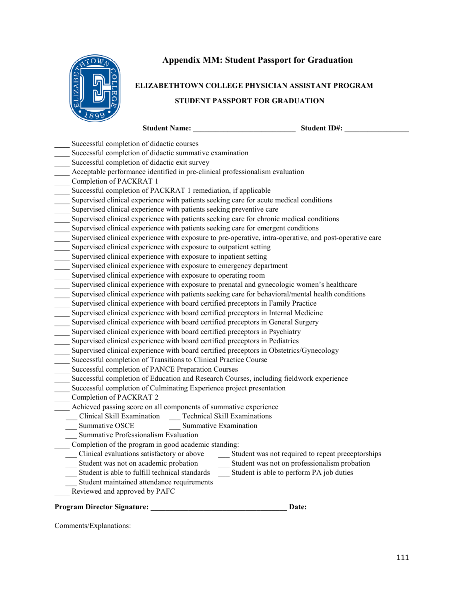

# **Appendix MM: Student Passport for Graduation**

# **ELIZABETHTOWN COLLEGE PHYSICIAN ASSISTANT PROGRAM STUDENT PASSPORT FOR GRADUATION**

| <b>Student Name:</b>                                                                                    | <b>Student ID#:</b>                               |
|---------------------------------------------------------------------------------------------------------|---------------------------------------------------|
| Successful completion of didactic courses                                                               |                                                   |
| Successful completion of didactic summative examination                                                 |                                                   |
| Successful completion of didactic exit survey                                                           |                                                   |
| Acceptable performance identified in pre-clinical professionalism evaluation                            |                                                   |
| Completion of PACKRAT 1                                                                                 |                                                   |
| Successful completion of PACKRAT 1 remediation, if applicable                                           |                                                   |
| Supervised clinical experience with patients seeking care for acute medical conditions                  |                                                   |
| Supervised clinical experience with patients seeking preventive care                                    |                                                   |
| Supervised clinical experience with patients seeking care for chronic medical conditions                |                                                   |
| Supervised clinical experience with patients seeking care for emergent conditions                       |                                                   |
| Supervised clinical experience with exposure to pre-operative, intra-operative, and post-operative care |                                                   |
| Supervised clinical experience with exposure to outpatient setting                                      |                                                   |
| Supervised clinical experience with exposure to inpatient setting                                       |                                                   |
| Supervised clinical experience with exposure to emergency department                                    |                                                   |
| Supervised clinical experience with exposure to operating room                                          |                                                   |
| Supervised clinical experience with exposure to prenatal and gynecologic women's healthcare             |                                                   |
| Supervised clinical experience with patients seeking care for behavioral/mental health conditions       |                                                   |
| Supervised clinical experience with board certified preceptors in Family Practice                       |                                                   |
| Supervised clinical experience with board certified preceptors in Internal Medicine                     |                                                   |
| Supervised clinical experience with board certified preceptors in General Surgery                       |                                                   |
| Supervised clinical experience with board certified preceptors in Psychiatry                            |                                                   |
| Supervised clinical experience with board certified preceptors in Pediatrics                            |                                                   |
| Supervised clinical experience with board certified preceptors in Obstetrics/Gynecology                 |                                                   |
| Successful completion of Transitions to Clinical Practice Course                                        |                                                   |
| Successful completion of PANCE Preparation Courses                                                      |                                                   |
| Successful completion of Education and Research Courses, including fieldwork experience                 |                                                   |
| Successful completion of Culminating Experience project presentation                                    |                                                   |
| Completion of PACKRAT 2                                                                                 |                                                   |
| Achieved passing score on all components of summative experience                                        |                                                   |
| Clinical Skill Examination Technical Skill Examinations                                                 |                                                   |
| Summative OSCE<br>Summative Examination                                                                 |                                                   |
| Summative Professionalism Evaluation                                                                    |                                                   |
| Completion of the program in good academic standing:                                                    |                                                   |
| Clinical evaluations satisfactory or above                                                              | Student was not required to repeat preceptorships |
| Student was not on academic probation                                                                   | Student was not on professionalism probation      |
| Student is able to fulfill technical standards                                                          | Student is able to perform PA job duties          |
| Student maintained attendance requirements                                                              |                                                   |
| Reviewed and approved by PAFC                                                                           |                                                   |
| <b>Program Director Signature:</b>                                                                      | Date:                                             |
|                                                                                                         |                                                   |

Comments/Explanations: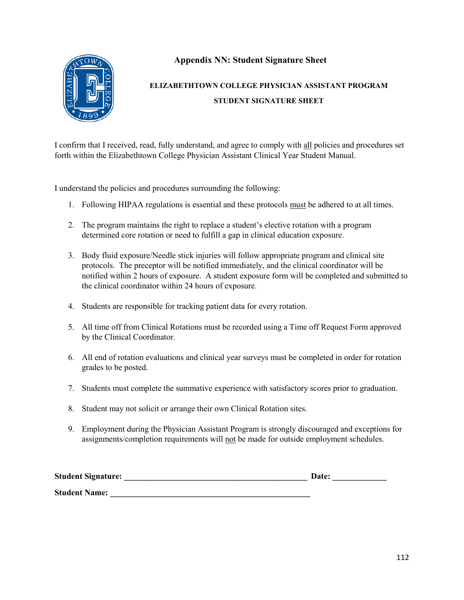

## **Appendix NN: Student Signature Sheet**

# **ELIZABETHTOWN COLLEGE PHYSICIAN ASSISTANT PROGRAM STUDENT SIGNATURE SHEET**

I confirm that I received, read, fully understand, and agree to comply with all policies and procedures set forth within the Elizabethtown College Physician Assistant Clinical Year Student Manual.

I understand the policies and procedures surrounding the following:

- 1. Following HIPAA regulations is essential and these protocols must be adhered to at all times.
- 2. The program maintains the right to replace a student's elective rotation with a program determined core rotation or need to fulfill a gap in clinical education exposure.
- 3. Body fluid exposure/Needle stick injuries will follow appropriate program and clinical site protocols. The preceptor will be notified immediately, and the clinical coordinator will be notified within 2 hours of exposure. A student exposure form will be completed and submitted to the clinical coordinator within 24 hours of exposure.
- 4. Students are responsible for tracking patient data for every rotation.
- 5. All time off from Clinical Rotations must be recorded using a Time off Request Form approved by the Clinical Coordinator.
- 6. All end of rotation evaluations and clinical year surveys must be completed in order for rotation grades to be posted.
- 7. Students must complete the summative experience with satisfactory scores prior to graduation.
- 8. Student may not solicit or arrange their own Clinical Rotation sites.
- 9. Employment during the Physician Assistant Program is strongly discouraged and exceptions for assignments/completion requirements will not be made for outside employment schedules.

| <b>Student Signature:</b> | <b>Date:</b> |
|---------------------------|--------------|
| <b>Student Name:</b>      |              |